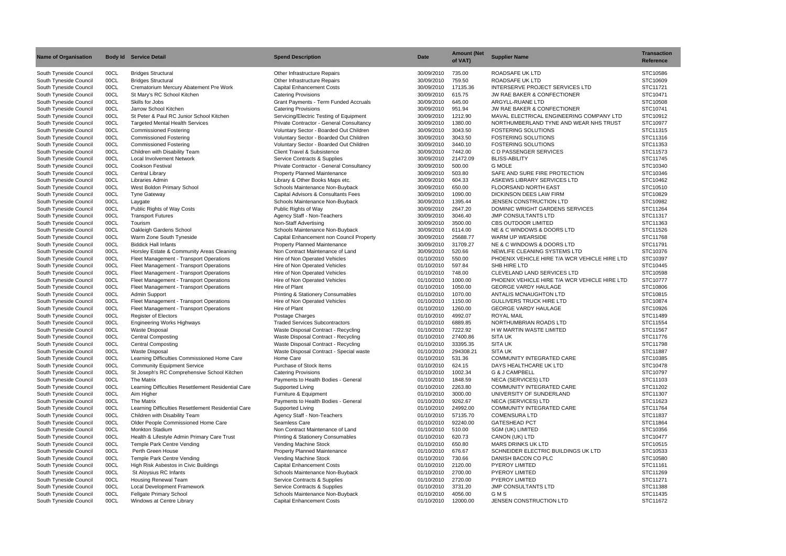| <b>Name of Organisation</b>                      |              | <b>Body Id Service Detail</b>                                           | <b>Spend Description</b>                                                            | <b>Date</b>              | <b>Amount (Net</b><br>of VAT) | <b>Supplier Name</b>                                                               | <b>Transaction</b><br>Reference |
|--------------------------------------------------|--------------|-------------------------------------------------------------------------|-------------------------------------------------------------------------------------|--------------------------|-------------------------------|------------------------------------------------------------------------------------|---------------------------------|
| South Tyneside Council                           | 00CL         | <b>Bridges Structural</b>                                               | Other Infrastructure Repairs                                                        | 30/09/2010               | 735.00                        | ROADSAFE UK LTD                                                                    | STC10586                        |
| South Tyneside Council                           | 00CL         | <b>Bridges Structural</b>                                               | Other Infrastructure Repairs                                                        | 30/09/2010               | 759.50                        | <b>ROADSAFE UK LTD</b>                                                             | STC10609                        |
| South Tyneside Council                           | 00CL         | Crematorium Mercury Abatement Pre Work                                  | <b>Capital Enhancement Costs</b>                                                    | 30/09/2010               | 17135.36                      | INTERSERVE PROJECT SERVICES LTD                                                    | STC11721                        |
| South Tyneside Council                           | 00CL         | St Mary's RC School Kitchen                                             | <b>Catering Provisions</b>                                                          | 30/09/2010               | 615.75                        | JW RAE BAKER & CONFECTIONER                                                        | STC10471                        |
| South Tyneside Council                           | 00CL         | Skills for Jobs                                                         | <b>Grant Payments - Term Funded Accruals</b>                                        | 30/09/2010               | 645.00                        | ARGYLL-RUANE LTD                                                                   | STC10508                        |
| South Tyneside Council                           | 00CL         | Jarrow School Kitchen                                                   | <b>Catering Provisions</b>                                                          | 30/09/2010               | 951.94                        | JW RAE BAKER & CONFECTIONER                                                        | STC10741                        |
| South Tyneside Council<br>South Tyneside Council | 00CL         | St Peter & Paul RC Junior School Kitchen                                | Servicing/Electric Testing of Equipment                                             | 30/09/2010               | 1212.90<br>1380.00            | MAVAL ELECTRICAL ENGINEERING COMPANY LTD<br>NORTHUMBERLAND TYNE AND WEAR NHS TRUST | STC10912<br>STC10977            |
| South Tyneside Council                           | 00CL<br>00CL | <b>Targeted Mental Health Services</b><br><b>Commissioned Fostering</b> | Private Contractor - General Consultancy<br>Voluntary Sector - Boarded Out Children | 30/09/2010<br>30/09/2010 | 3043.50                       | <b>FOSTERING SOLUTIONS</b>                                                         | STC11315                        |
| South Tyneside Council                           | 00CL         | <b>Commissioned Fostering</b>                                           | Voluntary Sector - Boarded Out Children                                             | 30/09/2010               | 3043.50                       | <b>FOSTERING SOLUTIONS</b>                                                         | STC11316                        |
| South Tyneside Council                           | 00CL         | <b>Commissioned Fostering</b>                                           | Voluntary Sector - Boarded Out Children                                             | 30/09/2010               | 3440.10                       | <b>FOSTERING SOLUTIONS</b>                                                         | STC11353                        |
| South Tyneside Council                           | 00CL         | Children with Disability Team                                           | <b>Client Travel &amp; Subsistence</b>                                              | 30/09/2010               | 7442.00                       | C D PASSENGER SERVICES                                                             | STC11573                        |
| South Tyneside Council                           | 00CL         | <b>Local Involvement Network</b>                                        | Service Contracts & Supplies                                                        | 30/09/2010               | 21472.09                      | <b>BLISS-ABILITY</b>                                                               | STC11745                        |
| South Tyneside Council                           | 00CL         | <b>Cookson Festival</b>                                                 | Private Contractor - General Consultancy                                            | 30/09/2010               | 500.00                        | <b>G MOLE</b>                                                                      | STC10340                        |
| South Tyneside Council                           | 00CL         | Central Library                                                         | Property Planned Maintenance                                                        | 30/09/2010               | 503.80                        | SAFE AND SURE FIRE PROTECTION                                                      | STC10346                        |
| South Tyneside Council                           | 00CL         | Libraries Admin                                                         | Library & Other Books Maps etc.                                                     | 30/09/2010               | 604.33                        | ASKEWS LIBRARY SERVICES LTD                                                        | STC10462                        |
| South Tyneside Council                           | 00CL         | West Boldon Primary School                                              | Schools Maintenance Non-Buyback                                                     | 30/09/2010               | 650.00                        | <b>FLOORSAND NORTH EAST</b>                                                        | STC10510                        |
| South Tyneside Council                           | 00CL         | <b>Tyne Gateway</b>                                                     | Capital Advisors & Consultants Fees                                                 | 30/09/2010               | 1090.00                       | <b>DICKINSON DEES LAW FIRM</b>                                                     | STC10829                        |
| South Tyneside Council                           | 00CL         | Laygate                                                                 | Schools Maintenance Non-Buyback                                                     | 30/09/2010               | 1395.44                       | JENSEN CONSTRUCTION LTD                                                            | STC10982                        |
| South Tyneside Council                           | 00CL         | Public Rights of Way Costs                                              | Public Rights of Way                                                                | 30/09/2010               | 2647.20                       | DOMINIC WRIGHT GARDENS SERVICES                                                    | STC11264                        |
| South Tyneside Council                           | 00CL         | <b>Transport Futures</b>                                                | Agency Staff - Non-Teachers                                                         | 30/09/2010               | 3046.40                       | <b>JMP CONSULTANTS LTD</b>                                                         | STC11317                        |
| South Tyneside Council                           | 00CL         | Tourism                                                                 | Non-Staff Advertising                                                               | 30/09/2010               | 3500.00                       | <b>CBS OUTDOOR LIMITED</b>                                                         | STC11363                        |
| South Tyneside Council                           | 00CL         | Oakleigh Gardens School<br>Warm Zone South Tyneside                     | Schools Maintenance Non-Buyback                                                     | 30/09/2010<br>30/09/2010 | 6114.00<br>25688.77           | NE & C WINDOWS & DOORS LTD<br>WARM UP WEARSIDE                                     | STC11526<br>STC11768            |
| South Tyneside Council<br>South Tyneside Council | 00CL<br>00CL | <b>Biddick Hall Infants</b>                                             | Capital Enhancement non Council Property<br>Property Planned Maintenance            | 30/09/2010               | 31709.27                      | NE & C WINDOWS & DOORS LTD                                                         | STC11791                        |
| South Tyneside Council                           | 00CL         | Horsley Estate & Community Areas Cleaning                               | Non Contract Maintenance of Land                                                    | 30/09/2010               | 520.66                        | NEWLIFE CLEANING SYSTEMS LTD                                                       | STC10376                        |
| South Tyneside Council                           | 00CL         | Fleet Management - Transport Operations                                 | Hire of Non Operated Vehicles                                                       | 01/10/2010               | 550.00                        | PHOENIX VEHICLE HIRE T/A WCR VEHICLE HIRE LTD                                      | STC10397                        |
| South Tyneside Council                           | 00CL         | Fleet Management - Transport Operations                                 | Hire of Non Operated Vehicles                                                       | 01/10/2010               | 597.84                        | SHB HIRE LTD                                                                       | STC10445                        |
| South Tyneside Council                           | 00CL         | Fleet Management - Transport Operations                                 | Hire of Non Operated Vehicles                                                       | 01/10/2010               | 748.00                        | <b>CLEVELAND LAND SERVICES LTD</b>                                                 | STC10598                        |
| South Tyneside Council                           | 00CL         | Fleet Management - Transport Operations                                 | Hire of Non Operated Vehicles                                                       | 01/10/2010               | 1000.00                       | PHOENIX VEHICLE HIRE T/A WCR VEHICLE HIRE LTD                                      | STC10777                        |
| South Tyneside Council                           | 00CL         | Fleet Management - Transport Operations                                 | Hire of Plant                                                                       | 01/10/2010               | 1050.00                       | <b>GEORGE VARDY HAULAGE</b>                                                        | STC10806                        |
| South Tyneside Council                           | 00CL         | Admin Support                                                           | <b>Printing &amp; Stationery Consumables</b>                                        | 01/10/2010               | 1070.00                       | ANTALIS MCNAUGHTON LTD                                                             | STC10815                        |
| South Tyneside Council                           | 00CL         | Fleet Management - Transport Operations                                 | Hire of Non Operated Vehicles                                                       | 01/10/2010               | 1150.00                       | <b>GULLIVERS TRUCK HIRE LTD</b>                                                    | STC10874                        |
| South Tyneside Council                           | 00CL         | Fleet Management - Transport Operations                                 | Hire of Plant                                                                       | 01/10/2010               | 1260.00                       | <b>GEORGE VARDY HAULAGE</b>                                                        | STC10926                        |
| South Tyneside Council                           | 00CL         | Register of Electors                                                    | Postage Charges                                                                     | 01/10/2010               | 4992.07                       | <b>ROYAL MAIL</b>                                                                  | STC11489                        |
| South Tyneside Council                           | 00CL         | <b>Engineering Works Highways</b>                                       | <b>Traded Services Subcontractors</b>                                               | 01/10/2010               | 6889.85                       | NORTHUMBRIAN ROADS LTD                                                             | STC11554                        |
| South Tyneside Council                           | 00CL         | <b>Waste Disposal</b>                                                   | Waste Disposal Contract - Recycling                                                 | 01/10/2010               | 7222.92                       | H W MARTIN WASTE LIMITED                                                           | STC11567                        |
| South Tyneside Council                           | 00CL         | <b>Central Composting</b>                                               | Waste Disposal Contract - Recycling                                                 | 01/10/2010               | 27400.86                      | <b>SITA UK</b>                                                                     | STC11776                        |
| South Tyneside Council<br>South Tyneside Council | 00CL<br>00CL | <b>Central Composting</b><br><b>Waste Disposal</b>                      | Waste Disposal Contract - Recycling<br>Waste Disposal Contract - Special waste      | 01/10/2010<br>01/10/2010 | 33395.35<br>294308.21         | <b>SITA UK</b><br><b>SITA UK</b>                                                   | STC11798<br>STC11887            |
| South Tyneside Council                           | 00CL         | Learning Difficulties Commissioned Home Care                            | Home Care                                                                           | 01/10/2010               | 531.36                        | COMMUNITY INTEGRATED CARE                                                          | STC10385                        |
| South Tyneside Council                           | 00CL         | <b>Community Equipment Service</b>                                      | Purchase of Stock Items                                                             | 01/10/2010               | 624.15                        | DAYS HEALTHCARE UK LTD                                                             | STC10478                        |
| South Tyneside Council                           | 00CL         | St Joseph's RC Comprehensive School Kitchen                             | <b>Catering Provisions</b>                                                          | 01/10/2010               | 1002.34                       | G & J CAMPBELL                                                                     | STC10797                        |
| South Tyneside Council                           | 00CL         | The Matrix                                                              | Payments to Health Bodies - General                                                 | 01/10/2010               | 1848.59                       | <b>NECA (SERVICES) LTD</b>                                                         | STC11103                        |
| South Tyneside Council                           | 00CL         | Learning Difficulties Resettlement Residential Care                     | Supported Living                                                                    | 01/10/2010               | 2263.80                       | COMMUNITY INTEGRATED CARE                                                          | STC11202                        |
| South Tyneside Council                           | 00CL         | Aim Higher                                                              | Furniture & Equipment                                                               | 01/10/2010               | 3000.00                       | UNIVERSITY OF SUNDERLAND                                                           | STC11307                        |
| South Tyneside Council                           | 00CL         | The Matrix                                                              | Payments to Health Bodies - General                                                 | 01/10/2010               | 9262.67                       | <b>NECA (SERVICES) LTD</b>                                                         | STC11623                        |
| South Tyneside Council                           | 00CL         | Learning Difficulties Resettlement Residential Care                     | Supported Living                                                                    | 01/10/2010               | 24992.00                      | COMMUNITY INTEGRATED CARE                                                          | STC11764                        |
| South Tyneside Council                           | 00CL         | Children with Disability Team                                           | Agency Staff - Non-Teachers                                                         | 01/10/2010               | 57135.70                      | <b>COMENSURA LTD</b>                                                               | STC11837                        |
| South Tyneside Council                           | 00CL         | Older People Commissioned Home Care                                     | Seamless Care                                                                       | 01/10/2010               | 92240.00                      | <b>GATESHEAD PCT</b>                                                               | STC11864                        |
| South Tyneside Council                           | 00CL         | Monkton Stadium                                                         | Non Contract Maintenance of Land                                                    | 01/10/2010               | 510.00                        | SGM (UK) LIMITED                                                                   | STC10356                        |
| South Tyneside Council                           | 00CL         | Health & Lifestyle Admin Primary Care Trust                             | <b>Printing &amp; Stationery Consumables</b>                                        | 01/10/2010               | 620.73                        | CANON (UK) LTD                                                                     | STC10477                        |
| South Tyneside Council                           | 00CL         | Temple Park Centre Vending                                              | Vending Machine Stock                                                               | 01/10/2010               | 650.80                        | <b>MARS DRINKS UK LTD</b>                                                          | STC10515                        |
| South Tyneside Council                           | 00CL         | Perth Green House                                                       | <b>Property Planned Maintenance</b>                                                 | 01/10/2010               | 676.67                        | SCHNEIDER ELECTRIC BUILDINGS UK LTD                                                | STC10533                        |
| South Tyneside Council                           | 00CL         | Temple Park Centre Vending                                              | Vending Machine Stock                                                               | 01/10/2010               | 730.66                        | DANISH BACON CO PLC                                                                | STC10580                        |
| South Tyneside Council<br>South Tyneside Council | 00CL<br>00CL | High Risk Asbestos in Civic Buildings<br>St Aloysius RC Infants         | <b>Capital Enhancement Costs</b><br>Schools Maintenance Non-Buyback                 | 01/10/2010<br>01/10/2010 | 2120.00<br>2700.00            | <b>PYEROY LIMITED</b><br>PYEROY LIMITED                                            | STC11161<br>STC11269            |
| South Tyneside Council                           | 00CL         | <b>Housing Renewal Team</b>                                             | Service Contracts & Supplies                                                        | 01/10/2010               | 2720.00                       | <b>PYEROY LIMITED</b>                                                              | STC11271                        |
| South Tyneside Council                           | 00CL         | <b>Local Development Framework</b>                                      | Service Contracts & Supplies                                                        | 01/10/2010               | 3731.20                       | <b>JMP CONSULTANTS LTD</b>                                                         | STC11388                        |
| South Tyneside Council                           | 00CL         | Fellgate Primary School                                                 | Schools Maintenance Non-Buyback                                                     | 01/10/2010               | 4056.00                       | GMS                                                                                | STC11435                        |
| South Tyneside Council                           | 00CL         | Windows at Centre Library                                               | <b>Capital Enhancement Costs</b>                                                    | 01/10/2010               | 12000.00                      | JENSEN CONSTRUCTION LTD                                                            | STC11672                        |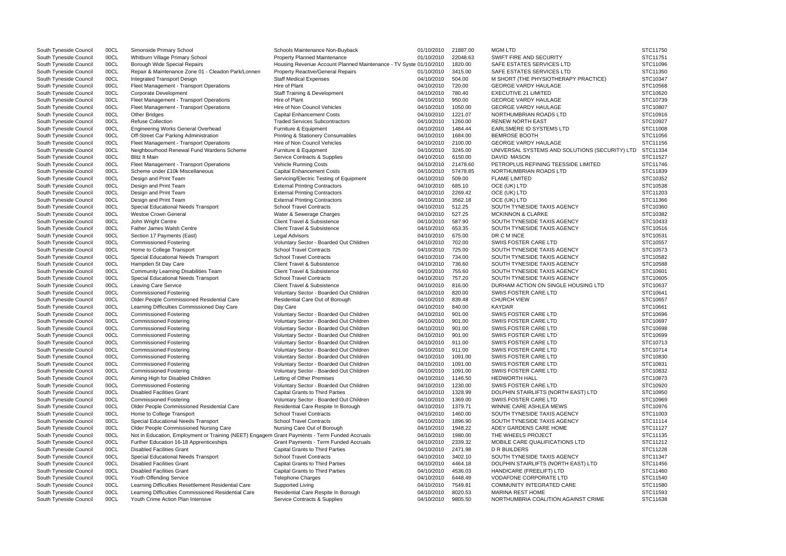| South Tyneside Council | 00CL | Simonside Primary School                                                                      | Schools Maintenance Non-Buyback                                   | 01/10/2010 | 21887.00 | <b>MGM LTD</b>                                 | STC11750 |
|------------------------|------|-----------------------------------------------------------------------------------------------|-------------------------------------------------------------------|------------|----------|------------------------------------------------|----------|
| South Tyneside Council | 00CL | Whitburn Village Primary School                                                               | <b>Property Planned Maintenance</b>                               | 01/10/2010 | 22048.63 | SWIFT FIRE AND SECURITY                        | STC11751 |
| South Tyneside Council | 00CL | Borough Wide Special Repairs                                                                  | Housing Revenue Account Planned Maintenance - TV Syste 01/10/2010 |            | 1820.00  | SAFE ESTATES SERVICES LTD                      | STC11096 |
| South Tyneside Council | 00CL | Repair & Maintenance Zone 01 - Cleadon Park/Lonnen                                            | <b>Property Reactive/General Repairs</b>                          | 01/10/2010 | 3415.00  | SAFE ESTATES SERVICES LTD                      | STC11350 |
| South Tyneside Council | 00CL | <b>Integrated Transport Design</b>                                                            | <b>Staff Medical Expenses</b>                                     | 04/10/2010 | 504.00   | M SHORT (THE PHYSIOTHERAPY PRACTICE)           | STC10347 |
| South Tyneside Council | 00CL | Fleet Management - Transport Operations                                                       | Hire of Plant                                                     | 04/10/2010 | 720.00   | <b>GEORGE VARDY HAULAGE</b>                    | STC10568 |
| South Tyneside Council | 00CL | Corporate Development                                                                         | <b>Staff Training &amp; Development</b>                           | 04/10/2010 | 780.40   | <b>EXECUTIVE 21 LIMITED</b>                    | STC10620 |
| South Tyneside Council | 00CL | Fleet Management - Transport Operations                                                       | Hire of Plant                                                     | 04/10/2010 | 950.00   | <b>GEORGE VARDY HAULAGE</b>                    | STC10739 |
| South Tyneside Council | 00CL | Fleet Management - Transport Operations                                                       | Hire of Non Council Vehicles                                      | 04/10/2010 | 1050.00  | <b>GEORGE VARDY HAULAGE</b>                    | STC10807 |
| South Tyneside Council | 00CL | <b>Other Bridges</b>                                                                          | <b>Capital Enhancement Costs</b>                                  | 04/10/2010 | 1221.07  | NORTHUMBRIAN ROADS LTD                         | STC10916 |
|                        | 00CL | <b>Refuse Collection</b>                                                                      | <b>Traded Services Subcontractors</b>                             | 04/10/2010 | 1260.00  | <b>RENEW NORTH EAST</b>                        | STC10927 |
| South Tyneside Council |      |                                                                                               |                                                                   |            |          |                                                |          |
| South Tyneside Council | 00CL | <b>Engineering Works General Overhead</b>                                                     | Furniture & Equipment                                             | 04/10/2010 | 1484.44  | EARLSMERE ID SYSTEMS LTD                       | STC11008 |
| South Tyneside Council | 00CL | Off-Street Car Parking Administration                                                         | <b>Printing &amp; Stationery Consumables</b>                      | 04/10/2010 | 1684.00  | <b>BEMROSE BOOTH</b>                           | STC11056 |
| South Tyneside Council | 00CL | Fleet Management - Transport Operations                                                       | Hire of Non Council Vehicles                                      | 04/10/2010 | 2100.00  | <b>GEORGE VARDY HAULAGE</b>                    | STC11156 |
| South Tyneside Council | 00CL | Neighbourhood Renewal Fund Wardens Scheme                                                     | Furniture & Equipment                                             | 04/10/2010 | 3245.00  | UNIVERSAL SYSTEMS AND SOLUTIONS (SECURITY) LTD | STC11334 |
| South Tyneside Council | 00CL | <b>Blitz It Main</b>                                                                          | Service Contracts & Supplies                                      | 04/10/2010 | 6150.00  | DAVID MASON                                    | STC11527 |
| South Tyneside Council | 00CL | Fleet Management - Transport Operations                                                       | Vehicle Running Costs                                             | 04/10/2010 | 21478.60 | PETROPLUS REFINING TEESSIDE LIMITED            | STC11746 |
| South Tyneside Council | 00CL | Scheme under £10k Miscellaneous                                                               | <b>Capital Enhancement Costs</b>                                  | 04/10/2010 | 57478.85 | NORTHUMBRIAN ROADS LTD                         | STC11839 |
| South Tyneside Council | 00CL | Design and Print Team                                                                         | Servicing/Electric Testing of Equipment                           | 04/10/2010 | 509.00   | <b>FLAME LIMITED</b>                           | STC10352 |
| South Tyneside Council | 00CL | Design and Print Team                                                                         | <b>External Printing Contractors</b>                              | 04/10/2010 | 685.10   | OCE (UK) LTD                                   | STC10538 |
| South Tyneside Council | 00CL | Design and Print Team                                                                         | <b>External Printing Contractors</b>                              | 04/10/2010 | 2269.42  | OCE (UK) LTD                                   | STC11203 |
| South Tyneside Council | 00CL | Design and Print Team                                                                         | <b>External Printing Contractors</b>                              | 04/10/2010 | 3562.18  | OCE (UK) LTD                                   | STC11366 |
| South Tyneside Council | 00CL | Special Educational Needs Transport                                                           | <b>School Travel Contracts</b>                                    | 04/10/2010 | 512.25   | SOUTH TYNESIDE TAXIS AGENCY                    | STC10360 |
| South Tyneside Council | 00CL | <b>Westoe Crown General</b>                                                                   | Water & Sewerage Charges                                          | 04/10/2010 | 527.25   | <b>MCKINNON &amp; CLARKE</b>                   | STC10382 |
| South Tyneside Council | 00CL | John Wright Centre                                                                            | Client Travel & Subsistence                                       | 04/10/2010 | 587.90   | SOUTH TYNESIDE TAXIS AGENCY                    | STC10433 |
|                        |      |                                                                                               |                                                                   |            |          |                                                |          |
| South Tyneside Council | 00CL | <b>Father James Walsh Centre</b>                                                              | <b>Client Travel &amp; Subsistence</b>                            | 04/10/2010 | 653.35   | SOUTH TYNESIDE TAXIS AGENCY                    | STC10516 |
| South Tyneside Council | 00CL | Section 17 Payments (East)                                                                    | Legal Advisors                                                    | 04/10/2010 | 675.00   | DR C M INCE                                    | STC10531 |
| South Tyneside Council | 00CL | <b>Commissioned Fostering</b>                                                                 | Voluntary Sector - Boarded Out Children                           | 04/10/2010 | 702.00   | SWIIS FOSTER CARE LTD                          | STC10557 |
| South Tyneside Council | 00CL | Home to College Transport                                                                     | <b>School Travel Contracts</b>                                    | 04/10/2010 | 725.00   | SOUTH TYNESIDE TAXIS AGENCY                    | STC10573 |
| South Tyneside Council | 00CL | Special Educational Needs Transport                                                           | <b>School Travel Contracts</b>                                    | 04/10/2010 | 734.00   | SOUTH TYNESIDE TAXIS AGENCY                    | STC10582 |
| South Tyneside Council | 00CL | Hampden St Day Care                                                                           | <b>Client Travel &amp; Subsistence</b>                            | 04/10/2010 | 736.60   | SOUTH TYNESIDE TAXIS AGENCY                    | STC10588 |
| South Tyneside Council | 00CL | Community Learning Disabilities Team                                                          | <b>Client Travel &amp; Subsistence</b>                            | 04/10/2010 | 755.60   | SOUTH TYNESIDE TAXIS AGENCY                    | STC10601 |
| South Tyneside Council | 00CL | Special Educational Needs Transport                                                           | <b>School Travel Contracts</b>                                    | 04/10/2010 | 757.20   | SOUTH TYNESIDE TAXIS AGENCY                    | STC10605 |
| South Tyneside Council | 00CL | Leaving Care Service                                                                          | <b>Client Travel &amp; Subsistence</b>                            | 04/10/2010 | 816.00   | DURHAM ACTION ON SINGLE HOUSING LTD            | STC10637 |
| South Tyneside Council | 00CL | <b>Commissioned Fostering</b>                                                                 | Voluntary Sector - Boarded Out Children                           | 04/10/2010 | 820.00   | SWIIS FOSTER CARE LTD                          | STC10641 |
| South Tyneside Council | 00CL | Older People Commissioned Residential Care                                                    | Residential Care Out of Borough                                   | 04/10/2010 | 839.48   | <b>CHURCH VIEW</b>                             | STC10657 |
| South Tyneside Council | 00CL | Learning Difficulties Commissioned Day Care                                                   | Day Care                                                          | 04/10/2010 | 840.00   | KAYDAR                                         | STC10661 |
| South Tyneside Council | 00CL | <b>Commissioned Fostering</b>                                                                 | Voluntary Sector - Boarded Out Children                           | 04/10/2010 | 901.00   | SWIIS FOSTER CARE LTD                          | STC10696 |
| South Tyneside Council | 00CL | <b>Commissioned Fostering</b>                                                                 | Voluntary Sector - Boarded Out Children                           | 04/10/2010 | 901.00   | SWIIS FOSTER CARE LTD                          | STC10697 |
| South Tyneside Council | 00CL | <b>Commissioned Fostering</b>                                                                 | Voluntary Sector - Boarded Out Children                           | 04/10/2010 | 901.00   | SWIIS FOSTER CARE LTD                          | STC10698 |
| South Tyneside Council | 00CL | <b>Commissioned Fostering</b>                                                                 | Voluntary Sector - Boarded Out Children                           | 04/10/2010 | 901.00   | SWIIS FOSTER CARE LTD                          | STC10699 |
| South Tyneside Council | 00CL | <b>Commissioned Fostering</b>                                                                 | Voluntary Sector - Boarded Out Children                           | 04/10/2010 | 911.00   | SWIIS FOSTER CARE LTD                          | STC10713 |
| South Tyneside Council |      |                                                                                               |                                                                   |            |          |                                                |          |
|                        | 00CL | <b>Commissioned Fostering</b>                                                                 | Voluntary Sector - Boarded Out Children                           | 04/10/2010 | 911.00   | SWIIS FOSTER CARE LTD                          | STC10714 |
| South Tyneside Council | 00CL | <b>Commissioned Fostering</b>                                                                 | Voluntary Sector - Boarded Out Children                           | 04/10/2010 | 1091.00  | SWIIS FOSTER CARE LTD                          | STC10830 |
| South Tyneside Council | 00CL | <b>Commissioned Fostering</b>                                                                 | Voluntary Sector - Boarded Out Children                           | 04/10/2010 | 1091.00  | SWIIS FOSTER CARE LTD                          | STC10831 |
| South Tyneside Council | 00CL | <b>Commissioned Fostering</b>                                                                 | Voluntary Sector - Boarded Out Children                           | 04/10/2010 | 1091.00  | SWIIS FOSTER CARE LTD                          | STC10832 |
| South Tyneside Council | 00CL | Aiming High for Disabled Children                                                             | Letting of Other Premises                                         | 04/10/2010 | 1146.50  | <b>HEDWORTH HALL</b>                           | STC10873 |
| South Tyneside Council | 00CL | <b>Commissioned Fostering</b>                                                                 | Voluntary Sector - Boarded Out Children                           | 04/10/2010 | 1230.00  | SWIIS FOSTER CARE LTD                          | STC10920 |
| South Tyneside Council | 00CL | <b>Disabled Facilities Grant</b>                                                              | <b>Capital Grants to Third Parties</b>                            | 04/10/2010 | 1328.99  | DOLPHIN STAIRLIFTS (NORTH EAST) LTD            | STC10950 |
| South Tyneside Council | 00CL | <b>Commissioned Fostering</b>                                                                 | Voluntary Sector - Boarded Out Children                           | 04/10/2010 | 1369.00  | SWIIS FOSTER CARE LTD                          | STC10969 |
| South Tyneside Council | 00CL | Older People Commissioned Residential Care                                                    | Residential Care Respite In Borough                               | 04/10/2010 | 1379.71  | WINNIE CARE ASHLEA MEWS                        | STC10976 |
| South Tyneside Council | 00CL | Home to College Transport                                                                     | <b>School Travel Contracts</b>                                    | 04/10/2010 | 1460.00  | SOUTH TYNESIDE TAXIS AGENCY                    | STC11003 |
| South Tyneside Council | 00CL | Special Educational Needs Transport                                                           | <b>School Travel Contracts</b>                                    | 04/10/2010 | 1896.90  | SOUTH TYNESIDE TAXIS AGENCY                    | STC11114 |
| South Tyneside Council | 00CL | Older People Commissioned Nursing Care                                                        | Nursing Care Out of Borough                                       | 04/10/2010 | 1948.22  | ADEY GARDENS CARE HOME                         | STC11127 |
| South Tyneside Council | 00CL | Not in Education, Employment or Training (NEET) Engagem Grant Payments - Term Funded Accruals |                                                                   | 04/10/2010 | 1980.00  | THE WHEELS PROJECT                             | STC11135 |
| South Tyneside Council | 00CL | Further Education 16-18 Apprenticeships                                                       | <b>Grant Payments - Term Funded Accruals</b>                      | 04/10/2010 | 2339.32  | MOBILE CARE QUALIFICATIONS LTD                 | STC11212 |
|                        |      | <b>Disabled Facilities Grant</b>                                                              |                                                                   |            |          | <b>D R BUILDERS</b>                            |          |
| South Tyneside Council | 00CL |                                                                                               | <b>Capital Grants to Third Parties</b>                            | 04/10/2010 | 2471.98  |                                                | STC11228 |
| South Tyneside Council | 00CL | Special Educational Needs Transport                                                           | <b>School Travel Contracts</b>                                    | 04/10/2010 | 3402.10  | SOUTH TYNESIDE TAXIS AGENCY                    | STC11347 |
| South Tyneside Council | 00CL | <b>Disabled Facilities Grant</b>                                                              | <b>Capital Grants to Third Parties</b>                            | 04/10/2010 | 4464.18  | DOLPHIN STAIRLIFTS (NORTH EAST) LTD            | STC11456 |
| South Tyneside Council | 00CL | <b>Disabled Facilities Grant</b>                                                              | <b>Capital Grants to Third Parties</b>                            | 04/10/2010 | 4536.03  | HANDICARE (FREELIFT) LTD                       | STC11460 |
| South Tyneside Council | 00CL | Youth Offending Service                                                                       | Telephone Charges                                                 | 04/10/2010 | 6448.49  | <b>VODAFONE CORPORATE LTD</b>                  | STC11540 |
| South Tyneside Council | 00CL | Learning Difficulties Resettlement Residential Care                                           | Supported Living                                                  | 04/10/2010 | 7549.81  | COMMUNITY INTEGRATED CARE                      | STC11580 |
| South Tyneside Council | 00CL | Learning Difficulties Commissioned Residential Care                                           | Residential Care Respite In Borough                               | 04/10/2010 | 8020.53  | <b>MARINA REST HOME</b>                        | STC11593 |
| South Tyneside Council | 00CL | Youth Crime Action Plan Intensive                                                             | Service Contracts & Supplies                                      | 04/10/2010 | 9805.50  | NORTHUMBRIA COALITION AGAINST CRIME            | STC11638 |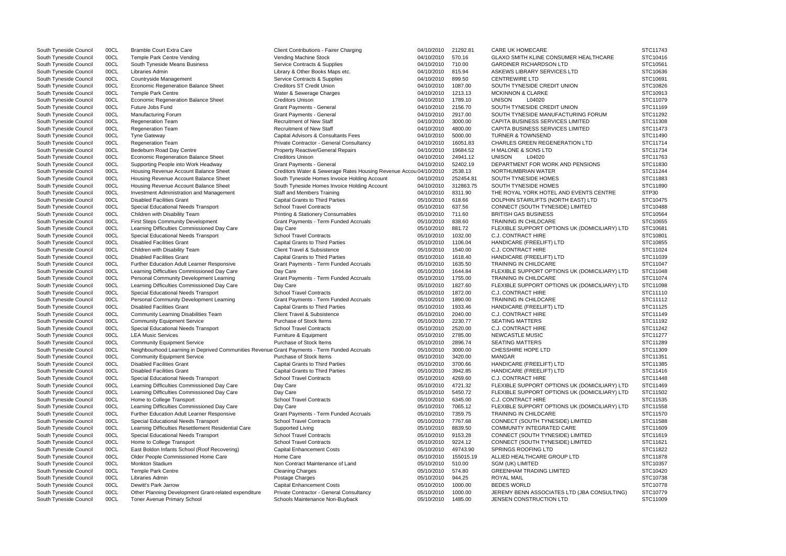| South Tyneside Council | 00CL | <b>Bramble Court Extra Care</b>                                                              | <b>Client Contributions - Fairer Charging</b>                                    | 04/10/2010               | 21292.81           | <b>CARE UK HOMECARE</b>                               | STC11743             |
|------------------------|------|----------------------------------------------------------------------------------------------|----------------------------------------------------------------------------------|--------------------------|--------------------|-------------------------------------------------------|----------------------|
| South Tyneside Council | 00CL | Temple Park Centre Vending                                                                   | Vending Machine Stock                                                            | 04/10/2010               | 570.16             | <b>GLAXO SMITH KLINE CONSUMER HEALTHCARE</b>          | STC10416             |
| South Tyneside Council | 00CL | South Tyneside Means Business                                                                | Service Contracts & Supplies                                                     | 04/10/2010               | 710.00             | <b>GARDINER RICHARDSON LTD</b>                        | STC10561             |
| South Tyneside Council | 00CL | Libraries Admin                                                                              | Library & Other Books Maps etc.                                                  | 04/10/2010               | 815.94             | ASKEWS LIBRARY SERVICES LTD                           | STC10636             |
| South Tyneside Council | 00CL | Countryside Management                                                                       | Service Contracts & Supplies                                                     | 04/10/2010               | 899.50             | <b>CENTREWIRE LTD</b>                                 | STC10691             |
| South Tyneside Council | 00CL | Economic Regeneration Balance Sheet                                                          | <b>Creditors ST Credit Union</b>                                                 | 04/10/2010               | 1087.00            | SOUTH TYNESIDE CREDIT UNION                           | STC10826             |
| South Tyneside Council | 00CL | <b>Temple Park Centre</b>                                                                    | Water & Sewerage Charges                                                         | 04/10/2010               | 1213.13            | <b>MCKINNON &amp; CLARKE</b>                          | STC10913             |
| South Tyneside Council | 00CL | Economic Regeneration Balance Sheet                                                          | <b>Creditors Unison</b>                                                          | 04/10/2010               | 1789.10            | <b>UNISON</b><br>L04020                               | STC11079             |
| South Tyneside Council | 00CL | Future Jobs Fund                                                                             | <b>Grant Payments - General</b>                                                  | 04/10/2010               | 2156.70            | SOUTH TYNESIDE CREDIT UNION                           | STC11169             |
| South Tyneside Council | 00CL | Manufacturing Forum                                                                          | <b>Grant Payments - General</b>                                                  | 04/10/2010               | 2917.00            | SOUTH TYNESIDE MANUFACTURING FORUM                    | STC11292             |
| South Tyneside Council | 00CL | <b>Regeneration Team</b>                                                                     | <b>Recruitment of New Staff</b>                                                  | 04/10/2010               | 3000.00            | <b>CAPITA BUSINESS SERVICES LIMITED</b>               | STC11308             |
| South Tyneside Council | 00CL | <b>Regeneration Team</b>                                                                     | <b>Recruitment of New Staff</b>                                                  | 04/10/2010               | 4800.00            | <b>CAPITA BUSINESS SERVICES LIMITED</b>               | STC11473             |
| South Tyneside Council | 00CL | <b>Tyne Gateway</b>                                                                          | Capital Advisors & Consultants Fees                                              | 04/10/2010               | 5000.00            | <b>TURNER &amp; TOWNSEND</b>                          | STC11490             |
| South Tyneside Council | 00CL | <b>Regeneration Team</b>                                                                     | Private Contractor - General Consultancy                                         | 04/10/2010               | 16051.83           | <b>CHARLES GREEN REGENERATION LTD</b>                 | STC11714             |
| South Tyneside Council | 00CL | Bedeburn Road Day Centre                                                                     | <b>Property Reactive/General Repairs</b>                                         | 04/10/2010               | 19684.52           | H MALONE & SONS LTD                                   | STC11734             |
| South Tyneside Council | 00CL | Economic Regeneration Balance Sheet                                                          | <b>Creditors Unison</b>                                                          | 04/10/2010               | 24941.12           | <b>UNISON</b><br>L04020                               | STC11763             |
| South Tyneside Council | 00CL | Supporting People into Work Headway                                                          | <b>Grant Payments - General</b>                                                  | 04/10/2010               | 52402.19           | DEPARTMENT FOR WORK AND PENSIONS                      | STC11830             |
| South Tyneside Council | 00CL | Housing Revenue Account Balance Sheet                                                        | Creditors Water & Sewerage Rates Housing Revenue Accou 04/10/2010                |                          | 2538.13            | NORTHUMBRIAN WATER                                    | STC11244             |
| South Tyneside Council | 00CL | Housing Revenue Account Balance Sheet                                                        | South Tyneside Homes Invoice Holding Account                                     | 04/10/2010               | 252454.81          | SOUTH TYNESIDE HOMES                                  | STC11883             |
| South Tyneside Council | 00CL | Housing Revenue Account Balance Sheet                                                        | South Tyneside Homes Invoice Holding Account                                     | 04/10/2010               | 312863.75          | SOUTH TYNESIDE HOMES                                  | STC11890             |
| South Tyneside Council | 00CL | <b>Investment Administration and Management</b>                                              | <b>Staff and Members Training</b>                                                | 04/10/2010               | 8311.90            | THE ROYAL YORK HOTEL AND EVENTS CENTRE                | STP30                |
| South Tyneside Council | 00CL | <b>Disabled Facilities Grant</b>                                                             | <b>Capital Grants to Third Parties</b>                                           | 05/10/2010               | 618.66             | DOLPHIN STAIRLIFTS (NORTH EAST) LTD                   | STC10475             |
| South Tyneside Council | 00CL | Special Educational Needs Transport                                                          | <b>School Travel Contracts</b>                                                   | 05/10/2010               | 637.56             | CONNECT (SOUTH TYNESIDE) LIMITED                      | STC10488             |
| South Tyneside Council | 00CL | Children with Disability Team                                                                | <b>Printing &amp; Stationery Consumables</b>                                     | 05/10/2010               | 711.60             | <b>BRITISH GAS BUSINESS</b>                           | STC10564             |
| South Tyneside Council | 00CL | <b>First Steps Community Development</b>                                                     | <b>Grant Payments - Term Funded Accruals</b>                                     | 05/10/2010               | 838.60             | TRAINING IN CHILDCARE                                 | STC10655             |
| South Tyneside Council | 00CL | Learning Difficulties Commissioned Day Care                                                  | Day Care                                                                         | 05/10/2010               | 881.72             | FLEXIBLE SUPPORT OPTIONS UK (DOMICILIARY) LTD         | STC10681             |
| South Tyneside Council | 00CL | Special Educational Needs Transport                                                          | <b>School Travel Contracts</b>                                                   | 05/10/2010               | 1032.00            | <b>C.J. CONTRACT HIRE</b>                             | STC10801             |
| South Tyneside Council | 00CL | <b>Disabled Facilities Grant</b>                                                             | <b>Capital Grants to Third Parties</b>                                           | 05/10/2010               | 1106.04            | HANDICARE (FREELIFT) LTD                              | STC10855             |
| South Tyneside Council | 00CL | Children with Disability Team                                                                | <b>Client Travel &amp; Subsistence</b>                                           | 05/10/2010               | 1540.00            | C.J. CONTRACT HIRE                                    | STC11024             |
| South Tyneside Council | 00CL | <b>Disabled Facilities Grant</b>                                                             | <b>Capital Grants to Third Parties</b>                                           | 05/10/2010               | 1618.40            | HANDICARE (FREELIFT) LTD                              | STC11039             |
| South Tyneside Council | 00CL | Further Education Adult Learner Responsive                                                   | Grant Payments - Term Funded Accruals                                            | 05/10/2010               | 1635.50            | <b>TRAINING IN CHILDCARE</b>                          | STC11047             |
| South Tyneside Council | 00CL | Learning Difficulties Commissioned Day Care                                                  | Day Care                                                                         | 05/10/2010               | 1644.84            | FLEXIBLE SUPPORT OPTIONS UK (DOMICILIARY) LTD         | STC11048             |
| South Tyneside Council | 00CL | Personal Community Development Learning                                                      | Grant Payments - Term Funded Accruals                                            | 05/10/2010               | 1755.00            | TRAINING IN CHILDCARE                                 | STC11074             |
| South Tyneside Council | 00CL | Learning Difficulties Commissioned Day Care                                                  | Day Care                                                                         | 05/10/2010               | 1827.60            | FLEXIBLE SUPPORT OPTIONS UK (DOMICILIARY) LTD         | STC11098             |
| South Tyneside Council | 00CL | Special Educational Needs Transport                                                          | <b>School Travel Contracts</b>                                                   | 05/10/2010               | 1872.00            | <b>C.J. CONTRACT HIRE</b>                             | STC11110             |
| South Tyneside Council | 00CL | Personal Community Development Learning                                                      | <b>Grant Payments - Term Funded Accruals</b>                                     | 05/10/2010               | 1890.00            | <b>TRAINING IN CHILDCARE</b>                          | STC11112             |
| South Tyneside Council | 00CL | <b>Disabled Facilities Grant</b>                                                             | <b>Capital Grants to Third Parties</b>                                           | 05/10/2010               | 1933.46            | HANDICARE (FREELIFT) LTD                              | STC11125             |
| South Tyneside Council | 00CL | Community Learning Disabilities Team                                                         | <b>Client Travel &amp; Subsistence</b>                                           | 05/10/2010               | 2040.00            | C.J. CONTRACT HIRE                                    | STC11149             |
| South Tyneside Council | 00CL | <b>Community Equipment Service</b>                                                           | Purchase of Stock Items                                                          | 05/10/2010               | 2230.77            | <b>SEATING MATTERS</b>                                | STC11192             |
| South Tyneside Council | 00CL | Special Educational Needs Transport                                                          | <b>School Travel Contracts</b>                                                   | 05/10/2010               | 2520.00            | <b>C.J. CONTRACT HIRE</b>                             | STC11242             |
| South Tyneside Council | 00CL | <b>LEA Music Services</b>                                                                    | Furniture & Equipment                                                            | 05/10/2010               | 2785.00            | <b>NEWCASTLE MUSIC</b>                                | STC11277             |
|                        | 00CL | <b>Community Equipment Service</b>                                                           | Purchase of Stock Items                                                          | 05/10/2010               | 2896.74            | <b>SEATING MATTERS</b>                                | STC11289             |
| South Tyneside Council | 00CL | Neighbourhood Learning in Deprived Communities Revenue Grant Payments - Term Funded Accruals |                                                                                  | 05/10/2010               | 3000.00            | <b>CHESSHIRE HOPE LTD</b>                             | STC11309             |
| South Tyneside Council |      |                                                                                              |                                                                                  |                          |                    |                                                       |                      |
| South Tyneside Council | 00CL | <b>Community Equipment Service</b>                                                           | Purchase of Stock Items                                                          | 05/10/2010               | 3420.00            | MANGAR                                                | STC11351             |
| South Tyneside Council | 00CL | <b>Disabled Facilities Grant</b>                                                             | <b>Capital Grants to Third Parties</b><br><b>Capital Grants to Third Parties</b> | 05/10/2010               | 3700.66            | HANDICARE (FREELIFT) LTD                              | STC11385             |
| South Tyneside Council | 00CL | <b>Disabled Facilities Grant</b>                                                             | <b>School Travel Contracts</b>                                                   | 05/10/2010<br>05/10/2010 | 3942.85<br>4269.60 | HANDICARE (FREELIFT) LTD<br><b>C.J. CONTRACT HIRE</b> | STC11416<br>STC11448 |
| South Tyneside Council | 00CL | Special Educational Needs Transport                                                          |                                                                                  |                          |                    |                                                       |                      |
| South Tyneside Council | 00CL | Learning Difficulties Commissioned Day Care<br>Learning Difficulties Commissioned Day Care   | Day Care                                                                         | 05/10/2010               | 4721.32            | FLEXIBLE SUPPORT OPTIONS UK (DOMICILIARY) LTD         | STC11469             |
| South Tyneside Council | 00CL |                                                                                              | Day Care                                                                         | 05/10/2010               | 5450.72            | FLEXIBLE SUPPORT OPTIONS UK (DOMICILIARY) LTD         | STC11502             |
| South Tyneside Council | 00CL | Home to College Transport                                                                    | <b>School Travel Contracts</b>                                                   | 05/10/2010               | 6345.00            | C.J. CONTRACT HIRE                                    | STC11535             |
| South Tyneside Council | 00CL | Learning Difficulties Commissioned Day Care                                                  | Day Care                                                                         | 05/10/2010               | 7065.12            | FLEXIBLE SUPPORT OPTIONS UK (DOMICILIARY) LTD         | STC11558             |
| South Tyneside Council | 00CL | Further Education Adult Learner Responsive                                                   | <b>Grant Payments - Term Funded Accruals</b>                                     | 05/10/2010               | 7359.75            | <b>TRAINING IN CHILDCARE</b>                          | STC11570             |
| South Tyneside Council | 00CL | Special Educational Needs Transport                                                          | <b>School Travel Contracts</b>                                                   | 05/10/2010               | 7767.68            | CONNECT (SOUTH TYNESIDE) LIMITED                      | STC11588             |
| South Tyneside Council | 00CL | Learning Difficulties Resettlement Residential Care                                          | Supported Living                                                                 | 05/10/2010               | 8839.50            | COMMUNITY INTEGRATED CARE                             | STC11609             |
| South Tyneside Council | 00CL | Special Educational Needs Transport                                                          | <b>School Travel Contracts</b>                                                   | 05/10/2010               | 9153.28            | CONNECT (SOUTH TYNESIDE) LIMITED                      | STC11619             |
| South Tyneside Council | 00CL | Home to College Transport                                                                    | <b>School Travel Contracts</b>                                                   | 05/10/2010               | 9224.12            | CONNECT (SOUTH TYNESIDE) LIMITED                      | STC11621             |
| South Tyneside Council | 00CL | East Boldon Infants School (Roof Recovering)                                                 | <b>Capital Enhancement Costs</b>                                                 | 05/10/2010               | 49743.90           | <b>SPRINGS ROOFING LTD</b>                            | STC11822             |
| South Tyneside Council | 00CL | Older People Commissioned Home Care                                                          | Home Care                                                                        | 05/10/2010               | 155015.19          | ALLIED HEALTHCARE GROUP LTD                           | STC11878             |
| South Tyneside Council | 00CL | Monkton Stadium                                                                              | Non Contract Maintenance of Land                                                 | 05/10/2010               | 510.00             | SGM (UK) LIMITED                                      | STC10357             |
| South Tyneside Council | 00CL | <b>Temple Park Centre</b>                                                                    | <b>Cleaning Charges</b>                                                          | 05/10/2010               | 574.80             | <b>GREENHAM TRADING LIMITED</b>                       | STC10420             |
| South Tyneside Council | 00CL | Libraries Admin                                                                              | Postage Charges                                                                  | 05/10/2010               | 944.25             | ROYAL MAIL                                            | STC10738             |
| South Tyneside Council | 00CL | Dewitt's Park Jarrow                                                                         | <b>Capital Enhancement Costs</b>                                                 | 05/10/2010               | 1000.00            | <b>BEDES WORLD</b>                                    | STC10778             |
| South Tyneside Council | 00CL | Other Planning Development Grant-related expenditure                                         | Private Contractor - General Consultancy                                         | 05/10/2010               | 1000.00            | JEREMY BENN ASSOCIATES LTD (JBA CONSULTING)           | STC10779             |
| South Tyneside Council | 00CL | Toner Avenue Primary School                                                                  | Schools Maintenance Non-Buyback                                                  | 05/10/2010               | 1485.00            | JENSEN CONSTRUCTION LTD                               | STC11009             |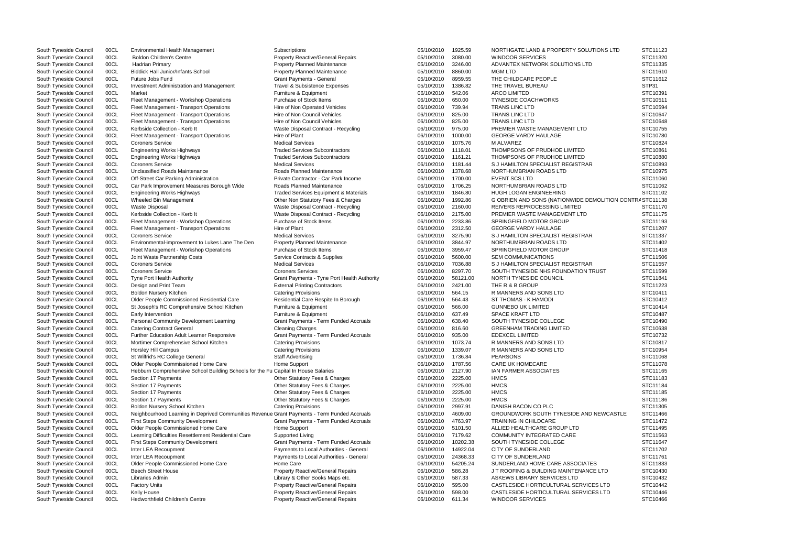| South Tyneside Council | 00CL | <b>Environmental Health Management</b>                                                       | Subscriptions                                    | 05/10/2010 | 1925.59  | NORTHGATE LAND & PROPERTY SOLUTIONS LTD                 | STC11123 |
|------------------------|------|----------------------------------------------------------------------------------------------|--------------------------------------------------|------------|----------|---------------------------------------------------------|----------|
| South Tyneside Council | 00CL | <b>Boldon Children's Centre</b>                                                              | <b>Property Reactive/General Repairs</b>         | 05/10/2010 | 3080.00  | <b>WINDOOR SERVICES</b>                                 | STC11320 |
| South Tyneside Council | 00CL | Hadrian Primary                                                                              | <b>Property Planned Maintenance</b>              | 05/10/2010 | 3246.00  | ADVANTEX NETWORK SOLUTIONS LTD                          | STC11335 |
| South Tyneside Council | 00CL | <b>Biddick Hall Junior/Infants School</b>                                                    | <b>Property Planned Maintenance</b>              | 05/10/2010 | 8860.00  | <b>MGM LTD</b>                                          | STC11610 |
| South Tyneside Council | 00CL | Future Jobs Fund                                                                             | <b>Grant Payments - General</b>                  | 05/10/2010 | 8959.55  | THE CHILDCARE PEOPLE                                    | STC11612 |
| South Tyneside Council | 00CL | <b>Investment Administration and Management</b>                                              | Travel & Subsistence Expenses                    | 05/10/2010 | 1386.82  | THE TRAVEL BUREAU                                       | STP31    |
| South Tyneside Council | 00CL | Market                                                                                       | Furniture & Equipment                            | 06/10/2010 | 542.06   | <b>ARCO LIMITED</b>                                     | STC10391 |
| South Tyneside Council | 00CL | Fleet Management - Workshop Operations                                                       | Purchase of Stock Items                          | 06/10/2010 | 650.00   | <b>TYNESIDE COACHWORKS</b>                              | STC10511 |
| South Tyneside Council | 00CL | Fleet Management - Transport Operations                                                      | Hire of Non Operated Vehicles                    | 06/10/2010 | 739.94   | <b>TRANS LINC LTD</b>                                   | STC10594 |
| South Tyneside Council | 00CL | Fleet Management - Transport Operations                                                      | Hire of Non Council Vehicles                     | 06/10/2010 | 825.00   | <b>TRANS LINC LTD</b>                                   | STC10647 |
| South Tyneside Council | 00CL | Fleet Management - Transport Operations                                                      | Hire of Non Council Vehicles                     | 06/10/2010 | 825.00   | <b>TRANS LINC LTD</b>                                   | STC10648 |
| South Tyneside Council | 00CL | Kerbside Collection - Kerb It                                                                | Waste Disposal Contract - Recycling              | 06/10/2010 | 975.00   | PREMIER WASTE MANAGEMENT LTD                            | STC10755 |
| South Tyneside Council | 00CL | Fleet Management - Transport Operations                                                      | Hire of Plant                                    | 06/10/2010 | 1000.00  | <b>GEORGE VARDY HAULAGE</b>                             | STC10780 |
| South Tyneside Council | 00CL | <b>Coroners Service</b>                                                                      | <b>Medical Services</b>                          | 06/10/2010 | 1075.76  | M ALVAREZ                                               | STC10824 |
| South Tyneside Council | 00CL | <b>Engineering Works Highways</b>                                                            | <b>Traded Services Subcontractors</b>            | 06/10/2010 | 1118.01  | THOMPSONS OF PRUDHOE LIMITED                            | STC10861 |
| South Tyneside Council | 00CL | <b>Engineering Works Highways</b>                                                            | <b>Traded Services Subcontractors</b>            | 06/10/2010 | 1161.21  | THOMPSONS OF PRUDHOE LIMITED                            | STC10880 |
| South Tyneside Council | 00CL | <b>Coroners Service</b>                                                                      | <b>Medical Services</b>                          | 06/10/2010 | 1181.44  | S J HAMILTON SPECIALIST REGISTRAR                       | STC10893 |
| South Tyneside Council | 00CL | Unclassified Roads Maintenance                                                               | <b>Roads Planned Maintenance</b>                 | 06/10/2010 | 1378.68  | NORTHUMBRIAN ROADS LTD                                  | STC10975 |
|                        |      |                                                                                              | Private Contractor - Car Park Income             |            |          |                                                         | STC11060 |
| South Tyneside Council | 00CL | Off-Street Car Parking Administration                                                        |                                                  | 06/10/2010 | 1700.00  | <b>EVENT SCS LTD</b>                                    |          |
| South Tyneside Council | 00CL | Car Park Improvement Measures Borough Wide                                                   | Roads Planned Maintenance                        | 06/10/2010 | 1706.25  | NORTHUMBRIAN ROADS LTD                                  | STC11062 |
| South Tyneside Council | 00CL | <b>Engineering Works Highways</b>                                                            | <b>Traded Services Equipment &amp; Materials</b> | 06/10/2010 | 1846.80  | <b>HUGH LOGAN ENGINEERING</b>                           | STC11102 |
| South Tyneside Council | 00CL | Wheeled Bin Management                                                                       | Other Non Statutory Fees & Charges               | 06/10/2010 | 1992.86  | G OBRIEN AND SONS (NATIONWIDE DEMOLITION CONTRASTC11138 |          |
| South Tyneside Council | 00CL | <b>Waste Disposal</b>                                                                        | Waste Disposal Contract - Recycling              | 06/10/2010 | 2160.00  | <b>REIVERS REPROCESSING LIMITED</b>                     | STC11170 |
| South Tyneside Council | 00CL | Kerbside Collection - Kerb It                                                                | Waste Disposal Contract - Recycling              | 06/10/2010 | 2175.00  | PREMIER WASTE MANAGEMENT LTD                            | STC11175 |
| South Tyneside Council | 00CL | Fleet Management - Workshop Operations                                                       | Purchase of Stock Items                          | 06/10/2010 | 2233.86  | SPRINGFIELD MOTOR GROUP                                 | STC11193 |
| South Tyneside Council | 00CL | Fleet Management - Transport Operations                                                      | Hire of Plant                                    | 06/10/2010 | 2312.50  | <b>GEORGE VARDY HAULAGE</b>                             | STC11207 |
| South Tyneside Council | 00CL | <b>Coroners Service</b>                                                                      | <b>Medical Services</b>                          | 06/10/2010 | 3275.90  | S J HAMILTON SPECIALIST REGISTRAR                       | STC11337 |
| South Tyneside Council | 00CL | Environmental-improvement to Lukes Lane The Den                                              | <b>Property Planned Maintenance</b>              | 06/10/2010 | 3844.97  | NORTHUMBRIAN ROADS LTD                                  | STC11402 |
| South Tyneside Council | 00CL | Fleet Management - Workshop Operations                                                       | Purchase of Stock Items                          | 06/10/2010 | 3959.47  | SPRINGFIELD MOTOR GROUP                                 | STC11418 |
| South Tyneside Council | 00CL | Joint Waste Partnership Costs                                                                | Service Contracts & Supplies                     | 06/10/2010 | 5600.00  | <b>SEM COMMUNICATIONS</b>                               | STC11506 |
| South Tyneside Council | 00CL | <b>Coroners Service</b>                                                                      | <b>Medical Services</b>                          | 06/10/2010 | 7036.88  | S J HAMILTON SPECIALIST REGISTRAR                       | STC11557 |
| South Tyneside Council | 00CL | <b>Coroners Service</b>                                                                      | <b>Coroners Services</b>                         | 06/10/2010 | 8297.70  | SOUTH TYNESIDE NHS FOUNDATION TRUST                     | STC11599 |
| South Tyneside Council | 00CL | Tyne Port Health Authority                                                                   | Grant Payments - Tyne Port Health Authority      | 06/10/2010 | 58121.00 | NORTH TYNESIDE COUNCIL                                  | STC11841 |
| South Tyneside Council | 00CL | Design and Print Team                                                                        | <b>External Printing Contractors</b>             | 06/10/2010 | 2421.00  | THE R & B GROUP                                         | STC11223 |
| South Tyneside Council | 00CL | <b>Boldon Nursery Kitchen</b>                                                                | <b>Catering Provisions</b>                       | 06/10/2010 | 564.15   | R MANNERS AND SONS LTD                                  | STC10411 |
| South Tyneside Council | 00CL | Older People Commissioned Residential Care                                                   | Residential Care Respite In Borough              | 06/10/2010 | 564.43   | ST THOMAS - K HAMODI                                    | STC10412 |
| South Tyneside Council | 00CL | St Joseph's RC Comprehensive School Kitchen                                                  | Furniture & Equipment                            | 06/10/2010 | 566.00   | <b>GUNNEBO UK LIMITED</b>                               | STC10414 |
| South Tyneside Council | 00CL | Early Intervention                                                                           | Furniture & Equipment                            | 06/10/2010 | 637.49   | <b>SPACE KRAFT LTD</b>                                  | STC10487 |
| South Tyneside Council | 00CL | Personal Community Development Learning                                                      | Grant Payments - Term Funded Accruals            | 06/10/2010 | 638.40   | SOUTH TYNESIDE COLLEGE                                  | STC10490 |
| South Tyneside Council | 00CL | <b>Catering Contract General</b>                                                             | <b>Cleaning Charges</b>                          | 06/10/2010 | 816.60   | <b>GREENHAM TRADING LIMITED</b>                         | STC10638 |
| South Tyneside Council | 00CL | Further Education Adult Learner Responsive                                                   | Grant Payments - Term Funded Accruals            | 06/10/2010 | 935.00   | <b>EDEXCEL LIMITED</b>                                  | STC10732 |
| South Tyneside Council | 00CL | Mortimer Comprehensive School Kitchen                                                        | <b>Catering Provisions</b>                       | 06/10/2010 | 1073.74  | R MANNERS AND SONS LTD                                  | STC10817 |
|                        | 00CL | <b>Horsley Hill Campus</b>                                                                   |                                                  | 06/10/2010 | 1339.07  | R MANNERS AND SONS LTD                                  | STC10954 |
| South Tyneside Council |      |                                                                                              | <b>Catering Provisions</b>                       |            |          |                                                         |          |
| South Tyneside Council | 00CL | St Wilfrid's RC College General                                                              | <b>Staff Advertising</b>                         | 06/10/2010 | 1736.84  | <b>PEARSONS</b>                                         | STC11068 |
| South Tyneside Council | 00CL | Older People Commissioned Home Care                                                          | Home Support                                     | 06/10/2010 | 1787.56  | <b>CARE UK HOMECARE</b>                                 | STC11078 |
| South Tyneside Council | 00CL | Hebburn Comprehensive School Building Schools for the Fu Capital In House Salaries           |                                                  | 06/10/2010 | 2127.90  | IAN FARMER ASSOCIATES                                   | STC11165 |
| South Tyneside Council | 00CL | Section 17 Payments                                                                          | Other Statutory Fees & Charges                   | 06/10/2010 | 2225.00  | <b>HMCS</b>                                             | STC11183 |
| South Tyneside Council | 00CL | Section 17 Payments                                                                          | Other Statutory Fees & Charges                   | 06/10/2010 | 2225.00  | <b>HMCS</b>                                             | STC11184 |
| South Tyneside Council | 00CL | Section 17 Payments                                                                          | Other Statutory Fees & Charges                   | 06/10/2010 | 2225.00  | <b>HMCS</b>                                             | STC11185 |
| South Tyneside Council | 00CL | Section 17 Payments                                                                          | Other Statutory Fees & Charges                   | 06/10/2010 | 2225.00  | <b>HMCS</b>                                             | STC11186 |
| South Tyneside Council | 00CL | Boldon Nursery School Kitchen                                                                | <b>Catering Provisions</b>                       | 06/10/2010 | 2997.91  | DANISH BACON CO PLC                                     | STC11305 |
| South Tyneside Council | 00CL | Neighbourhood Learning in Deprived Communities Revenue Grant Payments - Term Funded Accruals |                                                  | 06/10/2010 | 4609.00  | <b>GROUNDWORK SOUTH TYNESIDE AND NEWCASTLE</b>          | STC11466 |
| South Tyneside Council | 00CL | First Steps Community Development                                                            | <b>Grant Payments - Term Funded Accruals</b>     | 06/10/2010 | 4763.97  | <b>TRAINING IN CHILDCARE</b>                            | STC11472 |
| South Tyneside Council | 00CL | Older People Commissioned Home Care                                                          | Home Support                                     | 06/10/2010 | 5101.50  | ALLIED HEALTHCARE GROUP LTD                             | STC11495 |
| South Tyneside Council | 00CL | Learning Difficulties Resettlement Residential Care                                          | Supported Living                                 | 06/10/2010 | 7179.62  | <b>COMMUNITY INTEGRATED CARE</b>                        | STC11563 |
| South Tyneside Council | 00CL | <b>First Steps Community Development</b>                                                     | Grant Payments - Term Funded Accruals            | 06/10/2010 | 10202.38 | SOUTH TYNESIDE COLLEGE                                  | STC11647 |
| South Tyneside Council | 00CL | Inter LEA Recoupment                                                                         | Payments to Local Authorities - General          | 06/10/2010 | 14922.04 | <b>CITY OF SUNDERLAND</b>                               | STC11702 |
| South Tyneside Council | 00CL | Inter LEA Recoupment                                                                         | Payments to Local Authorities - General          | 06/10/2010 | 24368.33 | CITY OF SUNDERLAND                                      | STC11761 |
| South Tyneside Council | 00CL | Older People Commissioned Home Care                                                          | Home Care                                        | 06/10/2010 | 54205.24 | SUNDERLAND HOME CARE ASSOCIATES                         | STC11833 |
| South Tyneside Council | 00CL | <b>Beech Street House</b>                                                                    | <b>Property Reactive/General Repairs</b>         | 06/10/2010 | 586.28   | J T ROOFING & BUILDING MAINTENANCE LTD                  | STC10430 |
| South Tyneside Council | 00CL | Libraries Admin                                                                              | Library & Other Books Maps etc.                  | 06/10/2010 | 587.33   | ASKEWS LIBRARY SERVICES LTD                             | STC10432 |
| South Tyneside Council | 00CL | <b>Factory Units</b>                                                                         | <b>Property Reactive/General Repairs</b>         | 06/10/2010 | 595.00   | CASTLESIDE HORTICULTURAL SERVICES LTD                   | STC10442 |
| South Tyneside Council | 00CL | Kelly House                                                                                  | <b>Property Reactive/General Repairs</b>         | 06/10/2010 | 598.00   | CASTLESIDE HORTICULTURAL SERVICES LTD                   | STC10446 |
| South Tyneside Council | 00CL | <b>Hedworthfield Children's Centre</b>                                                       | <b>Property Reactive/General Repairs</b>         | 06/10/2010 | 611.34   | WINDOOR SERVICES                                        | STC10466 |
|                        |      |                                                                                              |                                                  |            |          |                                                         |          |

| IONS LTD                | STC11123  |
|-------------------------|-----------|
|                         | STC11320  |
|                         | STC11335  |
|                         | STC11610  |
|                         | STC11612  |
|                         | STP31     |
|                         |           |
|                         | STC10391  |
|                         | STC10511  |
|                         | STC10594  |
|                         | STC10647  |
|                         | STC10648  |
|                         | STC10755  |
|                         | STC10780  |
|                         | STC10824  |
|                         | STC10861  |
|                         |           |
|                         | STC10880  |
|                         | STC10893  |
|                         | STC10975  |
|                         | STC11060  |
|                         | STC11062  |
|                         | STC11102  |
| MOLITION CONTRASTC11138 |           |
|                         | STC11170  |
|                         | STC11175  |
|                         | STC11193  |
|                         | STC11207  |
|                         |           |
|                         | STC11337  |
|                         | STC11402  |
|                         | STC11418  |
|                         | STC11506  |
|                         | STC11557  |
| ≀บร⊤                    | STC11599  |
|                         | STC11841  |
|                         | STC11223  |
|                         | STC10411  |
|                         | STC10412  |
|                         | STC10414  |
|                         | STC10487  |
|                         | STC10490  |
|                         | STC10638  |
|                         |           |
|                         | STC10732  |
|                         | SI C10817 |
|                         | STC10954  |
|                         | STC11068  |
|                         | STC11078  |
|                         | STC11165  |
|                         | STC11183  |
|                         | STC11184  |
|                         | STC11185  |
|                         | STC11186  |
|                         | STC11305  |
| <b>NEWCASTLE</b>        | STC11466  |
|                         | STC11472  |
|                         |           |
|                         | STC11495  |
|                         | STC11563  |
|                         | STC11647  |
|                         | STC11702  |
|                         | STC11761  |
|                         | STC11833  |
| LTD                     | STC10430  |
|                         | STC10432  |
| S LTD:                  | STC10442  |
| <b>S LTD</b>            | STC10446  |
|                         | STC10466  |
|                         |           |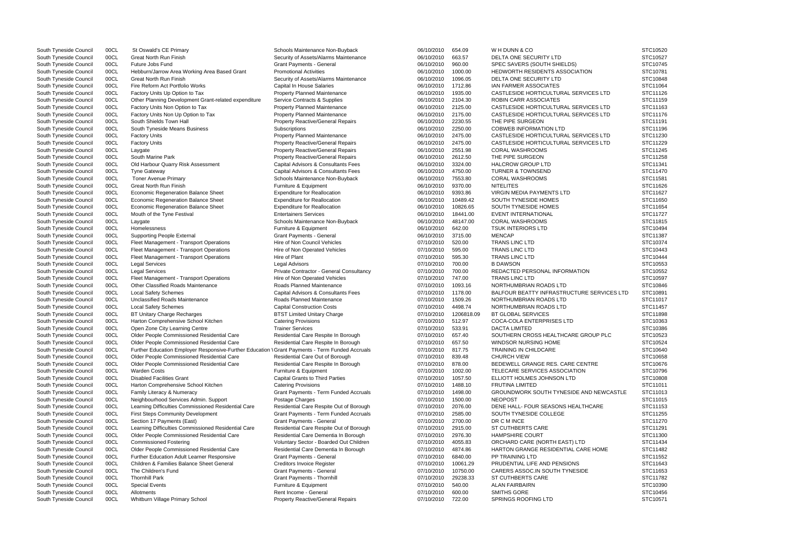| South Tyneside Council | 00CL | St Oswald's CE Primary                                                                          | Schools Maintenance Non-Buyback          | 06/10/2010 | 654.09     | WH DUNN & CO                                      | STC10520 |
|------------------------|------|-------------------------------------------------------------------------------------------------|------------------------------------------|------------|------------|---------------------------------------------------|----------|
| South Tyneside Council | 00CL | <b>Great North Run Finish</b>                                                                   | Security of Assets/Alarms Maintenance    | 06/10/2010 | 663.57     | DELTA ONE SECURITY LTD                            | STC10527 |
| South Tyneside Council | 00CL | Future Jobs Fund                                                                                | <b>Grant Payments - General</b>          | 06/10/2010 | 960.00     | SPEC SAVERS (SOUTH SHIELDS)                       | STC10745 |
| South Tyneside Council | 00CL | Hebburn/Jarrow Area Working Area Based Grant                                                    | <b>Promotional Activities</b>            | 06/10/2010 | 1000.00    | HEDWORTH RESIDENTS ASSOCIATION                    | STC10781 |
| South Tyneside Council | 00CL | <b>Great North Run Finish</b>                                                                   | Security of Assets/Alarms Maintenance    | 06/10/2010 | 1096.05    | DELTA ONE SECURITY LTD                            | STC10848 |
| South Tyneside Council | 00CL | Fire Reform Act Portfolio Works                                                                 | Capital In House Salaries                | 06/10/2010 | 1712.86    | IAN FARMER ASSOCIATES                             | STC11064 |
| South Tyneside Council | 00CL | Factory Units Up Option to Tax                                                                  | <b>Property Planned Maintenance</b>      | 06/10/2010 | 1935.00    | CASTLESIDE HORTICULTURAL SERVICES LTD             | STC11126 |
| South Tyneside Council | 00CL | Other Planning Development Grant-related expenditure                                            | Service Contracts & Supplies             | 06/10/2010 | 2104.30    | ROBIN CARR ASSOCIATES                             | STC11159 |
| South Tyneside Council | 00CL | Factory Units Non Option to Tax                                                                 | Property Planned Maintenance             | 06/10/2010 | 2125.00    | CASTLESIDE HORTICULTURAL SERVICES LTD             | STC11163 |
| South Tyneside Council | 00CL | Factory Units Non Up Option to Tax                                                              | Property Planned Maintenance             | 06/10/2010 | 2175.00    | CASTLESIDE HORTICULTURAL SERVICES LTD             | STC11176 |
| South Tyneside Council | 00CL | South Shields Town Hall                                                                         | Property Reactive/General Repairs        | 06/10/2010 | 2230.55    | THE PIPE SURGEON                                  | STC11191 |
| South Tyneside Council | 00CL | South Tyneside Means Business                                                                   | Subscriptions                            | 06/10/2010 | 2250.00    | <b>COBWEB INFORMATION LTD</b>                     | STC11196 |
|                        |      |                                                                                                 |                                          |            | 2475.00    |                                                   |          |
| South Tyneside Council | 00CL | <b>Factory Units</b>                                                                            | <b>Property Planned Maintenance</b>      | 06/10/2010 |            | CASTLESIDE HORTICULTURAL SERVICES LTD             | STC11230 |
| South Tyneside Council | 00CL | <b>Factory Units</b>                                                                            | <b>Property Reactive/General Repairs</b> | 06/10/2010 | 2475.00    | CASTLESIDE HORTICULTURAL SERVICES LTD             | STC11229 |
| South Tyneside Council | 00CL | Laygate                                                                                         | Property Reactive/General Repairs        | 06/10/2010 | 2551.98    | <b>CORAL WASHROOMS</b>                            | STC11245 |
| South Tyneside Council | 00CL | South Marine Park                                                                               | <b>Property Reactive/General Repairs</b> | 06/10/2010 | 2612.50    | THE PIPE SURGEON                                  | STC11258 |
| South Tyneside Council | 00CL | Old Harbour Quarry Risk Assessment                                                              | Capital Advisors & Consultants Fees      | 06/10/2010 | 3324.00    | <b>HALCROW GROUP LTD</b>                          | STC11341 |
| South Tyneside Council | 00CL | <b>Tyne Gateway</b>                                                                             | Capital Advisors & Consultants Fees      | 06/10/2010 | 4750.00    | <b>TURNER &amp; TOWNSEND</b>                      | STC11470 |
| South Tyneside Council | 00CL | <b>Toner Avenue Primary</b>                                                                     | Schools Maintenance Non-Buyback          | 06/10/2010 | 7553.80    | <b>CORAL WASHROOMS</b>                            | STC11581 |
| South Tyneside Council | 00CL | <b>Great North Run Finish</b>                                                                   | Furniture & Equipment                    | 06/10/2010 | 9370.00    | <b>NITELITES</b>                                  | STC11626 |
| South Tyneside Council | 00CL | <b>Economic Regeneration Balance Sheet</b>                                                      | <b>Expenditure for Reallocation</b>      | 06/10/2010 | 9393.86    | <b>VIRGIN MEDIA PAYMENTS LTD</b>                  | STC11627 |
| South Tyneside Council | 00CL | <b>Economic Regeneration Balance Sheet</b>                                                      | <b>Expenditure for Reallocation</b>      | 06/10/2010 | 10489.42   | SOUTH TYNESIDE HOMES                              | STC11650 |
| South Tyneside Council | 00CL | <b>Economic Regeneration Balance Sheet</b>                                                      | <b>Expenditure for Reallocation</b>      | 06/10/2010 | 10826.65   | SOUTH TYNESIDE HOMES                              | STC11654 |
| South Tyneside Council | 00CL | Mouth of the Tyne Festival                                                                      | <b>Entertainers Services</b>             | 06/10/2010 | 18441.00   | <b>EVENT INTERNATIONAL</b>                        | STC11727 |
| South Tyneside Council | 00CL | Laygate                                                                                         | Schools Maintenance Non-Buyback          | 06/10/2010 | 48147.00   | <b>CORAL WASHROOMS</b>                            | STC11815 |
| South Tyneside Council | 00CL | Homelessness                                                                                    | Furniture & Equipment                    | 06/10/2010 | 642.00     | <b>TSUK INTERIORS LTD</b>                         | STC10494 |
| South Tyneside Council | 00CL | <b>Supporting People External</b>                                                               | <b>Grant Payments - General</b>          | 06/10/2010 | 3715.00    | <b>MENCAP</b>                                     | STC11387 |
|                        | 00CL |                                                                                                 | Hire of Non Council Vehicles             | 07/10/2010 | 520.00     | <b>TRANS LINC LTD</b>                             | STC10374 |
| South Tyneside Council |      | Fleet Management - Transport Operations                                                         |                                          |            |            |                                                   |          |
| South Tyneside Council | 00CL | Fleet Management - Transport Operations                                                         | Hire of Non Operated Vehicles            | 07/10/2010 | 595.00     | <b>TRANS LINC LTD</b>                             | STC10443 |
| South Tyneside Council | 00CL | Fleet Management - Transport Operations                                                         | Hire of Plant                            | 07/10/2010 | 595.30     | <b>TRANS LINC LTD</b>                             | STC10444 |
| South Tyneside Council | 00CL | <b>Legal Services</b>                                                                           | <b>Legal Advisors</b>                    | 07/10/2010 | 700.00     | <b>B DAWSON</b>                                   | STC10553 |
| South Tyneside Council | 00CL | <b>Legal Services</b>                                                                           | Private Contractor - General Consultancy | 07/10/2010 | 700.00     | REDACTED PERSONAL INFORMATION                     | STC10552 |
| South Tyneside Council | 00CL | Fleet Management - Transport Operations                                                         | Hire of Non Operated Vehicles            | 07/10/2010 | 747.00     | <b>TRANS LINC LTD</b>                             | STC10597 |
| South Tyneside Council | 00CL | Other Classified Roads Maintenance                                                              | Roads Planned Maintenance                | 07/10/2010 | 1093.16    | NORTHUMBRIAN ROADS LTD                            | STC10846 |
| South Tyneside Council | 00CL | <b>Local Safety Schemes</b>                                                                     | Capital Advisors & Consultants Fees      | 07/10/2010 | 1178.00    | <b>BALFOUR BEATTY INFRASTRUCTURE SERVICES LTD</b> | STC10891 |
| South Tyneside Council | 00CL | Unclassified Roads Maintenance                                                                  | Roads Planned Maintenance                | 07/10/2010 | 1509.26    | NORTHUMBRIAN ROADS LTD                            | STC11017 |
| South Tyneside Council | 00CL | <b>Local Safety Schemes</b>                                                                     | <b>Capital Construction Costs</b>        | 07/10/2010 | 4498.74    | NORTHUMBRIAN ROADS LTD                            | STC11457 |
| South Tyneside Council | 00CL | BT Unitary Charge Recharges                                                                     | <b>BTST Limited Unitary Charge</b>       | 07/10/2010 | 1206818.09 | <b>BT GLOBAL SERVICES</b>                         | STC11898 |
| South Tyneside Council | 00CL | Harton Comprehensive School Kitchen                                                             | <b>Catering Provisions</b>               | 07/10/2010 | 512.97     | COCA-COLA ENTERPRISES LTD                         | STC10363 |
| South Tyneside Council | 00CL | Open Zone City Learning Centre                                                                  | <b>Trainer Services</b>                  | 07/10/2010 | 533.91     | <b>DACTA LIMITED</b>                              | STC10386 |
| South Tyneside Council | 00CL | Older People Commissioned Residential Care                                                      | Residential Care Respite In Borough      | 07/10/2010 | 657.40     | SOUTHERN CROSS HEALTHCARE GROUP PLC               | STC10523 |
| South Tyneside Council | 00CL | Older People Commissioned Residential Care                                                      | Residential Care Respite In Borough      | 07/10/2010 | 657.50     | WINDSOR NURSING HOME                              | STC10524 |
| South Tyneside Council | 00CL | Further Education Employer Responsive-Further Education \ Grant Payments - Term Funded Accruals |                                          | 07/10/2010 | 817.75     | <b>TRAINING IN CHILDCARE</b>                      | STC10640 |
| South Tyneside Council | 00CL | Older People Commissioned Residential Care                                                      | Residential Care Out of Borough          | 07/10/2010 | 839.48     | <b>CHURCH VIEW</b>                                | STC10658 |
|                        |      |                                                                                                 |                                          |            |            |                                                   |          |
| South Tyneside Council | 00CL | Older People Commissioned Residential Care                                                      | Residential Care Respite In Borough      | 07/10/2010 | 878.00     | BEDEWELL GRANGE RES. CARE CENTRE                  | STC10676 |
| South Tyneside Council | 00CL | <b>Warden Costs</b>                                                                             | Furniture & Equipment                    | 07/10/2010 | 1002.00    | TELECARE SERVICES ASSOCIATION                     | STC10796 |
| South Tyneside Council | 00CL | <b>Disabled Facilities Grant</b>                                                                | Capital Grants to Third Parties          | 07/10/2010 | 1057.50    | ELLIOTT HOLMES JOHNSON LTD                        | STC10808 |
| South Tyneside Council | 00CL | Harton Comprehensive School Kitchen                                                             | <b>Catering Provisions</b>               | 07/10/2010 | 1488.10    | <b>FRUTINA LIMITED</b>                            | STC11011 |
| South Tyneside Council | 00CL | Family Literacy & Numeracy                                                                      | Grant Payments - Term Funded Accruals    | 07/10/2010 | 1498.00    | GROUNDWORK SOUTH TYNESIDE AND NEWCASTLE           | STC11013 |
| South Tyneside Council | 00CL | Neighbourhood Services Admin. Support                                                           | Postage Charges                          | 07/10/2010 | 1500.00    | <b>NEOPOST</b>                                    | STC11015 |
| South Tyneside Council | 00CL | Learning Difficulties Commissioned Residential Care                                             | Residential Care Respite Out of Borough  | 07/10/2010 | 2076.00    | DENE HALL- FOUR SEASONS HEALTHCARE                | STC11153 |
| South Tyneside Council | 00CL | <b>First Steps Community Development</b>                                                        | Grant Payments - Term Funded Accruals    | 07/10/2010 | 2585.00    | SOUTH TYNESIDE COLLEGE                            | STC11255 |
| South Tyneside Council | 00CL | Section 17 Payments (East)                                                                      | <b>Grant Payments - General</b>          | 07/10/2010 | 2700.00    | DR C M INCE                                       | STC11270 |
| South Tyneside Council | 00CL | Learning Difficulties Commissioned Residential Care                                             | Residential Care Respite Out of Borough  | 07/10/2010 | 2915.00    | ST CUTHBERTS CARE                                 | STC11291 |
| South Tyneside Council | 00CL | Older People Commissioned Residential Care                                                      | Residential Care Dementia In Borough     | 07/10/2010 | 2976.30    | <b>HAMPSHIRE COURT</b>                            | STC11300 |
| South Tyneside Council | 00CL | <b>Commissioned Fostering</b>                                                                   | Voluntary Sector - Boarded Out Children  | 07/10/2010 | 4055.83    | ORCHARD CARE (NORTH EAST) LTD                     | STC11434 |
| South Tyneside Council | 00CL | Older People Commissioned Residential Care                                                      | Residential Care Dementia In Borough     | 07/10/2010 | 4874.86    | HARTON GRANGE RESIDENTIAL CARE HOME               | STC11482 |
|                        |      |                                                                                                 |                                          |            |            | PP TRAINING LTD                                   |          |
| South Tyneside Council | 00CL | Further Education Adult Learner Responsive                                                      | <b>Grant Payments - General</b>          | 07/10/2010 | 6840.00    |                                                   | STC11552 |
| South Tyneside Council | 00CL | Children & Families Balance Sheet General                                                       | Creditors Invoice Register               | 07/10/2010 | 10061.29   | PRUDENTIAL LIFE AND PENSIONS                      | STC11643 |
| South Tyneside Council | 00CL | The Children's Fund                                                                             | <b>Grant Payments - General</b>          | 07/10/2010 | 10750.00   | CARERS ASSOC.IN SOUTH TYNESIDE                    | STC11653 |
| South Tyneside Council | 00CL | <b>Thornhill Park</b>                                                                           | <b>Grant Payments - Thornhill</b>        | 07/10/2010 | 29238.33   | ST CUTHBERTS CARE                                 | STC11782 |
| South Tyneside Council | 00CL | <b>Special Events</b>                                                                           | Furniture & Equipment                    | 07/10/2010 | 540.00     | <b>ALAN FAIRBAIRN</b>                             | STC10390 |
| South Tyneside Council | 00CL | Allotments                                                                                      | Rent Income - General                    | 07/10/2010 | 600.00     | <b>SMITHS GORE</b>                                | STC10456 |
| South Tyneside Council | 00CL | Whitburn Village Primary School                                                                 | Property Reactive/General Repairs        | 07/10/2010 | 722.00     | SPRINGS ROOFING LTD                               | STC10571 |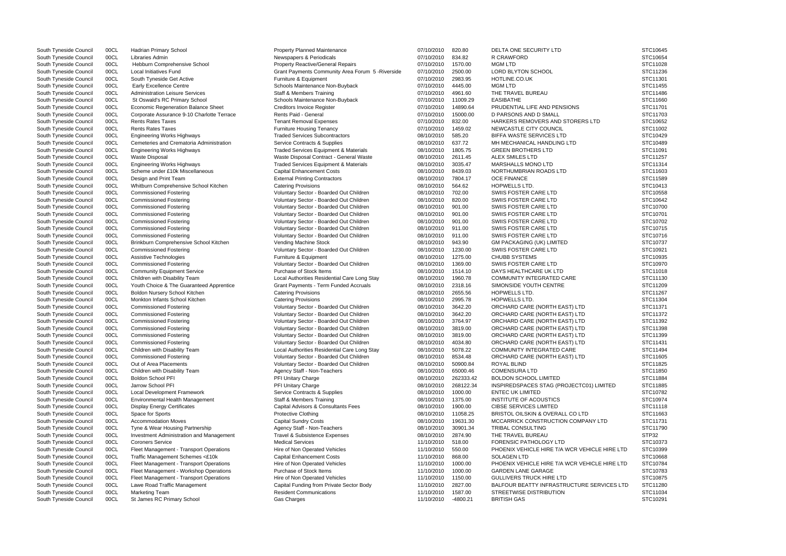| South Tyneside Council | 00CL | <b>Hadrian Primary School</b>              | <b>Property Planned Maintenance</b>              | 07/10/2010 | 820.80     | DELTA ONE SECURITY LTD                        | STC10645 |
|------------------------|------|--------------------------------------------|--------------------------------------------------|------------|------------|-----------------------------------------------|----------|
| South Tyneside Council | 00CL | Libraries Admin                            | Newspapers & Periodicals                         | 07/10/2010 | 834.82     | R CRAWFORD                                    | STC10654 |
| South Tyneside Council | 00CL | Hebburn Comprehensive School               | <b>Property Reactive/General Repairs</b>         | 07/10/2010 | 1570.00    | <b>MGM LTD</b>                                | STC11028 |
| South Tyneside Council | 00CL | <b>Local Initiatives Fund</b>              | Grant Payments Community Area Forum 5-Riverside  | 07/10/2010 | 2500.00    | <b>LORD BLYTON SCHOOL</b>                     | STC11236 |
| South Tyneside Council | 00CL | South Tyneside Get Active                  | Furniture & Equipment                            | 07/10/2010 | 2983.95    | HOTLINE.CO.UK                                 | STC11301 |
| South Tyneside Council | 00CL | <b>Early Excellence Centre</b>             | Schools Maintenance Non-Buyback                  | 07/10/2010 | 4445.00    | <b>MGM LTD</b>                                | STC11455 |
| South Tyneside Council | 00CL | <b>Administration Leisure Services</b>     | Staff & Members Training                         | 07/10/2010 | 4961.60    | THE TRAVEL BUREAU                             | STC11486 |
| South Tyneside Council | 00CL | St Oswald's RC Primary School              | Schools Maintenance Non-Buyback                  | 07/10/2010 | 11009.29   | <b>EASIBATHE</b>                              | STC11660 |
| South Tyneside Council | 00CL | <b>Economic Regeneration Balance Sheet</b> | <b>Creditors Invoice Register</b>                | 07/10/2010 | 14890.64   | PRUDENTIAL LIFE AND PENSIONS                  | STC11701 |
| South Tyneside Council | 00CL | Corporate Assurance 9-10 Charlotte Terrace | Rents Paid - General                             | 07/10/2010 | 15000.00   | D PARSONS AND D SMALL                         | STC11703 |
| South Tyneside Council | 00CL | <b>Rents Rates Taxes</b>                   | <b>Tenant Removal Expenses</b>                   | 07/10/2010 | 832.00     | HARKERS REMOVERS AND STORERS LTD              | STC10652 |
| South Tyneside Council | 00CL | <b>Rents Rates Taxes</b>                   | <b>Furniture Housing Tenancy</b>                 | 07/10/2010 | 1459.02    | NEWCASTLE CITY COUNCIL                        | STC11002 |
|                        |      |                                            | <b>Traded Services Subcontractors</b>            |            |            | <b>BIFFA WASTE SERVICES LTD</b>               | STC10429 |
| South Tyneside Council | 00CL | <b>Engineering Works Highways</b>          |                                                  | 08/10/2010 | 585.20     |                                               |          |
| South Tyneside Council | 00CL | Cemeteries and Crematoria Administration   | Service Contracts & Supplies                     | 08/10/2010 | 637.72     | MH MECHANICAL HANDLING LTD                    | STC10489 |
| South Tyneside Council | 00CL | <b>Engineering Works Highways</b>          | <b>Traded Services Equipment &amp; Materials</b> | 08/10/2010 | 1805.75    | <b>GREEN BROTHERS LTD</b>                     | STC11091 |
| South Tyneside Council | 00CL | <b>Waste Disposal</b>                      | Waste Disposal Contract - General Waste          | 08/10/2010 | 2611.45    | ALEX SMILES LTD                               | STC11257 |
| South Tyneside Council | 00CL | <b>Engineering Works Highways</b>          | Traded Services Equipment & Materials            | 08/10/2010 | 3035.47    | <b>MARSHALLS MONO LTD</b>                     | STC11314 |
| South Tyneside Council | 00CL | Scheme under £10k Miscellaneous            | <b>Capital Enhancement Costs</b>                 | 08/10/2010 | 8439.03    | NORTHUMBRIAN ROADS LTD                        | STC11603 |
| South Tyneside Council | 00CL | Design and Print Team                      | <b>External Printing Contractors</b>             | 08/10/2010 | 7804.17    | <b>OCE FINANCE</b>                            | STC11589 |
| South Tyneside Council | 00CL | Whitburn Comprehensive School Kitchen      | <b>Catering Provisions</b>                       | 08/10/2010 | 564.62     | HOPWELLS LTD.                                 | STC10413 |
| South Tyneside Council | 00CL | <b>Commissioned Fostering</b>              | Voluntary Sector - Boarded Out Children          | 08/10/2010 | 702.00     | SWIIS FOSTER CARE LTD                         | STC10558 |
| South Tyneside Council | 00CL | <b>Commissioned Fostering</b>              | Voluntary Sector - Boarded Out Children          | 08/10/2010 | 820.00     | SWIIS FOSTER CARE LTD                         | STC10642 |
| South Tyneside Council | 00CL | <b>Commissioned Fostering</b>              | Voluntary Sector - Boarded Out Children          | 08/10/2010 | 901.00     | SWIIS FOSTER CARE LTD                         | STC10700 |
| South Tyneside Council | 00CL | <b>Commissioned Fostering</b>              | Voluntary Sector - Boarded Out Children          | 08/10/2010 | 901.00     | SWIIS FOSTER CARE LTD                         | STC10701 |
| South Tyneside Council | 00CL | <b>Commissioned Fostering</b>              | Voluntary Sector - Boarded Out Children          | 08/10/2010 | 901.00     | SWIIS FOSTER CARE LTD                         | STC10702 |
| South Tyneside Council | 00CL | <b>Commissioned Fostering</b>              | Voluntary Sector - Boarded Out Children          | 08/10/2010 | 911.00     | SWIIS FOSTER CARE LTD                         | STC10715 |
| South Tyneside Council | 00CL | <b>Commissioned Fostering</b>              | Voluntary Sector - Boarded Out Children          | 08/10/2010 | 911.00     | SWIIS FOSTER CARE LTD                         | STC10716 |
| South Tyneside Council | 00CL | Brinkburn Comprehensive School Kitchen     | Vending Machine Stock                            | 08/10/2010 | 943.90     | <b>GM PACKAGING (UK) LIMITED</b>              | STC10737 |
| South Tyneside Council | 00CL | <b>Commissioned Fostering</b>              | Voluntary Sector - Boarded Out Children          | 08/10/2010 | 1230.00    | SWIIS FOSTER CARE LTD                         | STC10921 |
| South Tyneside Council | 00CL | Assistive Technologies                     | Furniture & Equipment                            | 08/10/2010 | 1275.00    | <b>CHUBB SYSTEMS</b>                          | STC10935 |
| South Tyneside Council | 00CL | <b>Commissioned Fostering</b>              | Voluntary Sector - Boarded Out Children          | 08/10/2010 | 1369.00    | SWIIS FOSTER CARE LTD                         | STC10970 |
| South Tyneside Council | 00CL | <b>Community Equipment Service</b>         | Purchase of Stock Items                          | 08/10/2010 | 1514.10    | DAYS HEALTHCARE UK LTD                        | STC11018 |
|                        |      |                                            |                                                  |            |            |                                               |          |
| South Tyneside Council | 00CL | Children with Disability Team              | Local Authorities Residential Care Long Stay     | 08/10/2010 | 1960.78    | COMMUNITY INTEGRATED CARE                     | STC11130 |
| South Tyneside Council | 00CL | Youth Choice & The Guaranteed Apprentice   | <b>Grant Payments - Term Funded Accruals</b>     | 08/10/2010 | 2318.16    | SIMONSIDE YOUTH CENTRE                        | STC11209 |
| South Tyneside Council | 00CL | Boldon Nursery School Kitchen              | <b>Catering Provisions</b>                       | 08/10/2010 | 2655.56    | <b>HOPWELLS LTD.</b>                          | STC11267 |
| South Tyneside Council | 00CL | Monkton Infants School Kitchen             | <b>Catering Provisions</b>                       | 08/10/2010 | 2995.78    | HOPWELLS LTD.                                 | STC11304 |
| South Tyneside Council | 00CL | <b>Commissioned Fostering</b>              | Voluntary Sector - Boarded Out Children          | 08/10/2010 | 3642.20    | ORCHARD CARE (NORTH EAST) LTD                 | STC11371 |
| South Tyneside Council | 00CL | <b>Commissioned Fostering</b>              | Voluntary Sector - Boarded Out Children          | 08/10/2010 | 3642.20    | ORCHARD CARE (NORTH EAST) LTD                 | STC11372 |
| South Tyneside Council | 00CL | <b>Commissioned Fostering</b>              | Voluntary Sector - Boarded Out Children          | 08/10/2010 | 3764.97    | ORCHARD CARE (NORTH EAST) LTD                 | STC11392 |
| South Tyneside Council | 00CL | <b>Commissioned Fostering</b>              | Voluntary Sector - Boarded Out Children          | 08/10/2010 | 3819.00    | ORCHARD CARE (NORTH EAST) LTD                 | STC11398 |
| South Tyneside Council | 00CL | <b>Commissioned Fostering</b>              | Voluntary Sector - Boarded Out Children          | 08/10/2010 | 3819.00    | ORCHARD CARE (NORTH EAST) LTD                 | STC11399 |
| South Tyneside Council | 00CL | <b>Commissioned Fostering</b>              | Voluntary Sector - Boarded Out Children          | 08/10/2010 | 4034.80    | ORCHARD CARE (NORTH EAST) LTD                 | STC11431 |
| South Tyneside Council | 00CL | Children with Disability Team              | Local Authorities Residential Care Long Stay     | 08/10/2010 | 5078.22    | COMMUNITY INTEGRATED CARE                     | STC11494 |
| South Tyneside Council | 00CL | <b>Commissioned Fostering</b>              | Voluntary Sector - Boarded Out Children          | 08/10/2010 | 8534.48    | ORCHARD CARE (NORTH EAST) LTD                 | STC11605 |
| South Tyneside Council | 00CL | Out of Area Placements                     | Voluntary Sector - Boarded Out Children          | 08/10/2010 | 50900.84   | ROYAL BLIND                                   | STC11825 |
| South Tyneside Council | 00CL | Children with Disability Team              | Agency Staff - Non-Teachers                      | 08/10/2010 | 65000.46   | <b>COMENSURA LTD</b>                          | STC11850 |
| South Tyneside Council | 00CL | <b>Boldon School PFI</b>                   | PFI Unitary Charge                               | 08/10/2010 | 262333.42  | <b>BOLDON SCHOOL LIMITED</b>                  | STC11884 |
| South Tyneside Council | 00CL | Jarrow School PFI                          | PFI Unitary Charge                               | 08/10/2010 | 268122.34  | INSPIREDSPACES STAG (PROJECTC01) LIMITED      | STC11885 |
| South Tyneside Council | 00CL | <b>Local Development Framework</b>         | Service Contracts & Supplies                     | 08/10/2010 | 1000.00    | <b>ENTEC UK LIMITED</b>                       | STC10782 |
| South Tyneside Council | 00CL | <b>Environmental Health Management</b>     | <b>Staff &amp; Members Training</b>              | 08/10/2010 | 1375.00    | INSTITUTE OF ACOUSTICS                        | STC10974 |
|                        |      |                                            |                                                  | 08/10/2010 | 1900.00    | <b>CIBSE SERVICES LIMITED</b>                 | STC11118 |
| South Tyneside Council | 00CL | <b>Display Energy Certificates</b>         | Capital Advisors & Consultants Fees              |            |            |                                               |          |
| South Tyneside Council | 00CL | Space for Sports                           | <b>Protective Clothing</b>                       | 08/10/2010 | 11058.25   | BRISTOL OILSKIN & OVERALL CO LTD              | STC11663 |
| South Tyneside Council | 00CL | <b>Accommodation Moves</b>                 | <b>Capital Sundry Costs</b>                      | 08/10/2010 | 19631.30   | MCCARRICK CONSTRUCTION COMPANY LTD            | STC11731 |
| South Tyneside Council | 00CL | Tyne & Wear Housing Partnership            | Agency Staff - Non-Teachers                      | 08/10/2010 | 30901.34   | TRIBAL CONSULTING                             | STC11790 |
| South Tyneside Council | 00CL | Investment Administration and Management   | Travel & Subsistence Expenses                    | 08/10/2010 | 2874.90    | THE TRAVEL BUREAU                             | STP32    |
| South Tyneside Council | 00CL | <b>Coroners Service</b>                    | <b>Medical Services</b>                          | 11/10/2010 | 518.00     | FORENSIC PATHOLOGY LTD                        | STC10373 |
| South Tyneside Council | 00CL | Fleet Management - Transport Operations    | Hire of Non Operated Vehicles                    | 11/10/2010 | 550.00     | PHOENIX VEHICLE HIRE T/A WCR VEHICLE HIRE LTD | STC10399 |
| South Tyneside Council | 00CL | Traffic Management Schemes <£10k           | <b>Capital Enhancement Costs</b>                 | 11/10/2010 | 868.00     | <b>SOLAGEN LTD</b>                            | STC10668 |
| South Tyneside Council | 00CL | Fleet Management - Transport Operations    | Hire of Non Operated Vehicles                    | 11/10/2010 | 1000.00    | PHOENIX VEHICLE HIRE T/A WCR VEHICLE HIRE LTD | STC10784 |
| South Tyneside Council | 00CL | Fleet Management - Workshop Operations     | Purchase of Stock Items                          | 11/10/2010 | 1000.00    | <b>GARDEN LANE GARAGE</b>                     | STC10783 |
| South Tyneside Council | 00CL | Fleet Management - Transport Operations    | Hire of Non Operated Vehicles                    | 11/10/2010 | 1150.00    | <b>GULLIVERS TRUCK HIRE LTD</b>               | STC10875 |
| South Tyneside Council | 00CL | Lawe Road Traffic Management               | Capital Funding from Private Sector Body         | 11/10/2010 | 2827.00    | BALFOUR BEATTY INFRASTRUCTURE SERVICES LTD    | STC11280 |
| South Tyneside Council | 00CL | <b>Marketing Team</b>                      | <b>Resident Communications</b>                   | 11/10/2010 | 1587.00    | STREETWISE DISTRIBUTION                       | STC11034 |
| South Tyneside Council | 00CL | St James RC Primary School                 | Gas Charges                                      | 11/10/2010 | $-4800.21$ | <b>BRITISH GAS</b>                            | STC10291 |
|                        |      |                                            |                                                  |            |            |                                               |          |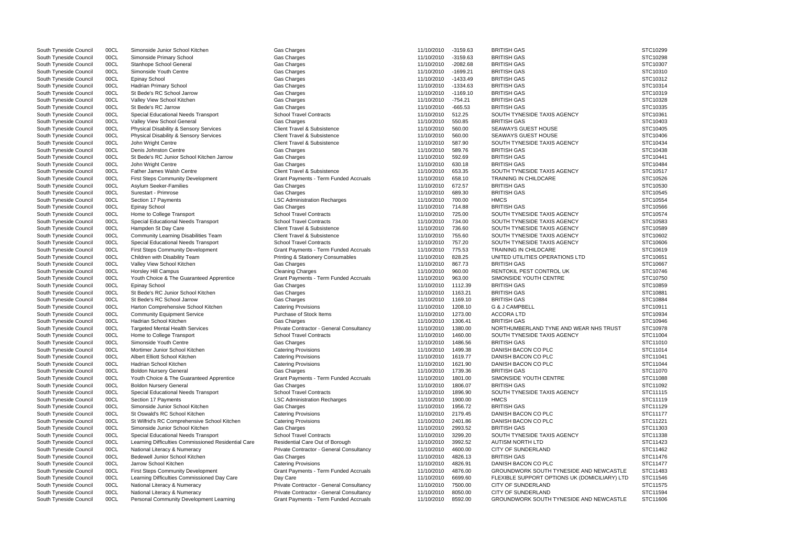| South Tyneside Council | 00CL | Simonside Junior School Kitchen                     | Gas Charges                                  | 11/10/2010         | $-3159.63$ | <b>BRITISH GAS</b>                            | STC10299 |
|------------------------|------|-----------------------------------------------------|----------------------------------------------|--------------------|------------|-----------------------------------------------|----------|
| South Tyneside Council | 00CL | Simonside Primary School                            | Gas Charges                                  | 11/10/2010         | $-3159.63$ | <b>BRITISH GAS</b>                            | STC10298 |
| South Tyneside Council | 00CL | Stanhope School General                             | Gas Charges                                  | 11/10/2010         | $-2082.68$ | <b>BRITISH GAS</b>                            | STC10307 |
| South Tyneside Council | 00CL | Simonside Youth Centre                              | Gas Charges                                  | 11/10/2010         | $-1699.21$ | <b>BRITISH GAS</b>                            | STC10310 |
| South Tyneside Council | 00CL | <b>Epinay School</b>                                | Gas Charges                                  | 11/10/2010         | $-1433.49$ | <b>BRITISH GAS</b>                            | STC10312 |
| South Tyneside Council | 00CL | <b>Hadrian Primary School</b>                       | Gas Charges                                  | 11/10/2010         | $-1334.63$ | <b>BRITISH GAS</b>                            | STC10314 |
| South Tyneside Council | 00CL | St Bede's RC School Jarrow                          | Gas Charges                                  | 11/10/2010         | $-1169.10$ | <b>BRITISH GAS</b>                            | STC10319 |
| South Tyneside Council | 00CL | Valley View School Kitchen                          | Gas Charges                                  | 11/10/2010         | $-754.21$  | <b>BRITISH GAS</b>                            | STC10328 |
| South Tyneside Council | 00CL | St Bede's RC Jarrow                                 | Gas Charges                                  | 11/10/2010         | $-665.53$  | <b>BRITISH GAS</b>                            | STC10335 |
| South Tyneside Council | 00CL | Special Educational Needs Transport                 | <b>School Travel Contracts</b>               | 11/10/2010         | 512.25     | SOUTH TYNESIDE TAXIS AGENCY                   | STC10361 |
| South Tyneside Council | 00CL | Valley View School General                          | Gas Charges                                  | 11/10/2010         | 550.85     | <b>BRITISH GAS</b>                            | STC10403 |
| South Tyneside Council | 00CL | Physical Disability & Sensory Services              | Client Travel & Subsistence                  | 11/10/2010         | 560.00     | <b>SEAWAYS GUEST HOUSE</b>                    | STC10405 |
| South Tyneside Council | 00CL | Physical Disability & Sensory Services              | <b>Client Travel &amp; Subsistence</b>       | 11/10/2010         | 560.00     | SEAWAYS GUEST HOUSE                           | STC10406 |
| South Tyneside Council | 00CL | John Wright Centre                                  | <b>Client Travel &amp; Subsistence</b>       | 11/10/2010         | 587.90     | SOUTH TYNESIDE TAXIS AGENCY                   | STC10434 |
| South Tyneside Council | 00CL | Denis Johnston Centre                               | Gas Charges                                  | 11/10/2010         | 589.76     | <b>BRITISH GAS</b>                            | STC10438 |
| South Tyneside Council | 00CL | St Bede's RC Junior School Kitchen Jarrow           | Gas Charges                                  | 11/10/2010         | 592.69     | <b>BRITISH GAS</b>                            | STC10441 |
| South Tyneside Council | 00CL | John Wright Centre                                  | Gas Charges                                  | 11/10/2010         | 630.18     | <b>BRITISH GAS</b>                            | STC10484 |
| South Tyneside Council | 00CL | Father James Walsh Centre                           | Client Travel & Subsistence                  | 11/10/2010         | 653.35     | SOUTH TYNESIDE TAXIS AGENCY                   | STC10517 |
| South Tyneside Council | 00CL | <b>First Steps Community Development</b>            | Grant Payments - Term Funded Accruals        | 11/10/2010         | 658.10     | TRAINING IN CHILDCARE                         | STC10526 |
| South Tyneside Council | 00CL | Asylum Seeker-Families                              | Gas Charges                                  | 11/10/2010         | 672.57     | <b>BRITISH GAS</b>                            | STC10530 |
| South Tyneside Council | 00CL | Surestart - Primrose                                | Gas Charges                                  | 11/10/2010         | 689.30     | <b>BRITISH GAS</b>                            | STC10545 |
| South Tyneside Council | 00CL | Section 17 Payments                                 | <b>LSC Administration Recharges</b>          | 11/10/2010         | 700.00     | <b>HMCS</b>                                   | STC10554 |
| South Tyneside Council | 00CL | <b>Epinay School</b>                                | Gas Charges                                  | 11/10/2010         | 714.88     | <b>BRITISH GAS</b>                            | STC10566 |
| South Tyneside Council | 00CL | Home to College Transport                           | <b>School Travel Contracts</b>               | 11/10/2010         | 725.00     | SOUTH TYNESIDE TAXIS AGENCY                   | STC10574 |
| South Tyneside Council | 00CL | Special Educational Needs Transport                 | <b>School Travel Contracts</b>               | 11/10/2010         | 734.00     | SOUTH TYNESIDE TAXIS AGENCY                   | STC10583 |
| South Tyneside Council | 00CL | Hampden St Day Care                                 | Client Travel & Subsistence                  | 11/10/2010         | 736.60     | SOUTH TYNESIDE TAXIS AGENCY                   | STC10589 |
| South Tyneside Council | 00CL | Community Learning Disabilities Team                | <b>Client Travel &amp; Subsistence</b>       | 11/10/2010         | 755.60     | SOUTH TYNESIDE TAXIS AGENCY                   | STC10602 |
| South Tyneside Council | 00CL | Special Educational Needs Transport                 | <b>School Travel Contracts</b>               | 11/10/2010         | 757.20     | SOUTH TYNESIDE TAXIS AGENCY                   | STC10606 |
| South Tyneside Council | 00CL | <b>First Steps Community Development</b>            | Grant Payments - Term Funded Accruals        | 11/10/2010         | 775.53     | TRAINING IN CHILDCARE                         | STC10619 |
| South Tyneside Council | 00CL | Children with Disability Team                       | <b>Printing &amp; Stationery Consumables</b> | 11/10/2010         | 828.25     | UNITED UTILITIES OPERATIONS LTD               | STC10651 |
| South Tyneside Council | 00CL | Valley View School Kitchen                          | Gas Charges                                  | 11/10/2010         | 867.73     | <b>BRITISH GAS</b>                            | STC10667 |
| South Tyneside Council | 00CL | Horsley Hill Campus                                 | <b>Cleaning Charges</b>                      | 11/10/2010         | 960.00     | RENTOKIL PEST CONTROL UK                      | STC10746 |
| South Tyneside Council | 00CL | Youth Choice & The Guaranteed Apprentice            | Grant Payments - Term Funded Accruals        | 11/10/2010         | 963.00     | SIMONSIDE YOUTH CENTRE                        | STC10750 |
| South Tyneside Council | 00CL | <b>Epinay School</b>                                | Gas Charges                                  | 11/10/2010         | 1112.39    | <b>BRITISH GAS</b>                            | STC10859 |
| South Tyneside Council | 00CL | St Bede's RC Junior School Kitchen                  | Gas Charges                                  | 11/10/2010         | 1163.21    | <b>BRITISH GAS</b>                            | STC10881 |
| South Tyneside Council | 00CL | St Bede's RC School Jarrow                          | Gas Charges                                  | 11/10/2010         | 1169.10    | <b>BRITISH GAS</b>                            | STC10884 |
| South Tyneside Council | 00CL | Harton Comprehensive School Kitchen                 | <b>Catering Provisions</b>                   | 11/10/2010         | 1208.10    | <b>G &amp; J CAMPBELL</b>                     | STC10911 |
| South Tyneside Council | 00CL | <b>Community Equipment Service</b>                  | Purchase of Stock Items                      | 11/10/2010         | 1273.00    | <b>ACCORA LTD</b>                             | STC10934 |
| South Tyneside Council | 00CL | Hadrian School Kitchen                              | Gas Charges                                  | 11/10/2010         | 1306.41    | <b>BRITISH GAS</b>                            | STC10946 |
| South Tyneside Council | 00CL | <b>Targeted Mental Health Services</b>              | Private Contractor - General Consultancy     | 11/10/2010         | 1380.00    | NORTHUMBERLAND TYNE AND WEAR NHS TRUST        | STC10978 |
| South Tyneside Council | 00CL | Home to College Transport                           | <b>School Travel Contracts</b>               | 11/10/2010         | 1460.00    | SOUTH TYNESIDE TAXIS AGENCY                   | STC11004 |
| South Tyneside Council | 00CL | Simonside Youth Centre                              | Gas Charges                                  | 11/10/2010 1486.56 |            | <b>BRITISH GAS</b>                            | STC11010 |
| South Tyneside Council | 00CL | Mortimer Junior School Kitchen                      | <b>Catering Provisions</b>                   | 11/10/2010 1499.38 |            | DANISH BACON CO PLC                           | STC11014 |
| South Tyneside Council | 00CL | Albert Elliott School Kitchen                       | <b>Catering Provisions</b>                   | 11/10/2010         | 1619.77    | DANISH BACON CO PLC                           | STC11041 |
| South Tyneside Council | 00CL | Hadrian School Kitchen                              | <b>Catering Provisions</b>                   | 11/10/2010         | 1621.90    | DANISH BACON CO PLC                           | STC11044 |
| South Tyneside Council | 00CL | <b>Boldon Nursery General</b>                       | Gas Charges                                  | 11/10/2010         | 1739.36    | <b>BRITISH GAS</b>                            | STC11070 |
| South Tyneside Council | 00CL | Youth Choice & The Guaranteed Apprentice            | Grant Payments - Term Funded Accruals        | 11/10/2010         | 1801.00    | SIMONSIDE YOUTH CENTRE                        | STC11088 |
| South Tyneside Council | 00CL | <b>Boldon Nursery General</b>                       | Gas Charges                                  | 11/10/2010         | 1806.07    | <b>BRITISH GAS</b>                            | STC11092 |
| South Tyneside Council | 00CL | Special Educational Needs Transport                 | <b>School Travel Contracts</b>               | 11/10/2010         | 1896.90    | SOUTH TYNESIDE TAXIS AGENCY                   | STC11115 |
| South Tyneside Council | 00CL | Section 17 Payments                                 | <b>LSC Administration Recharges</b>          | 11/10/2010         | 1900.00    | <b>HMCS</b>                                   | STC11119 |
| South Tyneside Council | 00CL | Simonside Junior School Kitchen                     | Gas Charges                                  | 11/10/2010         | 1956.72    | <b>BRITISH GAS</b>                            | STC11129 |
| South Tyneside Council | 00CL | St Oswald's RC School Kitchen                       | <b>Catering Provisions</b>                   | 11/10/2010         | 2179.45    | DANISH BACON CO PLC                           | STC11177 |
| South Tyneside Council | 00CL | St Wilfrid's RC Comprehensive School Kitchen        | <b>Catering Provisions</b>                   | 11/10/2010         | 2401.86    | DANISH BACON CO PLC                           | STC11221 |
| South Tyneside Council | 00CL | Simonside Junior School Kitchen                     | Gas Charges                                  | 11/10/2010         | 2993.52    | <b>BRITISH GAS</b>                            | STC11303 |
| South Tyneside Council | 00CL | Special Educational Needs Transport                 | <b>School Travel Contracts</b>               | 11/10/2010         | 3299.20    | SOUTH TYNESIDE TAXIS AGENCY                   | STC11338 |
| South Tyneside Council | 00CL | Learning Difficulties Commissioned Residential Care | Residential Care Out of Borough              | 11/10/2010         | 3992.52    | AUTISM NORTH LTD                              | STC11423 |
| South Tyneside Council | 00CL | National Literacy & Numeracy                        | Private Contractor - General Consultancy     | 11/10/2010         | 4600.00    | <b>CITY OF SUNDERLAND</b>                     | STC11462 |
| South Tyneside Council | 00CL | Bedewell Junior School Kitchen                      | Gas Charges                                  | 11/10/2010         | 4826.13    | <b>BRITISH GAS</b>                            | STC11476 |
| South Tyneside Council | 00CL | Jarrow School Kitchen                               | <b>Catering Provisions</b>                   | 11/10/2010         | 4826.91    | DANISH BACON CO PLC                           | STC11477 |
| South Tyneside Council | 00CL | <b>First Steps Community Development</b>            | Grant Payments - Term Funded Accruals        | 11/10/2010         | 4876.00    | GROUNDWORK SOUTH TYNESIDE AND NEWCASTLE       | STC11483 |
| South Tyneside Council | 00CL | Learning Difficulties Commissioned Day Care         | Day Care                                     | 11/10/2010         | 6699.60    | FLEXIBLE SUPPORT OPTIONS UK (DOMICILIARY) LTD | STC11546 |
| South Tyneside Council | 00CL | National Literacy & Numeracy                        | Private Contractor - General Consultancy     | 11/10/2010         | 7500.00    | <b>CITY OF SUNDERLAND</b>                     | STC11575 |
| South Tyneside Council | 00CL | National Literacy & Numeracy                        | Private Contractor - General Consultancy     | 11/10/2010         | 8050.00    | <b>CITY OF SUNDERLAND</b>                     | STC11594 |
| South Tyneside Council | 00CL | Personal Community Development Learning             | Grant Payments - Term Funded Accruals        | 11/10/2010         | 8592.00    | GROUNDWORK SOUTH TYNESIDE AND NEWCASTLE       | STC11606 |

| HS TRUST     | STC10299<br>STC10298<br>STC10307<br>STC10310<br>STC10312<br>STC10314<br>STC10319<br>STC10328<br>STC10335<br>STC10361<br>STC10403<br>STC10405<br>STC10406<br>STC10434<br>STC10438<br>STC10441<br>STC10484<br>STC10517<br>STC10526<br>STC10530<br>STC10545<br>STC10554<br>STC10566<br>STC10574<br>STC10583<br>STC10589<br>STC10602<br>STC10606<br>STC10619<br>STC10651<br>STC10667<br>STC10746<br>STC10750<br>STC10859<br>STC10881<br>STC10884<br>STC10911<br>STC10934<br>STC10946<br>STC10978<br>STC11004<br>STC11010<br>STC11014<br>STC11041<br>STC11044<br>STC11070<br>STC11088<br>STC11092<br>STC11115<br>STC11119<br>STC11129<br>STC11177<br>STC11221<br>STC11303<br>STC11338<br>STC11423<br>STC11462<br>STC11476 |
|--------------|----------------------------------------------------------------------------------------------------------------------------------------------------------------------------------------------------------------------------------------------------------------------------------------------------------------------------------------------------------------------------------------------------------------------------------------------------------------------------------------------------------------------------------------------------------------------------------------------------------------------------------------------------------------------------------------------------------------------|
|              |                                                                                                                                                                                                                                                                                                                                                                                                                                                                                                                                                                                                                                                                                                                      |
|              | STC11477                                                                                                                                                                                                                                                                                                                                                                                                                                                                                                                                                                                                                                                                                                             |
| NEWCASTLE    | STC11483                                                                                                                                                                                                                                                                                                                                                                                                                                                                                                                                                                                                                                                                                                             |
| CILIARY) LTD | STC11546                                                                                                                                                                                                                                                                                                                                                                                                                                                                                                                                                                                                                                                                                                             |
|              | STC11575                                                                                                                                                                                                                                                                                                                                                                                                                                                                                                                                                                                                                                                                                                             |
|              | STC11594                                                                                                                                                                                                                                                                                                                                                                                                                                                                                                                                                                                                                                                                                                             |
| NEWCASTLE    | STC11606                                                                                                                                                                                                                                                                                                                                                                                                                                                                                                                                                                                                                                                                                                             |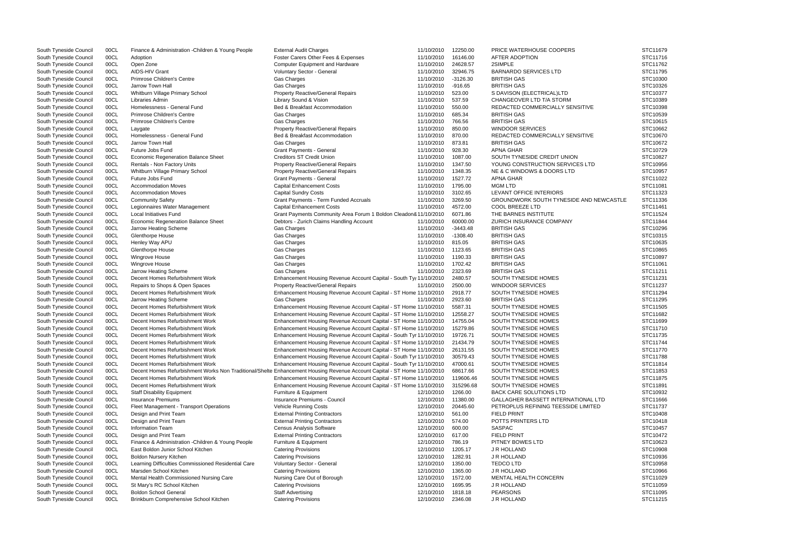| South Tyneside Council                           | 00CL | Finance & Administration - Children & Young People  | <b>External Audit Charges</b>                                                                                            | 11/10/2010 | 12250.00               | PRICE WATERHOUSE COOPERS                       | STC11679 |
|--------------------------------------------------|------|-----------------------------------------------------|--------------------------------------------------------------------------------------------------------------------------|------------|------------------------|------------------------------------------------|----------|
| South Tyneside Council                           | 00CL | Adoption                                            | Foster Carers Other Fees & Expenses                                                                                      | 11/10/2010 | 16146.00               | AFTER ADOPTION                                 | STC11716 |
| South Tyneside Council                           | 00CL | Open Zone                                           | <b>Computer Equipment and Hardware</b>                                                                                   | 11/10/2010 | 24628.57               | 2SIMPLE                                        | STC11762 |
|                                                  |      | AIDS-HIV Grant                                      |                                                                                                                          |            |                        | <b>BARNARDO SERVICES LTD</b>                   | STC11795 |
| South Tyneside Council<br>South Tyneside Council | 00CL | Primrose Children's Centre                          | Voluntary Sector - General                                                                                               | 11/10/2010 | 32946.75<br>$-3126.30$ | <b>BRITISH GAS</b>                             | STC10300 |
|                                                  | 00CL |                                                     | Gas Charges                                                                                                              | 11/10/2010 |                        |                                                |          |
| South Tyneside Council                           | 00CL | Jarrow Town Hall                                    | Gas Charges                                                                                                              | 11/10/2010 | $-916.65$              | <b>BRITISH GAS</b>                             | STC10326 |
| South Tyneside Council                           | 00CL | Whitburn Village Primary School                     | <b>Property Reactive/General Repairs</b>                                                                                 | 11/10/2010 | 523.00                 | S DAVISON (ELECTRICAL)LTD                      | STC10377 |
| South Tyneside Council                           | 00CL | Libraries Admin                                     | Library Sound & Vision                                                                                                   | 11/10/2010 | 537.59                 | CHANGEOVER LTD T/A STORM                       | STC10389 |
| South Tyneside Council                           | 00CL | Homelessness - General Fund                         | Bed & Breakfast Accommodation                                                                                            | 11/10/2010 | 550.00                 | REDACTED COMMERCIALLY SENSITIVE                | STC10398 |
| South Tyneside Council                           | 00CL | Primrose Children's Centre                          | Gas Charges                                                                                                              | 11/10/2010 | 685.34                 | <b>BRITISH GAS</b>                             | STC10539 |
| South Tyneside Council                           | 00CL | Primrose Children's Centre                          | Gas Charges                                                                                                              | 11/10/2010 | 766.56                 | <b>BRITISH GAS</b>                             | STC10615 |
| South Tyneside Council                           | 00CL | Laygate                                             | <b>Property Reactive/General Repairs</b>                                                                                 | 11/10/2010 | 850.00                 | <b>WINDOOR SERVICES</b>                        | STC10662 |
| South Tyneside Council                           | 00CL | Homelessness - General Fund                         | Bed & Breakfast Accommodation                                                                                            | 11/10/2010 | 870.00                 | REDACTED COMMERCIALLY SENSITIVE                | STC10670 |
| South Tyneside Council                           | 00CL | Jarrow Town Hall                                    | Gas Charges                                                                                                              | 11/10/2010 | 873.81                 | <b>BRITISH GAS</b>                             | STC10672 |
| South Tyneside Council                           | 00CL | Future Jobs Fund                                    | <b>Grant Payments - General</b>                                                                                          | 11/10/2010 | 928.30                 | <b>APNA GHAR</b>                               | STC10729 |
| South Tyneside Council                           | 00CL | <b>Economic Regeneration Balance Sheet</b>          | <b>Creditors ST Credit Union</b>                                                                                         | 11/10/2010 | 1087.00                | SOUTH TYNESIDE CREDIT UNION                    | STC10827 |
| South Tyneside Council                           | 00CL | Rentals - Non Factory Units                         | <b>Property Reactive/General Repairs</b>                                                                                 | 11/10/2010 | 1347.50                | YOUNG CONSTRUCTION SERVICES LTD                | STC10956 |
| South Tyneside Council                           | 00CL | Whitburn Village Primary School                     | Property Reactive/General Repairs                                                                                        | 11/10/2010 | 1348.35                | NE & C WINDOWS & DOORS LTD                     | STC10957 |
| South Tyneside Council                           | 00CL | Future Jobs Fund                                    | <b>Grant Payments - General</b>                                                                                          | 11/10/2010 | 1527.72                | <b>APNA GHAR</b>                               | STC11022 |
| South Tyneside Council                           | 00CL | <b>Accommodation Moves</b>                          | <b>Capital Enhancement Costs</b>                                                                                         | 11/10/2010 | 1795.00                | <b>MGM LTD</b>                                 | STC11081 |
| South Tyneside Council                           | 00CL | <b>Accommodation Moves</b>                          | <b>Capital Sundry Costs</b>                                                                                              | 11/10/2010 | 3102.65                | LEVANT OFFICE INTERIORS                        | STC11323 |
| South Tyneside Council                           | 00CL | <b>Community Safety</b>                             | Grant Payments - Term Funded Accruals                                                                                    | 11/10/2010 | 3269.50                | <b>GROUNDWORK SOUTH TYNESIDE AND NEWCASTLE</b> | STC11336 |
| South Tyneside Council                           | 00CL | Legionnaires Water Management                       | <b>Capital Enhancement Costs</b>                                                                                         | 11/10/2010 | 4572.00                | COOL BREEZE LTD                                | STC11461 |
|                                                  | 00CL | <b>Local Initiatives Fund</b>                       |                                                                                                                          |            | 6071.86                | THE BARNES INSTITUTE                           | STC11524 |
| South Tyneside Council                           |      |                                                     | Grant Payments Community Area Forum 1 Boldon Cleadon8 11/10/2010                                                         |            |                        |                                                |          |
| South Tyneside Council                           | 00CL | <b>Economic Regeneration Balance Sheet</b>          | Debtors - Zurich Claims Handling Account                                                                                 | 11/10/2010 | 60000.00               | ZURICH INSURANCE COMPANY                       | STC11844 |
| South Tyneside Council                           | 00CL | Jarrow Heating Scheme                               | Gas Charges                                                                                                              | 11/10/2010 | $-3443.48$             | <b>BRITISH GAS</b>                             | STC10296 |
| South Tyneside Council                           | 00CL | <b>Glenthorpe House</b>                             | Gas Charges                                                                                                              | 11/10/2010 | $-1308.40$             | <b>BRITISH GAS</b>                             | STC10315 |
| South Tyneside Council                           | 00CL | Henley Way APU                                      | Gas Charges                                                                                                              | 11/10/2010 | 815.05                 | <b>BRITISH GAS</b>                             | STC10635 |
| South Tyneside Council                           | 00CL | <b>Glenthorpe House</b>                             | Gas Charges                                                                                                              | 11/10/2010 | 1123.65                | <b>BRITISH GAS</b>                             | STC10865 |
| South Tyneside Council                           | 00CL | <b>Wingrove House</b>                               | Gas Charges                                                                                                              | 11/10/2010 | 1190.33                | <b>BRITISH GAS</b>                             | STC10897 |
| South Tyneside Council                           | 00CL | Wingrove House                                      | Gas Charges                                                                                                              | 11/10/2010 | 1702.42                | <b>BRITISH GAS</b>                             | STC11061 |
| South Tyneside Council                           | 00CL | Jarrow Heating Scheme                               | Gas Charges                                                                                                              | 11/10/2010 | 2323.69                | <b>BRITISH GAS</b>                             | STC11211 |
| South Tyneside Council                           | 00CL | Decent Homes Refurbishment Work                     | Enhancement Housing Revenue Account Capital - South Tyr 11/10/2010                                                       |            | 2480.57                | SOUTH TYNESIDE HOMES                           | STC11231 |
| South Tyneside Council                           | 00CL | Repairs to Shops & Open Spaces                      | <b>Property Reactive/General Repairs</b>                                                                                 | 11/10/2010 | 2500.00                | <b>WINDOOR SERVICES</b>                        | STC11237 |
| South Tyneside Council                           | 00CL | Decent Homes Refurbishment Work                     | Enhancement Housing Revenue Account Capital - ST Home 11/10/2010                                                         |            | 2918.77                | SOUTH TYNESIDE HOMES                           | STC11294 |
| South Tyneside Council                           | 00CL | Jarrow Heating Scheme                               | <b>Gas Charges</b>                                                                                                       | 11/10/2010 | 2923.60                | <b>BRITISH GAS</b>                             | STC11295 |
| South Tyneside Council                           | 00CL | Decent Homes Refurbishment Work                     | Enhancement Housing Revenue Account Capital - ST Home 11/10/2010                                                         |            | 5587.31                | SOUTH TYNESIDE HOMES                           | STC11505 |
| South Tyneside Council                           | 00CL | Decent Homes Refurbishment Work                     | Enhancement Housing Revenue Account Capital - ST Home 11/10/2010                                                         |            | 12558.27               | SOUTH TYNESIDE HOMES                           | STC11682 |
| South Tyneside Council                           | 00CL | Decent Homes Refurbishment Work                     | Enhancement Housing Revenue Account Capital - ST Home 11/10/2010                                                         |            | 14755.04               | SOUTH TYNESIDE HOMES                           | STC11699 |
| South Tyneside Council                           | 00CL | Decent Homes Refurbishment Work                     | Enhancement Housing Revenue Account Capital - ST Home 11/10/2010                                                         |            | 15279.86               | SOUTH TYNESIDE HOMES                           | STC11710 |
| South Tyneside Council                           | 00CL | Decent Homes Refurbishment Work                     | Enhancement Housing Revenue Account Capital - South Tyr 11/10/2010                                                       |            | 19726.71               | SOUTH TYNESIDE HOMES                           | STC11735 |
| South Tyneside Council                           |      |                                                     |                                                                                                                          |            |                        |                                                | STC11744 |
|                                                  | 00CL | Decent Homes Refurbishment Work                     | Enhancement Housing Revenue Account Capital - ST Home 11/10/2010                                                         |            | 21434.79               | SOUTH TYNESIDE HOMES                           |          |
| South Tyneside Council                           | 00CL | Decent Homes Refurbishment Work                     | Enhancement Housing Revenue Account Capital - ST Home 11/10/2010                                                         |            | 26131.55               | SOUTH TYNESIDE HOMES                           | STC11770 |
| South Tyneside Council                           | 00CL | Decent Homes Refurbishment Work                     | Enhancement Housing Revenue Account Capital - South Tyr 11/10/2010                                                       |            | 30579.43               | SOUTH TYNESIDE HOMES                           | STC11788 |
| South Tyneside Council                           | 00CL | Decent Homes Refurbishment Work                     | Enhancement Housing Revenue Account Capital - South Tyr 11/10/2010                                                       |            | 47000.61               | SOUTH TYNESIDE HOMES                           | STC11814 |
| South Tyneside Council                           | 00CL |                                                     | Decent Homes Refurbishment Works Non Traditional/Shelte Enhancement Housing Revenue Account Capital - ST Home 11/10/2010 |            | 68617.66               | SOUTH TYNESIDE HOMES                           | STC11853 |
| South Tyneside Council                           | 00CL | Decent Homes Refurbishment Work                     | Enhancement Housing Revenue Account Capital - ST Home 11/10/2010                                                         |            | 119606.46              | SOUTH TYNESIDE HOMES                           | STC11875 |
| South Tyneside Council                           | 00CL | Decent Homes Refurbishment Work                     | Enhancement Housing Revenue Account Capital - ST Home 11/10/2010                                                         |            | 315296.68              | SOUTH TYNESIDE HOMES                           | STC11891 |
| South Tyneside Council                           | 00CL | <b>Staff Disability Equipment</b>                   | Furniture & Equipment                                                                                                    | 12/10/2010 | 1266.00                | <b>BACK CARE SOLUTIONS LTD</b>                 | STC10932 |
| South Tyneside Council                           | 00CL | <b>Insurance Premiums</b>                           | Insurance Premiums - Council                                                                                             | 12/10/2010 | 11380.00               | GALLAGHER BASSETT INTERNATIONAL LTD            | STC11666 |
| South Tyneside Council                           | 00CL | Fleet Management - Transport Operations             | <b>Vehicle Running Costs</b>                                                                                             | 12/10/2010 | 20445.60               | PETROPLUS REFINING TEESSIDE LIMITED            | STC11737 |
| South Tyneside Council                           | 00CL | Design and Print Team                               | <b>External Printing Contractors</b>                                                                                     | 12/10/2010 | 561.00                 | <b>FIELD PRINT</b>                             | STC10408 |
| South Tyneside Council                           | 00CL | Design and Print Team                               | <b>External Printing Contractors</b>                                                                                     | 12/10/2010 | 574.00                 | POTTS PRINTERS LTD                             | STC10418 |
| South Tyneside Council                           | 00CL | <b>Information Team</b>                             | <b>Census Analysis Software</b>                                                                                          | 12/10/2010 | 600.00                 | <b>SASPAC</b>                                  | STC10457 |
| South Tyneside Council                           | 00CL | Design and Print Team                               | <b>External Printing Contractors</b>                                                                                     | 12/10/2010 | 617.00                 | <b>FIELD PRINT</b>                             | STC10472 |
| South Tyneside Council                           | 00CL | Finance & Administration - Children & Young People  | Furniture & Equipment                                                                                                    | 12/10/2010 | 786.19                 | PITNEY BOWES LTD                               | STC10623 |
| South Tyneside Council                           | 00CL | East Boldon Junior School Kitchen                   | <b>Catering Provisions</b>                                                                                               | 12/10/2010 | 1205.17                | <b>J R HOLLAND</b>                             | STC10908 |
| South Tyneside Council                           | 00CL | <b>Boldon Nursery Kitchen</b>                       | <b>Catering Provisions</b>                                                                                               | 12/10/2010 | 1282.91                | J R HOLLAND                                    | STC10936 |
| South Tyneside Council                           | 00CL | Learning Difficulties Commissioned Residential Care | Voluntary Sector - General                                                                                               | 12/10/2010 | 1350.00                | <b>TEDCOLTD</b>                                | STC10958 |
| South Tyneside Council                           | 00CL | Marsden School Kitchen                              | <b>Catering Provisions</b>                                                                                               | 12/10/2010 | 1365.00                | J R HOLLAND                                    | STC10966 |
|                                                  |      |                                                     |                                                                                                                          |            |                        |                                                |          |
| South Tyneside Council                           | 00CL | Mental Health Commissioned Nursing Care             | Nursing Care Out of Borough                                                                                              | 12/10/2010 | 1572.00                | <b>MENTAL HEALTH CONCERN</b>                   | STC11029 |
| South Tyneside Council                           | 00CL | St Mary's RC School Kitchen                         | <b>Catering Provisions</b>                                                                                               | 12/10/2010 | 1695.95                | J R HOLLAND                                    | STC11059 |
| South Tyneside Council                           | 00CL | <b>Boldon School General</b>                        | <b>Staff Advertising</b>                                                                                                 | 12/10/2010 | 1818.18                | <b>PEARSONS</b>                                | STC11095 |
| South Tyneside Council                           | 00CL | Brinkburn Comprehensive School Kitchen              | <b>Catering Provisions</b>                                                                                               | 12/10/2010 | 2346.08                | J R HOLLAND                                    | STC11215 |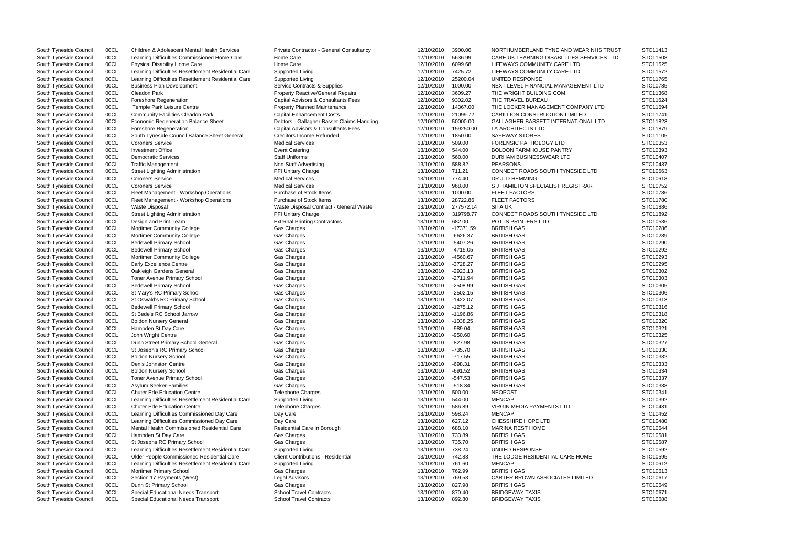| South Tyneside Council | 00CL | <b>Children &amp; Adolescent Mental Health Services</b> | Private Contractor - General Consultancy   | 12/10/2010 | 3900.00     | NORTHUMBERLAND TYNE AND WEAR NHS TRUST     | STC11413             |
|------------------------|------|---------------------------------------------------------|--------------------------------------------|------------|-------------|--------------------------------------------|----------------------|
| South Tyneside Council | 00CL | Learning Difficulties Commissioned Home Care            | Home Care                                  | 12/10/2010 | 5636.99     | CARE UK LEARNING DISABILITIES SERVICES LTD | STC11508             |
| South Tyneside Council | 00CL | Physical Disability Home Care                           | Home Care                                  | 12/10/2010 | 6099.68     | LIFEWAYS COMMUNITY CARE LTD                | STC11525             |
| South Tyneside Council | 00CL | Learning Difficulties Resettlement Residential Care     | Supported Living                           | 12/10/2010 | 7425.72     | LIFEWAYS COMMUNITY CARE LTD                | STC11572             |
| South Tyneside Council | 00CL | Learning Difficulties Resettlement Residential Care     | Supported Living                           | 12/10/2010 | 25200.04    | UNITED RESPONSE                            | STC11765             |
| South Tyneside Council | 00CL | <b>Business Plan Development</b>                        | Service Contracts & Supplies               | 12/10/2010 | 1000.00     | NEXT LEVEL FINANCIAL MANAGEMENT LTD        | STC10785             |
| South Tyneside Council | 00CL | <b>Cleadon Park</b>                                     | <b>Property Reactive/General Repairs</b>   | 12/10/2010 | 3609.27     | THE WRIGHT BUILDING COM.                   | STC11368             |
|                        |      |                                                         | Capital Advisors & Consultants Fees        |            |             | THE TRAVEL BUREAU                          | STC11624             |
| South Tyneside Council | 00CL | <b>Foreshore Regeneration</b>                           |                                            | 12/10/2010 | 9302.02     |                                            |                      |
| South Tyneside Council | 00CL | Temple Park Leisure Centre                              | Property Planned Maintenance               | 12/10/2010 | 14367.00    | THE LOCKER MANAGEMENT COMPANY LTD          | STC11694<br>STC11741 |
| South Tyneside Council | 00CL | <b>Community Facilities Cleadon Park</b>                | <b>Capital Enhancement Costs</b>           | 12/10/2010 | 21099.72    | <b>CARILLION CONSTRUCTION LIMITED</b>      |                      |
| South Tyneside Council | 00CL | <b>Economic Regeneration Balance Sheet</b>              | Debtors - Gallagher Basset Claims Handling | 12/10/2010 | 50000.00    | GALLAGHER BASSETT INTERNATIONAL LTD        | STC11823             |
| South Tyneside Council | 00CL | Foreshore Regeneration                                  | Capital Advisors & Consultants Fees        | 12/10/2010 | 159250.00   | LA ARCHITECTS LTD                          | STC11879             |
| South Tyneside Council | 00CL | South Tyneside Council Balance Sheet General            | <b>Creditors Income Refunded</b>           | 12/10/2010 | 1850.00     | <b>SAFEWAY STORES</b>                      | STC11105             |
| South Tyneside Council | 00CL | <b>Coroners Service</b>                                 | <b>Medical Services</b>                    | 13/10/2010 | 509.00      | <b>FORENSIC PATHOLOGY LTD</b>              | STC10353             |
| South Tyneside Council | 00CL | <b>Investment Office</b>                                | <b>Event Catering</b>                      | 13/10/2010 | 544.00      | <b>BOLDON FARMHOUSE PANTRY</b>             | STC10393             |
| South Tyneside Council | 00CL | <b>Democratic Services</b>                              | <b>Staff Uniforms</b>                      | 13/10/2010 | 560.00      | DURHAM BUSINESSWEAR LTD                    | STC10407             |
| South Tyneside Council | 00CL | <b>Traffic Management</b>                               | Non-Staff Advertising                      | 13/10/2010 | 588.82      | <b>PEARSONS</b>                            | STC10437             |
| South Tyneside Council | 00CL | <b>Street Lighting Administration</b>                   | PFI Unitary Charge                         | 13/10/2010 | 711.21      | CONNECT ROADS SOUTH TYNESIDE LTD           | STC10563             |
| South Tyneside Council | 00CL | <b>Coroners Service</b>                                 | <b>Medical Services</b>                    | 13/10/2010 | 774.40      | DR J D HEMMING                             | STC10618             |
| South Tyneside Council | 00CL | <b>Coroners Service</b>                                 | <b>Medical Services</b>                    | 13/10/2010 | 968.00      | S J HAMILTON SPECIALIST REGISTRAR          | STC10752             |
| South Tyneside Council | 00CL | Fleet Management - Workshop Operations                  | Purchase of Stock Items                    | 13/10/2010 | 1000.00     | <b>FLEET FACTORS</b>                       | STC10786             |
| South Tyneside Council | 00CL | Fleet Management - Workshop Operations                  | Purchase of Stock Items                    | 13/10/2010 | 28722.86    | FLEET FACTORS                              | STC11780             |
| South Tyneside Council | 00CL | <b>Waste Disposal</b>                                   | Waste Disposal Contract - General Waste    | 13/10/2010 | 277572.14   | <b>SITA UK</b>                             | STC11886             |
| South Tyneside Council | 00CL | <b>Street Lighting Administration</b>                   | PFI Unitary Charge                         | 13/10/2010 | 319798.77   | CONNECT ROADS SOUTH TYNESIDE LTD           | STC11892             |
| South Tyneside Council | 00CL | Design and Print Team                                   | <b>External Printing Contractors</b>       | 13/10/2010 | 682.00      | POTTS PRINTERS LTD                         | STC10536             |
| South Tyneside Council | 00CL | Mortimer Community College                              | Gas Charges                                | 13/10/2010 | $-17371.59$ | <b>BRITISH GAS</b>                         | STC10286             |
| South Tyneside Council | 00CL | Mortimer Community College                              | Gas Charges                                | 13/10/2010 | $-6626.37$  | <b>BRITISH GAS</b>                         | STC10289             |
| South Tyneside Council | 00CL | <b>Bedewell Primary School</b>                          | Gas Charges                                | 13/10/2010 | $-5407.26$  | <b>BRITISH GAS</b>                         | STC10290             |
| South Tyneside Council | 00CL | <b>Bedewell Primary School</b>                          | Gas Charges                                | 13/10/2010 | $-4715.05$  | <b>BRITISH GAS</b>                         | STC10292             |
| South Tyneside Council | 00CL | Mortimer Community College                              | Gas Charges                                | 13/10/2010 | $-4560.67$  | <b>BRITISH GAS</b>                         | STC10293             |
|                        |      |                                                         |                                            |            |             | <b>BRITISH GAS</b>                         | STC10295             |
| South Tyneside Council | 00CL | <b>Early Excellence Centre</b>                          | Gas Charges                                | 13/10/2010 | $-3728.27$  |                                            |                      |
| South Tyneside Council | 00CL | Oakleigh Gardens General                                | Gas Charges                                | 13/10/2010 | $-2923.13$  | <b>BRITISH GAS</b>                         | STC10302             |
| South Tyneside Council | 00CL | Toner Avenue Primary School                             | Gas Charges                                | 13/10/2010 | $-2711.94$  | <b>BRITISH GAS</b>                         | STC10303             |
| South Tyneside Council | 00CL | <b>Bedewell Primary School</b>                          | Gas Charges                                | 13/10/2010 | $-2508.99$  | <b>BRITISH GAS</b>                         | STC10305             |
| South Tyneside Council | 00CL | St Mary's RC Primary School                             | Gas Charges                                | 13/10/2010 | $-2502.15$  | <b>BRITISH GAS</b>                         | STC10306             |
| South Tyneside Council | 00CL | St Oswald's RC Primary School                           | Gas Charges                                | 13/10/2010 | $-1422.07$  | <b>BRITISH GAS</b>                         | STC10313             |
| South Tyneside Council | 00CL | <b>Bedewell Primary School</b>                          | Gas Charges                                | 13/10/2010 | $-1275.12$  | <b>BRITISH GAS</b>                         | STC10316             |
| South Tyneside Council | 00CL | St Bede's RC School Jarrow                              | Gas Charges                                | 13/10/2010 | $-1196.86$  | <b>BRITISH GAS</b>                         | STC10318             |
| South Tyneside Council | 00CL | <b>Boldon Nursery General</b>                           | Gas Charges                                | 13/10/2010 | $-1038.25$  | <b>BRITISH GAS</b>                         | STC10320             |
| South Tyneside Council | 00CL | Hampden St Day Care                                     | Gas Charges                                | 13/10/2010 | $-989.04$   | <b>BRITISH GAS</b>                         | STC10321             |
| South Tyneside Council | 00CL | John Wright Centre                                      | Gas Charges                                | 13/10/2010 | $-950.60$   | <b>BRITISH GAS</b>                         | STC10325             |
| South Tyneside Council | 00CL | Dunn Street Primary School General                      | Gas Charges                                | 13/10/2010 | -827.98     | <b>BRITISH GAS</b>                         | STC10327             |
| South Tyneside Council | 00CL | St Joseph's RC Primary School                           | Gas Charges                                | 13/10/2010 | $-735.70$   | <b>BRITISH GAS</b>                         | STC10330             |
| South Tyneside Council | 00CL | <b>Boldon Nursery School</b>                            | Gas Charges                                | 13/10/2010 | $-717.55$   | <b>BRITISH GAS</b>                         | STC10332             |
| South Tyneside Council | 00CL | Denis Johnston Centre                                   | Gas Charges                                | 13/10/2010 | $-698.31$   | <b>BRITISH GAS</b>                         | STC10333             |
| South Tyneside Council | 00CL | <b>Boldon Nursery School</b>                            | Gas Charges                                | 13/10/2010 | $-691.52$   | <b>BRITISH GAS</b>                         | STC10334             |
| South Tyneside Council | 00CL | <b>Toner Avenue Primary School</b>                      | Gas Charges                                | 13/10/2010 | $-547.53$   | <b>BRITISH GAS</b>                         | STC10337             |
| South Tyneside Council | 00CL | <b>Asylum Seeker-Families</b>                           | Gas Charges                                | 13/10/2010 | $-518.34$   | <b>BRITISH GAS</b>                         | STC10338             |
| South Tyneside Council | 00CL | <b>Chuter Ede Education Centre</b>                      | <b>Telephone Charges</b>                   | 13/10/2010 | 500.00      | <b>NEOPOST</b>                             | STC10341             |
| South Tyneside Council | 00CL | Learning Difficulties Resettlement Residential Care     | Supported Living                           | 13/10/2010 | 544.00      | <b>MENCAP</b>                              | STC10392             |
| South Tyneside Council | 00CL | <b>Chuter Ede Education Centre</b>                      | Telephone Charges                          | 13/10/2010 | 586.89      | <b>VIRGIN MEDIA PAYMENTS LTD</b>           | STC10431             |
|                        |      |                                                         |                                            |            |             |                                            |                      |
| South Tyneside Council | 00CL | Learning Difficulties Commissioned Day Care             | Day Care                                   | 13/10/2010 | 598.24      | <b>MENCAP</b>                              | STC10452             |
| South Tyneside Council | 00CL | Learning Difficulties Commissioned Day Care             | Day Care                                   | 13/10/2010 | 627.12      | <b>CHESSHIRE HOPE LTD</b>                  | STC10480             |
| South Tyneside Council | 00CL | Mental Health Commissioned Residential Care             | Residential Care In Borough                | 13/10/2010 | 688.10      | <b>MARINA REST HOME</b>                    | STC10544             |
| South Tyneside Council | 00CL | Hampden St Day Care                                     | Gas Charges                                | 13/10/2010 | 733.89      | <b>BRITISH GAS</b>                         | STC10581             |
| South Tyneside Council | 00CL | St Josephs RC Primary School                            | Gas Charges                                | 13/10/2010 | 735.70      | <b>BRITISH GAS</b>                         | STC10587             |
| South Tyneside Council | 00CL | Learning Difficulties Resettlement Residential Care     | Supported Living                           | 13/10/2010 | 738.24      | UNITED RESPONSE                            | STC10592             |
| South Tyneside Council | 00CL | Older People Commissioned Residential Care              | <b>Client Contributions - Residential</b>  | 13/10/2010 | 742.83      | THE LODGE RESIDENTIAL CARE HOME            | STC10595             |
| South Tyneside Council | 00CL | Learning Difficulties Resettlement Residential Care     | Supported Living                           | 13/10/2010 | 761.60      | <b>MENCAP</b>                              | STC10612             |
| South Tyneside Council | 00CL | Mortimer Primary School                                 | Gas Charges                                | 13/10/2010 | 762.99      | <b>BRITISH GAS</b>                         | STC10613             |
| South Tyneside Council | 00CL | Section 17 Payments (West)                              | Legal Advisors                             | 13/10/2010 | 769.53      | <b>CARTER BROWN ASSOCIATES LIMITED</b>     | STC10617             |
| South Tyneside Council | 00CL | Dunn St Primary School                                  | Gas Charges                                | 13/10/2010 | 827.98      | <b>BRITISH GAS</b>                         | STC10649             |
| South Tyneside Council | 00CL | Special Educational Needs Transport                     | <b>School Travel Contracts</b>             | 13/10/2010 | 870.40      | <b>BRIDGEWAY TAXIS</b>                     | STC10671             |
| South Tyneside Council | 00CL | Special Educational Needs Transport                     | <b>School Travel Contracts</b>             | 13/10/2010 | 892.80      | <b>BRIDGEWAY TAXIS</b>                     | STC10688             |
|                        |      |                                                         |                                            |            |             |                                            |                      |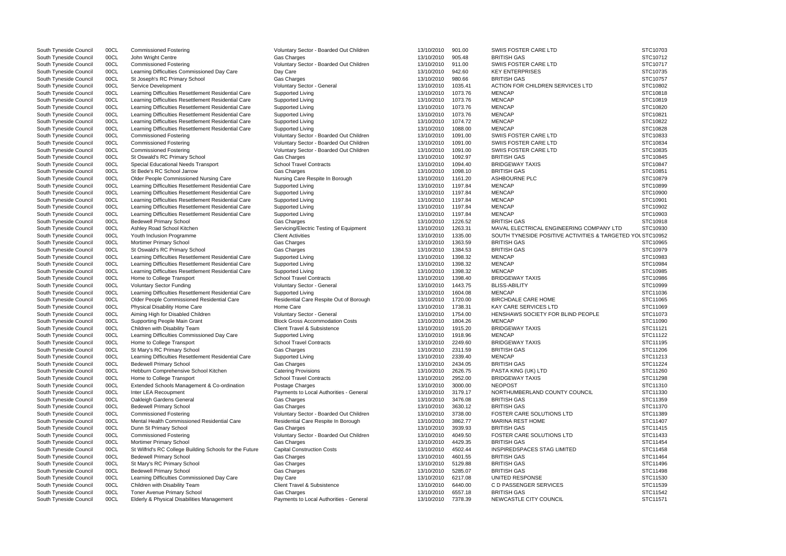| South Tyneside Council | 00CL | <b>Commissioned Fostering</b>                           | Voluntary Sector - Boarded Out Children | 13/10/2010 | 901.00  | SWIIS FOSTER CARE LTD                                      | STC10703 |
|------------------------|------|---------------------------------------------------------|-----------------------------------------|------------|---------|------------------------------------------------------------|----------|
| South Tyneside Council | 00CL | John Wright Centre                                      | Gas Charges                             | 13/10/2010 | 905.48  | <b>BRITISH GAS</b>                                         | STC10712 |
| South Tyneside Council | 00CL | <b>Commissioned Fostering</b>                           | Voluntary Sector - Boarded Out Children | 13/10/2010 | 911.00  | SWIIS FOSTER CARE LTD                                      | STC10717 |
| South Tyneside Council | 00CL | Learning Difficulties Commissioned Day Care             | Day Care                                | 13/10/2010 | 942.60  | <b>KEY ENTERPRISES</b>                                     | STC10735 |
| South Tyneside Council | 00CL | St Joseph's RC Primary School                           | Gas Charges                             | 13/10/2010 | 980.66  | <b>BRITISH GAS</b>                                         | STC10757 |
| South Tyneside Council | 00CL | Service Development                                     | Voluntary Sector - General              | 13/10/2010 | 1035.41 | ACTION FOR CHILDREN SERVICES LTD                           | STC10802 |
| South Tyneside Council | 00CL | Learning Difficulties Resettlement Residential Care     | Supported Living                        | 13/10/2010 | 1073.76 | <b>MENCAP</b>                                              | STC10818 |
|                        |      |                                                         |                                         |            |         |                                                            |          |
| South Tyneside Council | 00CL | Learning Difficulties Resettlement Residential Care     | Supported Living                        | 13/10/2010 | 1073.76 | <b>MENCAP</b>                                              | STC10819 |
| South Tyneside Council | 00CL | Learning Difficulties Resettlement Residential Care     | Supported Living                        | 13/10/2010 | 1073.76 | <b>MENCAP</b>                                              | STC10820 |
| South Tyneside Council | 00CL | Learning Difficulties Resettlement Residential Care     | Supported Living                        | 13/10/2010 | 1073.76 | <b>MENCAP</b>                                              | STC10821 |
| South Tyneside Council | 00CL | Learning Difficulties Resettlement Residential Care     | Supported Living                        | 13/10/2010 | 1074.72 | <b>MENCAP</b>                                              | STC10822 |
| South Tyneside Council | 00CL | Learning Difficulties Resettlement Residential Care     | Supported Living                        | 13/10/2010 | 1088.00 | <b>MENCAP</b>                                              | STC10828 |
| South Tyneside Council | 00CL | <b>Commissioned Fostering</b>                           | Voluntary Sector - Boarded Out Children | 13/10/2010 | 1091.00 | SWIIS FOSTER CARE LTD                                      | STC10833 |
| South Tyneside Council | 00CL | <b>Commissioned Fostering</b>                           | Voluntary Sector - Boarded Out Children | 13/10/2010 | 1091.00 | SWIIS FOSTER CARE LTD                                      | STC10834 |
| South Tyneside Council | 00CL | <b>Commissioned Fostering</b>                           | Voluntary Sector - Boarded Out Children | 13/10/2010 | 1091.00 | SWIIS FOSTER CARE LTD                                      | STC10835 |
| South Tyneside Council | 00CL | St Oswald's RC Primary School                           | Gas Charges                             | 13/10/2010 | 1092.97 | <b>BRITISH GAS</b>                                         | STC10845 |
| South Tyneside Council | 00CL | Special Educational Needs Transport                     | <b>School Travel Contracts</b>          | 13/10/2010 | 1094.40 | <b>BRIDGEWAY TAXIS</b>                                     | STC10847 |
| South Tyneside Council | 00CL | St Bede's RC School Jarrow                              | Gas Charges                             | 13/10/2010 | 1098.10 | <b>BRITISH GAS</b>                                         | STC10851 |
|                        |      | Older People Commissioned Nursing Care                  |                                         |            |         | ASHBOURNE PLC                                              | STC10879 |
| South Tyneside Council | 00CL |                                                         | Nursing Care Respite In Borough         | 13/10/2010 | 1161.20 |                                                            |          |
| South Tyneside Council | 00CL | Learning Difficulties Resettlement Residential Care     | Supported Living                        | 13/10/2010 | 1197.84 | <b>MENCAP</b>                                              | STC10899 |
| South Tyneside Council | 00CL | Learning Difficulties Resettlement Residential Care     | Supported Living                        | 13/10/2010 | 1197.84 | <b>MENCAP</b>                                              | STC10900 |
| South Tyneside Council | 00CL | Learning Difficulties Resettlement Residential Care     | Supported Living                        | 13/10/2010 | 1197.84 | <b>MENCAP</b>                                              | STC10901 |
| South Tyneside Council | 00CL | Learning Difficulties Resettlement Residential Care     | Supported Living                        | 13/10/2010 | 1197.84 | <b>MENCAP</b>                                              | STC10902 |
| South Tyneside Council | 00CL | Learning Difficulties Resettlement Residential Care     | Supported Living                        | 13/10/2010 | 1197.84 | <b>MENCAP</b>                                              | STC10903 |
| South Tyneside Council | 00CL | <b>Bedewell Primary School</b>                          | Gas Charges                             | 13/10/2010 | 1226.52 | <b>BRITISH GAS</b>                                         | STC10918 |
| South Tyneside Council | 00CL | Ashley Road School Kitchen                              | Servicing/Electric Testing of Equipment | 13/10/2010 | 1263.31 | MAVAL ELECTRICAL ENGINEERING COMPANY LTD                   | STC10930 |
| South Tyneside Council | 00CL | Youth Inclusion Programme                               | <b>Client Activities</b>                | 13/10/2010 | 1335.00 | SOUTH TYNESIDE POSITIVE ACTIVITIES & TARGETED YOL STC10952 |          |
| South Tyneside Council | 00CL | Mortimer Primary School                                 | <b>Gas Charges</b>                      | 13/10/2010 | 1363.59 | <b>BRITISH GAS</b>                                         | STC10965 |
| South Tyneside Council | 00CL | St Oswald's RC Primary School                           | Gas Charges                             | 13/10/2010 | 1384.53 | <b>BRITISH GAS</b>                                         | STC10979 |
| South Tyneside Council | 00CL | Learning Difficulties Resettlement Residential Care     | Supported Living                        | 13/10/2010 | 1398.32 | <b>MENCAP</b>                                              | STC10983 |
|                        | 00CL |                                                         |                                         | 13/10/2010 | 1398.32 | <b>MENCAP</b>                                              | STC10984 |
| South Tyneside Council |      | Learning Difficulties Resettlement Residential Care     | Supported Living                        |            |         |                                                            |          |
| South Tyneside Council | 00CL | Learning Difficulties Resettlement Residential Care     | Supported Living                        | 13/10/2010 | 1398.32 | <b>MENCAP</b>                                              | STC10985 |
| South Tyneside Council | 00CL | Home to College Transport                               | <b>School Travel Contracts</b>          | 13/10/2010 | 1398.40 | <b>BRIDGEWAY TAXIS</b>                                     | STC10986 |
| South Tyneside Council | 00CL | <b>Voluntary Sector Funding</b>                         | Voluntary Sector - General              | 13/10/2010 | 1443.75 | <b>BLISS-ABILITY</b>                                       | STC10999 |
| South Tyneside Council | 00CL | Learning Difficulties Resettlement Residential Care     | Supported Living                        | 13/10/2010 | 1604.08 | <b>MENCAP</b>                                              | STC11036 |
| South Tyneside Council | 00CL | Older People Commissioned Residential Care              | Residential Care Respite Out of Borough | 13/10/2010 | 1720.00 | <b>BIRCHDALE CARE HOME</b>                                 | STC11065 |
| South Tyneside Council | 00CL | Physical Disability Home Care                           | Home Care                               | 13/10/2010 | 1738.31 | KAY CARE SERVICES LTD                                      | STC11069 |
| South Tyneside Council | 00CL | Aiming High for Disabled Children                       | Voluntary Sector - General              | 13/10/2010 | 1754.00 | HENSHAWS SOCIETY FOR BLIND PEOPLE                          | STC11073 |
| South Tyneside Council | 00CL | Supporting People Main Grant                            | <b>Block Gross Accommodation Costs</b>  | 13/10/2010 | 1804.26 | <b>MENCAP</b>                                              | STC11090 |
| South Tyneside Council | 00CL | Children with Disability Team                           | <b>Client Travel &amp; Subsistence</b>  | 13/10/2010 | 1915.20 | <b>BRIDGEWAY TAXIS</b>                                     | STC11121 |
| South Tyneside Council | 00CL | Learning Difficulties Commissioned Day Care             | Supported Living                        | 13/10/2010 | 1918.96 | <b>MENCAP</b>                                              | STC11122 |
| South Tyneside Council | 00CL | Home to College Transport                               | <b>School Travel Contracts</b>          | 13/10/2010 | 2249.60 | <b>BRIDGEWAY TAXIS</b>                                     | STC11195 |
| South Tyneside Council | 00CL | St Mary's RC Primary School                             | <b>Gas Charges</b>                      | 13/10/2010 | 2311.59 | <b>BRITISH GAS</b>                                         | STC11206 |
|                        |      |                                                         |                                         |            |         |                                                            |          |
| South Tyneside Council | 00CL | Learning Difficulties Resettlement Residential Care     | Supported Living                        | 13/10/2010 | 2339.40 | <b>MENCAP</b>                                              | STC11213 |
| South Tyneside Council | 00CL | <b>Bedewell Primary School</b>                          | Gas Charges                             | 13/10/2010 | 2434.05 | <b>BRITISH GAS</b>                                         | STC11224 |
| South Tyneside Council | 00CL | Hebburn Comprehensive School Kitchen                    | <b>Catering Provisions</b>              | 13/10/2010 | 2626.75 | PASTA KING (UK) LTD                                        | STC11260 |
| South Tyneside Council | 00CL | Home to College Transport                               | <b>School Travel Contracts</b>          | 13/10/2010 | 2952.00 | <b>BRIDGEWAY TAXIS</b>                                     | STC11298 |
| South Tyneside Council | 00CL | Extended Schools Management & Co-ordination             | Postage Charges                         | 13/10/2010 | 3000.00 | <b>NEOPOST</b>                                             | STC11310 |
| South Tyneside Council | 00CL | Inter LEA Recoupment                                    | Payments to Local Authorities - General | 13/10/2010 | 3179.17 | NORTHUMBERLAND COUNTY COUNCIL                              | STC11330 |
| South Tyneside Council | 00CL | Oakleigh Gardens General                                | <b>Gas Charges</b>                      | 13/10/2010 | 3476.08 | <b>BRITISH GAS</b>                                         | STC11359 |
| South Tyneside Council | 00CL | <b>Bedewell Primary School</b>                          | Gas Charges                             | 13/10/2010 | 3630.12 | <b>BRITISH GAS</b>                                         | STC11370 |
| South Tyneside Council | 00CL | <b>Commissioned Fostering</b>                           | Voluntary Sector - Boarded Out Children | 13/10/2010 | 3738.00 | <b>FOSTER CARE SOLUTIONS LTD</b>                           | STC11389 |
| South Tyneside Council | 00CL | Mental Health Commissioned Residential Care             | Residential Care Respite In Borough     | 13/10/2010 | 3862.77 | <b>MARINA REST HOME</b>                                    | STC11407 |
| South Tyneside Council | 00CL | Dunn St Primary School                                  | Gas Charges                             | 13/10/2010 | 3939.93 | <b>BRITISH GAS</b>                                         | STC11415 |
| South Tyneside Council | 00CL | <b>Commissioned Fostering</b>                           | Voluntary Sector - Boarded Out Children | 13/10/2010 | 4049.50 | <b>FOSTER CARE SOLUTIONS LTD</b>                           | STC11433 |
|                        |      |                                                         |                                         |            |         |                                                            |          |
| South Tyneside Council | 00CL | Mortimer Primary School                                 | Gas Charges                             | 13/10/2010 | 4429.35 | <b>BRITISH GAS</b>                                         | STC11454 |
| South Tyneside Council | 00CL | St Wilfrid's RC College Building Schools for the Future | <b>Capital Construction Costs</b>       | 13/10/2010 | 4502.44 | <b>INSPIREDSPACES STAG LIMITED</b>                         | STC11458 |
| South Tyneside Council | 00CL | <b>Bedewell Primary School</b>                          | Gas Charges                             | 13/10/2010 | 4601.55 | <b>BRITISH GAS</b>                                         | STC11464 |
| South Tyneside Council | 00CL | St Mary's RC Primary School                             | Gas Charges                             | 13/10/2010 | 5129.88 | <b>BRITISH GAS</b>                                         | STC11496 |
| South Tyneside Council | 00CL | <b>Bedewell Primary School</b>                          | Gas Charges                             | 13/10/2010 | 5285.07 | <b>BRITISH GAS</b>                                         | STC11498 |
| South Tyneside Council | 00CL | Learning Difficulties Commissioned Day Care             | Day Care                                | 13/10/2010 | 6217.08 | UNITED RESPONSE                                            | STC11530 |
| South Tyneside Council | 00CL | Children with Disability Team                           | Client Travel & Subsistence             | 13/10/2010 | 6440.00 | C D PASSENGER SERVICES                                     | STC11539 |
| South Tyneside Council | 00CL | Toner Avenue Primary School                             | <b>Gas Charges</b>                      | 13/10/2010 | 6557.18 | <b>BRITISH GAS</b>                                         | STC11542 |
| South Tyneside Council | 00CL | Elderly & Physical Disabilities Management              | Payments to Local Authorities - General | 13/10/2010 | 7378.39 | NEWCASTLE CITY COUNCIL                                     | STC11571 |
|                        |      |                                                         |                                         |            |         |                                                            |          |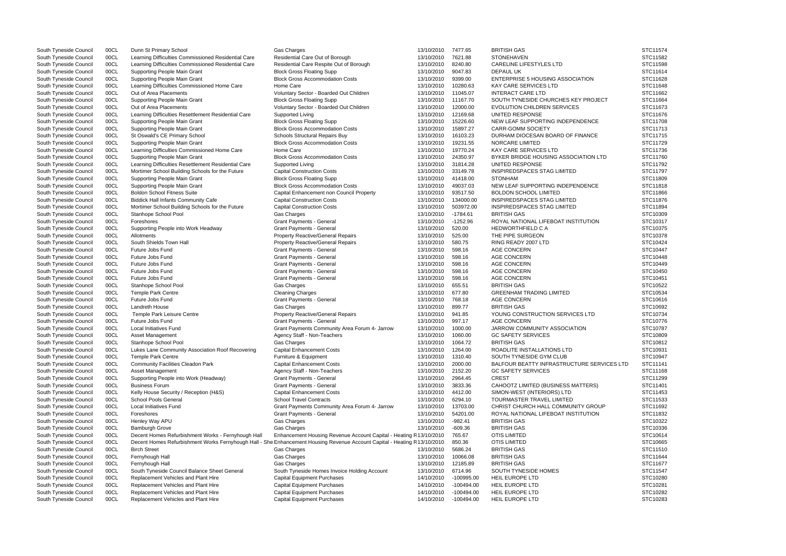| South Tyneside Council | 00CL | Dunn St Primary School                              | <b>Gas Charges</b>                                                                                                        | 13/10/2010 | 7477.65      | <b>BRITISH GAS</b>                         | STC11574 |
|------------------------|------|-----------------------------------------------------|---------------------------------------------------------------------------------------------------------------------------|------------|--------------|--------------------------------------------|----------|
| South Tyneside Council | 00CL | Learning Difficulties Commissioned Residential Care | Residential Care Out of Borough                                                                                           | 13/10/2010 | 7621.88      | <b>STONEHAVEN</b>                          | STC11582 |
| South Tyneside Council | 00CL | Learning Difficulties Commissioned Residential Care | Residential Care Respite Out of Borough                                                                                   | 13/10/2010 | 8240.80      | CARELINE LIFESTYLES LTD                    | STC11598 |
| South Tyneside Council | 00CL | Supporting People Main Grant                        | <b>Block Gross Floating Supp</b>                                                                                          | 13/10/2010 | 9047.83      | <b>DEPAUL UK</b>                           | STC11614 |
| South Tyneside Council | 00CL | Supporting People Main Grant                        | <b>Block Gross Accommodation Costs</b>                                                                                    | 13/10/2010 | 9399.00      | <b>ENTERPRISE 5 HOUSING ASSOCIATION</b>    | STC11628 |
| South Tyneside Council | 00CL | Learning Difficulties Commissioned Home Care        | Home Care                                                                                                                 | 13/10/2010 | 10280.63     | <b>KAY CARE SERVICES LTD</b>               | STC11648 |
| South Tyneside Council | 00CL | Out of Area Placements                              | Voluntary Sector - Boarded Out Children                                                                                   | 13/10/2010 | 11045.07     | <b>INTERACT CARE LTD</b>                   | STC11662 |
| South Tyneside Council | 00CL | <b>Supporting People Main Grant</b>                 | <b>Block Gross Floating Supp</b>                                                                                          | 13/10/2010 | 11167.70     | SOUTH TYNESIDE CHURCHES KEY PROJECT        | STC11664 |
| South Tyneside Council | 00CL | Out of Area Placements                              | Voluntary Sector - Boarded Out Children                                                                                   | 13/10/2010 | 12000.00     | <b>EVOLUTION CHILDREN SERVICES</b>         | STC11673 |
| South Tyneside Council | 00CL | Learning Difficulties Resettlement Residential Care | Supported Living                                                                                                          | 13/10/2010 | 12169.68     | UNITED RESPONSE                            | STC11676 |
| South Tyneside Council | 00CL | Supporting People Main Grant                        | <b>Block Gross Floating Supp</b>                                                                                          | 13/10/2010 | 15226.60     | NEW LEAF SUPPORTING INDEPENDENCE           | STC11708 |
| South Tyneside Council | 00CL | <b>Supporting People Main Grant</b>                 | <b>Block Gross Accommodation Costs</b>                                                                                    | 13/10/2010 | 15897.27     | <b>CARR-GOMM SOCIETY</b>                   | STC11713 |
| South Tyneside Council | 00CL | St Oswald's CE Primary School                       | Schools Structural Repairs Buy                                                                                            | 13/10/2010 | 16103.23     | DURHAM DIOCESAN BOARD OF FINANCE           | STC11715 |
|                        |      |                                                     | <b>Block Gross Accommodation Costs</b>                                                                                    |            |              | <b>NORCARE LIMITED</b>                     |          |
| South Tyneside Council | 00CL | <b>Supporting People Main Grant</b>                 |                                                                                                                           | 13/10/2010 | 19231.55     |                                            | STC11729 |
| South Tyneside Council | 00CL | Learning Difficulties Commissioned Home Care        | Home Care                                                                                                                 | 13/10/2010 | 19770.24     | KAY CARE SERVICES LTD                      | STC11736 |
| South Tyneside Council | 00CL | Supporting People Main Grant                        | <b>Block Gross Accommodation Costs</b>                                                                                    | 13/10/2010 | 24350.97     | BYKER BRIDGE HOUSING ASSOCIATION LTD       | STC11760 |
| South Tyneside Council | 00CL | Learning Difficulties Resettlement Residential Care | Supported Living                                                                                                          | 13/10/2010 | 31814.28     | UNITED RESPONSE                            | STC11792 |
| South Tyneside Council | 00CL | Mortimer School Building Schools for the Future     | <b>Capital Construction Costs</b>                                                                                         | 13/10/2010 | 33149.78     | INSPIREDSPACES STAG LIMITED                | STC11797 |
| South Tyneside Council | 00CL | Supporting People Main Grant                        | <b>Block Gross Floating Supp</b>                                                                                          | 13/10/2010 | 41418.00     | <b>STONHAM</b>                             | STC11809 |
| South Tyneside Council | 00CL | Supporting People Main Grant                        | <b>Block Gross Accommodation Costs</b>                                                                                    | 13/10/2010 | 49037.03     | NEW LEAF SUPPORTING INDEPENDENCE           | STC11818 |
| South Tyneside Council | 00CL | <b>Boldon School Fitness Suite</b>                  | Capital Enhancement non Council Property                                                                                  | 13/10/2010 | 93517.50     | <b>BOLDON SCHOOL LIMITED</b>               | STC11866 |
| South Tyneside Council | 00CL | <b>Biddick Hall Infants Community Cafe</b>          | <b>Capital Construction Costs</b>                                                                                         | 13/10/2010 | 134000.00    | <b>INSPIREDSPACES STAG LIMITED</b>         | STC11876 |
| South Tyneside Council | 00CL | Mortimer School Building Schools for the Future     | <b>Capital Construction Costs</b>                                                                                         | 13/10/2010 | 503972.00    | INSPIREDSPACES STAG LIMITED                | STC11894 |
| South Tyneside Council | 00CL | Stanhope School Pool                                | Gas Charges                                                                                                               | 13/10/2010 | $-1784.61$   | <b>BRITISH GAS</b>                         | STC10309 |
| South Tyneside Council | 00CL | Foreshores                                          | <b>Grant Payments - General</b>                                                                                           | 13/10/2010 | $-1252.96$   | ROYAL NATIONAL LIFEBOAT INSTITUTION        | STC10317 |
| South Tyneside Council | 00CL | Supporting People into Work Headway                 | <b>Grant Payments - General</b>                                                                                           | 13/10/2010 | 520.00       | <b>HEDWORTHFIELD C A</b>                   | STC10375 |
| South Tyneside Council | 00CL | Allotments                                          | <b>Property Reactive/General Repairs</b>                                                                                  | 13/10/2010 | 525.00       | THE PIPE SURGEON                           | STC10378 |
| South Tyneside Council | 00CL | South Shields Town Hall                             | <b>Property Reactive/General Repairs</b>                                                                                  | 13/10/2010 | 580.75       | RING READY 2007 LTD                        | STC10424 |
| South Tyneside Council | 00CL | Future Jobs Fund                                    | <b>Grant Payments - General</b>                                                                                           | 13/10/2010 | 598.16       | <b>AGE CONCERN</b>                         | STC10447 |
|                        |      |                                                     |                                                                                                                           |            | 598.16       | <b>AGE CONCERN</b>                         |          |
| South Tyneside Council | 00CL | Future Jobs Fund                                    | <b>Grant Payments - General</b>                                                                                           | 13/10/2010 |              |                                            | STC10448 |
| South Tyneside Council | 00CL | Future Jobs Fund                                    | <b>Grant Payments - General</b>                                                                                           | 13/10/2010 | 598.16       | <b>AGE CONCERN</b>                         | STC10449 |
| South Tyneside Council | 00CL | Future Jobs Fund                                    | <b>Grant Payments - General</b>                                                                                           | 13/10/2010 | 598.16       | <b>AGE CONCERN</b>                         | STC10450 |
| South Tyneside Council | 00CL | Future Jobs Fund                                    | <b>Grant Payments - General</b>                                                                                           | 13/10/2010 | 598.16       | <b>AGE CONCERN</b>                         | STC10451 |
| South Tyneside Council | 00CL | Stanhope School Pool                                | Gas Charges                                                                                                               | 13/10/2010 | 655.51       | <b>BRITISH GAS</b>                         | STC10522 |
| South Tyneside Council | 00CL | <b>Temple Park Centre</b>                           | <b>Cleaning Charges</b>                                                                                                   | 13/10/2010 | 677.80       | <b>GREENHAM TRADING LIMITED</b>            | STC10534 |
| South Tyneside Council | 00CL | Future Jobs Fund                                    | <b>Grant Payments - General</b>                                                                                           | 13/10/2010 | 768.18       | <b>AGE CONCERN</b>                         | STC10616 |
| South Tyneside Council | 00CL | <b>Landreth House</b>                               | Gas Charges                                                                                                               | 13/10/2010 | 899.77       | <b>BRITISH GAS</b>                         | STC10692 |
| South Tyneside Council | 00CL | Temple Park Leisure Centre                          | <b>Property Reactive/General Repairs</b>                                                                                  | 13/10/2010 | 941.85       | YOUNG CONSTRUCTION SERVICES LTD            | STC10734 |
| South Tyneside Council | 00CL | Future Jobs Fund                                    | <b>Grant Payments - General</b>                                                                                           | 13/10/2010 | 997.17       | <b>AGE CONCERN</b>                         | STC10776 |
| South Tyneside Council | 00CL | Local Initiatives Fund                              | Grant Payments Community Area Forum 4- Jarrow                                                                             | 13/10/2010 | 1000.00      | JARROW COMMUNITY ASSOCIATION               | STC10787 |
| South Tyneside Council | 00CL | <b>Asset Management</b>                             | Agency Staff - Non-Teachers                                                                                               | 13/10/2010 | 1060.00      | <b>GC SAFETY SERVICES</b>                  | STC10809 |
| South Tyneside Council | 00CL | Stanhope School Pool                                | Gas Charges                                                                                                               | 13/10/2010 | 1064.72      | <b>BRITISH GAS</b>                         | STC10812 |
| South Tyneside Council | 00CL | Lukes Lane Community Association Roof Recovering    | <b>Capital Enhancement Costs</b>                                                                                          | 13/10/2010 | 1264.00      | ROADLITE INSTALLATIONS LTD                 | STC10931 |
| South Tyneside Council | 00CL | <b>Temple Park Centre</b>                           | Furniture & Equipment                                                                                                     | 13/10/2010 | 1310.40      | SOUTH TYNESIDE GYM CLUB                    | STC10947 |
|                        | 00CL |                                                     | <b>Capital Enhancement Costs</b>                                                                                          | 13/10/2010 | 2000.00      | BALFOUR BEATTY INFRASTRUCTURE SERVICES LTD | STC11141 |
| South Tyneside Council |      | <b>Community Facilities Cleadon Park</b>            |                                                                                                                           |            |              |                                            |          |
| South Tyneside Council | 00CL | <b>Asset Management</b>                             | Agency Staff - Non-Teachers                                                                                               | 13/10/2010 | 2152.20      | <b>GC SAFETY SERVICES</b>                  | STC11168 |
| South Tyneside Council | 00CL | Supporting People into Work (Headway)               | Grant Payments - General                                                                                                  | 13/10/2010 | 2964.45      | <b>CREST</b>                               | STC11299 |
| South Tyneside Council | 00CL | <b>Business Forum</b>                               | Grant Payments - General                                                                                                  | 13/10/2010 | 3833.36      | CAHOOTZ LIMITED (BUSINESS MATTERS)         | STC11401 |
| South Tyneside Council | 00CL | Kelly House Security / Reception (H&S)              | <b>Capital Enhancement Costs</b>                                                                                          | 13/10/2010 | 4412.00      | SIMON-WEST (INTERIORS) LTD                 | STC11453 |
| South Tyneside Council | 00CL | School Pools General                                | <b>School Travel Contracts</b>                                                                                            | 13/10/2010 | 6294.10      | TOURMASTER TRAVEL LIMITED                  | STC11533 |
| South Tyneside Council | 00CL | Local Initiatives Fund                              | Grant Payments Community Area Forum 4- Jarrow                                                                             | 13/10/2010 | 13703.00     | CHRIST CHURCH HALL COMMUNITY GROUP         | STC11692 |
| South Tyneside Council | 00CL | Foreshores                                          | <b>Grant Payments - General</b>                                                                                           | 13/10/2010 | 54201.00     | ROYAL NATIONAL LIFEBOAT INSTITUTION        | STC11832 |
| South Tyneside Council | 00CL | Henley Way APU                                      | Gas Charges                                                                                                               | 13/10/2010 | $-982.41$    | <b>BRITISH GAS</b>                         | STC10322 |
| South Tyneside Council | 00CL | <b>Bamburgh Grove</b>                               | Gas Charges                                                                                                               | 13/10/2010 | $-609.36$    | <b>BRITISH GAS</b>                         | STC10336 |
| South Tyneside Council | 00CL | Decent Homes Refurbishment Works - Fernyhough Hall  | Enhancement Housing Revenue Account Capital - Heating R 13/10/2010                                                        |            | 765.67       | <b>OTIS LIMITED</b>                        | STC10614 |
| South Tyneside Council | 00CL |                                                     | Decent Homes Refurbishment Works Fernyhough Hall - She Enhancement Housing Revenue Account Capital - Heating R 13/10/2010 |            | 850.36       | <b>OTIS LIMITED</b>                        | STC10665 |
| South Tyneside Council | 00CL | <b>Birch Street</b>                                 | <b>Gas Charges</b>                                                                                                        | 13/10/2010 | 5686.24      | <b>BRITISH GAS</b>                         | STC11510 |
| South Tyneside Council | 00CL | Fernyhough Hall                                     | Gas Charges                                                                                                               | 13/10/2010 | 10066.08     | <b>BRITISH GAS</b>                         | STC11644 |
| South Tyneside Council | 00CL | Fernyhough Hall                                     | <b>Gas Charges</b>                                                                                                        | 13/10/2010 | 12185.89     | <b>BRITISH GAS</b>                         | STC11677 |
|                        |      |                                                     |                                                                                                                           |            |              |                                            |          |
| South Tyneside Council | 00CL | South Tyneside Council Balance Sheet General        | South Tyneside Homes Invoice Holding Account                                                                              | 13/10/2010 | 6714.96      | SOUTH TYNESIDE HOMES                       | STC11547 |
| South Tyneside Council | 00CL | Replacement Vehicles and Plant Hire                 | <b>Capital Equipment Purchases</b>                                                                                        | 14/10/2010 | -100995.00   | HEIL EUROPE LTD                            | STC10280 |
| South Tyneside Council | 00CL | Replacement Vehicles and Plant Hire                 | <b>Capital Equipment Purchases</b>                                                                                        | 14/10/2010 | $-100494.00$ | <b>HEIL EUROPE LTD</b>                     | STC10281 |
| South Tyneside Council | 00CL | Replacement Vehicles and Plant Hire                 | <b>Capital Equipment Purchases</b>                                                                                        | 14/10/2010 | $-100494.00$ | HEIL EUROPE LTD                            | STC10282 |
| South Tyneside Council | 00CL | Replacement Vehicles and Plant Hire                 | <b>Capital Equipment Purchases</b>                                                                                        | 14/10/2010 | -100494.00   | HEIL EUROPE LTD                            | STC10283 |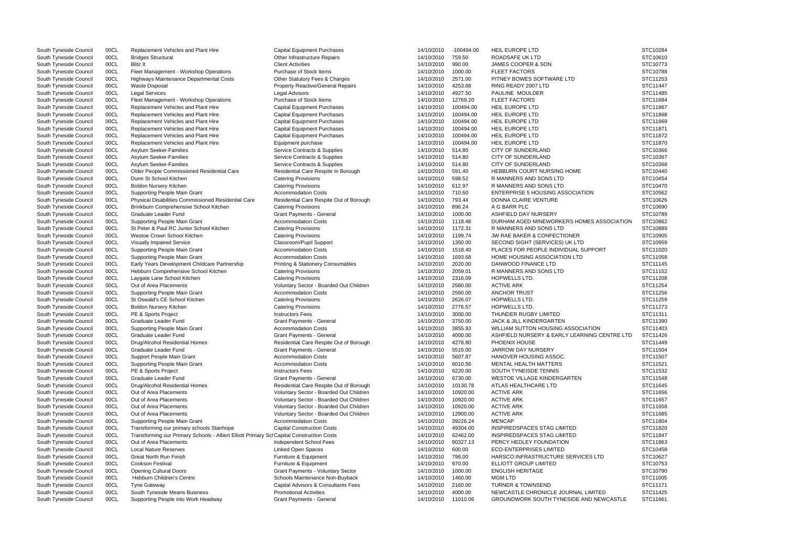| South Tyneside Council | 00CL | <b>Replacement Vehicles and Plant Hire</b>                                               | <b>Capital Equipment Purchases</b>           | 14/10/2010 | -100494.00 | <b>HEIL EUROPE LTD</b>                       | STC10284 |
|------------------------|------|------------------------------------------------------------------------------------------|----------------------------------------------|------------|------------|----------------------------------------------|----------|
| South Tyneside Council | 00CL | <b>Bridges Structural</b>                                                                | Other Infrastructure Repairs                 | 14/10/2010 | 759.50     | ROADSAFE UK LTD                              | STC10610 |
| South Tyneside Council | 00CL | <b>Blitz It</b>                                                                          | <b>Client Activities</b>                     | 14/10/2010 | 990.00     | JAMES COOPER & SON                           | STC10773 |
| South Tyneside Council | 00CL | Fleet Management - Workshop Operations                                                   | Purchase of Stock Items                      | 14/10/2010 | 1000.00    | <b>FLEET FACTORS</b>                         | STC10788 |
| South Tyneside Council | 00CL | Highways Maintenance Departmental Costs                                                  | Other Statutory Fees & Charges               | 14/10/2010 | 2571.00    | PITNEY BOWES SOFTWARE LTD                    | STC11253 |
|                        |      |                                                                                          |                                              |            |            |                                              |          |
| South Tyneside Council | 00CL | <b>Waste Disposal</b>                                                                    | <b>Property Reactive/General Repairs</b>     | 14/10/2010 | 4253.68    | RING READY 2007 LTD                          | STC11447 |
| South Tyneside Council | 00CL | <b>Legal Services</b>                                                                    | <b>Legal Advisors</b>                        | 14/10/2010 | 4927.50    | PAULINE MOULDER                              | STC11485 |
| South Tyneside Council | 00CL | Fleet Management - Workshop Operations                                                   | Purchase of Stock Items                      | 14/10/2010 | 12769.20   | <b>FLEET FACTORS</b>                         | STC11684 |
| South Tyneside Council | 00CL | Replacement Vehicles and Plant Hire                                                      | <b>Capital Equipment Purchases</b>           | 14/10/2010 | 100494.00  | HEIL EUROPE LTD                              | STC11867 |
| South Tyneside Council | 00CL | Replacement Vehicles and Plant Hire                                                      | <b>Capital Equipment Purchases</b>           | 14/10/2010 | 100494.00  | HEIL EUROPE LTD                              | STC11868 |
| South Tyneside Council | 00CL | Replacement Vehicles and Plant Hire                                                      |                                              | 14/10/2010 | 100494.00  | <b>HEIL EUROPE LTD</b>                       | STC11869 |
|                        |      |                                                                                          | <b>Capital Equipment Purchases</b>           |            |            |                                              |          |
| South Tyneside Council | 00CL | Replacement Vehicles and Plant Hire                                                      | <b>Capital Equipment Purchases</b>           | 14/10/2010 | 100494.00  | HEIL EUROPE LTD                              | STC11871 |
| South Tyneside Council | 00CL | Replacement Vehicles and Plant Hire                                                      | <b>Capital Equipment Purchases</b>           | 14/10/2010 | 100494.00  | HEIL EUROPE LTD                              | STC11872 |
| South Tyneside Council | 00CL | Replacement Vehicles and Plant Hire                                                      | Equipment purchase                           | 14/10/2010 | 100494.00  | <b>HEIL EUROPE LTD</b>                       | STC11870 |
| South Tyneside Council | 00CL | Asylum Seeker-Families                                                                   | Service Contracts & Supplies                 | 14/10/2010 | 514.80     | <b>CITY OF SUNDERLAND</b>                    | STC10366 |
| South Tyneside Council | 00CL | Asylum Seeker-Families                                                                   | Service Contracts & Supplies                 | 14/10/2010 | 514.80     | <b>CITY OF SUNDERLAND</b>                    | STC10367 |
|                        |      |                                                                                          |                                              |            |            |                                              |          |
| South Tyneside Council | 00CL | <b>Asylum Seeker-Families</b>                                                            | Service Contracts & Supplies                 | 14/10/2010 | 514.80     | CITY OF SUNDERLAND                           | STC10368 |
| South Tyneside Council | 00CL | Older People Commissioned Residential Care                                               | Residential Care Respite In Borough          | 14/10/2010 | 591.40     | <b>HEBBURN COURT NURSING HOME</b>            | STC10440 |
| South Tyneside Council | 00CL | Dunn St School Kitchen                                                                   | <b>Catering Provisions</b>                   | 14/10/2010 | 598.52     | R MANNERS AND SONS LTD                       | STC10454 |
| South Tyneside Council | 00CL | <b>Boldon Nursery Kitchen</b>                                                            | <b>Catering Provisions</b>                   | 14/10/2010 | 612.97     | <b>R MANNERS AND SONS LTD</b>                | STC10470 |
| South Tyneside Council | 00CL | <b>Supporting People Main Grant</b>                                                      | <b>Accommodation Costs</b>                   | 14/10/2010 | 710.60     | <b>ENTERPRISE 5 HOUSING ASSOCIATION</b>      | STC10562 |
|                        |      | Physical Disabilities Commissioned Residential Care                                      | Residential Care Respite Out of Borough      |            |            | DONNA CLAIRE VENTURE                         |          |
| South Tyneside Council | 00CL |                                                                                          |                                              | 14/10/2010 | 793.44     |                                              | STC10626 |
| South Tyneside Council | 00CL | Brinkburn Comprehensive School Kitchen                                                   | <b>Catering Provisions</b>                   | 14/10/2010 | 896.24     | A G BARR PLC                                 | STC10690 |
| South Tyneside Council | 00CL | Graduate Leader Fund                                                                     | <b>Grant Payments - General</b>              | 14/10/2010 | 1000.00    | ASHFIELD DAY NURSERY                         | STC10789 |
| South Tyneside Council | 00CL | Supporting People Main Grant                                                             | <b>Accommodation Costs</b>                   | 14/10/2010 | 1118.48    | DURHAM AGED MINEWORKERS HOMES ASSOCIATION    | STC10862 |
| South Tyneside Council | 00CL | St Peter & Paul RC Junior School Kitchen                                                 | <b>Catering Provisions</b>                   | 14/10/2010 | 1172.31    | R MANNERS AND SONS LTD                       | STC10889 |
| South Tyneside Council | 00CL | Westoe Crown School Kitchen                                                              | <b>Catering Provisions</b>                   | 14/10/2010 | 1199.74    | JW RAE BAKER & CONFECTIONER                  | STC10905 |
|                        |      |                                                                                          |                                              |            |            |                                              |          |
| South Tyneside Council | 00CL | <b>Visually Impaired Service</b>                                                         | Classroom/Pupil Support                      | 14/10/2010 | 1350.00    | SECOND SIGHT (SERVICES) UK LTD               | STC10959 |
| South Tyneside Council | 00CL | Supporting People Main Grant                                                             | <b>Accommodation Costs</b>                   | 14/10/2010 | 1518.40    | PLACES FOR PEOPLE INDIVIDUAL SUPPORT         | STC11020 |
| South Tyneside Council | 00CL | Supporting People Main Grant                                                             | <b>Accommodation Costs</b>                   | 14/10/2010 | 1693.68    | HOME HOUSING ASSOCIATION LTD                 | STC11058 |
| South Tyneside Council | 00CL | Early Years Development Childcare Partnership                                            | <b>Printing &amp; Stationery Consumables</b> | 14/10/2010 | 2020.00    | DANWOOD FINANCE LTD                          | STC11145 |
| South Tyneside Council | 00CL | Hebburn Comprehensive School Kitchen                                                     | <b>Catering Provisions</b>                   | 14/10/2010 | 2059.01    | R MANNERS AND SONS LTD                       | STC11152 |
|                        |      |                                                                                          |                                              |            | 2316.09    | HOPWELLS LTD.                                | STC11208 |
| South Tyneside Council | 00CL | Laygate Lane School Kitchen                                                              | <b>Catering Provisions</b>                   | 14/10/2010 |            |                                              |          |
| South Tyneside Council | 00CL | Out of Area Placements                                                                   | Voluntary Sector - Boarded Out Children      | 14/10/2010 | 2580.00    | <b>ACTIVE ARK</b>                            | STC11254 |
| South Tyneside Council | 00CL | Supporting People Main Grant                                                             | <b>Accommodation Costs</b>                   | 14/10/2010 | 2590.00    | <b>ANCHOR TRUST</b>                          | STC11256 |
| South Tyneside Council | 00CL | St Oswald's CE School Kitchen                                                            | <b>Catering Provisions</b>                   | 14/10/2010 | 2626.07    | HOPWELLS LTD.                                | STC11259 |
| South Tyneside Council | 00CL | <b>Boldon Nursery Kitchen</b>                                                            | <b>Catering Provisions</b>                   | 14/10/2010 | 2776.57    | HOPWELLS LTD.                                | STC11273 |
| South Tyneside Council | 00CL | PE & Sports Project                                                                      | <b>Instructors Fees</b>                      | 14/10/2010 | 3000.00    | THUNDER RUGBY LIMITED                        | STC11311 |
|                        |      |                                                                                          |                                              |            |            |                                              |          |
| South Tyneside Council | 00CL | Graduate Leader Fund                                                                     | <b>Grant Payments - General</b>              | 14/10/2010 | 3750.00    | <b>JACK &amp; JILL KINDERGARTEN</b>          | STC11390 |
| South Tyneside Council | 00CL | Supporting People Main Grant                                                             | <b>Accommodation Costs</b>                   | 14/10/2010 | 3855.93    | WILLIAM SUTTON HOUSING ASSOCIATION           | STC11403 |
| South Tyneside Council | 00CL | Graduate Leader Fund                                                                     | <b>Grant Payments - General</b>              | 14/10/2010 | 4000.00    | ASHFIELD NURSERY & EARLY LEARNING CENTRE LTD | STC11426 |
| South Tyneside Council | 00CL | Drug/Alcohol Residential Homes                                                           | Residential Care Respite Out of Borough      | 14/10/2010 | 4278.80    | PHOENIX HOUSE                                | STC11449 |
| South Tyneside Council | 00CL | Graduate Leader Fund                                                                     | Grant Payments - General                     | 14/10/2010 | 5515.00    | JARROW DAY NURSERY                           | STC11504 |
| South Tyneside Council | 00CL | Support People Main Grant                                                                | <b>Accommodation Costs</b>                   | 14/10/2010 | 5607.87    | <b>HANOVER HOUSING ASSOC.</b>                | STC11507 |
|                        |      |                                                                                          |                                              |            |            |                                              |          |
| South Tyneside Council | 00CL | Supporting People Main Grant                                                             | <b>Accommodation Costs</b>                   | 14/10/2010 | 6010.56    | <b>MENTAL HEALTH MATTERS</b>                 | STC11521 |
| South Tyneside Council | 00CL | PE & Sports Project                                                                      | <b>Instructors Fees</b>                      | 14/10/2010 | 6220.00    | SOUTH TYNEISDE TENNIS                        | STC11532 |
| South Tyneside Council | 00CL | Graduate Leader Fund                                                                     | <b>Grant Payments - General</b>              | 14/10/2010 | 6730.00    | WESTOE VILLAGE KINDERGARTEN                  | STC11548 |
| South Tyneside Council | 00CL | Drug/Alcohol Residential Homes                                                           | Residential Care Respite Out of Borough      | 14/10/2010 | 10130.78   | ATLAS HEALTHCARE LTD                         | STC11645 |
| South Tyneside Council | 00CL | Out of Area Placements                                                                   | Voluntary Sector - Boarded Out Children      | 14/10/2010 | 10920.00   | <b>ACTIVE ARK</b>                            | STC11656 |
|                        |      |                                                                                          |                                              |            |            |                                              |          |
| South Tyneside Council | 00CL | Out of Area Placements                                                                   | Voluntary Sector - Boarded Out Children      | 14/10/2010 | 10920.00   | <b>ACTIVE ARK</b>                            | STC11657 |
| South Tyneside Council | 00CL | Out of Area Placements                                                                   | Voluntary Sector - Boarded Out Children      | 14/10/2010 | 10920.00   | <b>ACTIVE ARK</b>                            | STC11658 |
| South Tyneside Council | 00CL | Out of Area Placements                                                                   | Voluntary Sector - Boarded Out Children      | 14/10/2010 | 12900.00   | <b>ACTIVE ARK</b>                            | STC11685 |
| South Tyneside Council | 00CL | Supporting People Main Grant                                                             | <b>Accommodation Costs</b>                   | 14/10/2010 | 39226.24   | <b>MENCAP</b>                                | STC11804 |
| South Tyneside Council | 00CL | Transforming our primary schools Stanhope                                                | <b>Capital Construction Costs</b>            | 14/10/2010 | 49304.00   | INSPIREDSPACES STAG LIMITED                  | STC11820 |
| South Tyneside Council | 00CL | Transforming our Primary Schools - Albert Elliott Primary Scl Capital Construction Costs |                                              | 14/10/2010 | 62462.00   | INSPIREDSPACES STAG LIMITED                  | STC11847 |
|                        |      |                                                                                          |                                              |            |            |                                              |          |
| South Tyneside Council | 00CL | Out of Area Placements                                                                   | Independent School Fees                      | 14/10/2010 | 90327.13   | PERCY HEDLEY FOUNDATION                      | STC11863 |
| South Tyneside Council | 00CL | <b>Local Nature Reserves</b>                                                             | <b>Linked Open Spaces</b>                    | 14/10/2010 | 600.00     | <b>ECO-ENTERPRISES LIMITED</b>               | STC10458 |
| South Tyneside Council | 00CL | <b>Great North Run Finish</b>                                                            | Furniture & Equipment                        | 14/10/2010 | 796.00     | HARSCO INFRASTRUCTURE SERVICES LTD           | STC10627 |
| South Tyneside Council | 00CL | <b>Cookson Festival</b>                                                                  | Furniture & Equipment                        | 14/10/2010 | 970.00     | ELLIOTT GROUP LIMITED                        | STC10753 |
| South Tyneside Council | 00CL | <b>Opening Cultural Doors</b>                                                            | Grant Payments - Voluntary Sector            | 14/10/2010 | 1000.00    | <b>ENGLISH HERITAGE</b>                      | STC10790 |
|                        |      |                                                                                          |                                              |            |            | <b>MGM LTD</b>                               |          |
| South Tyneside Council | 00CL | Hebburn Children's Centre                                                                | Schools Maintenance Non-Buyback              | 14/10/2010 | 1460.00    |                                              | STC11005 |
| South Tyneside Council | 00CL | <b>Tyne Gateway</b>                                                                      | Capital Advisors & Consultants Fees          | 14/10/2010 | 2160.00    | <b>TURNER &amp; TOWNSEND</b>                 | STC11171 |
| South Tyneside Council | 00CL | South Tyneside Means Business                                                            | <b>Promotional Activities</b>                | 14/10/2010 | 4000.00    | NEWCASTLE CHRONICLE JOURNAL LIMITED          | STC11425 |
| South Tyneside Council | 00CL | Supporting People into Work Headway                                                      | Grant Payments - General                     | 14/10/2010 | 11010.06   | GROUNDWORK SOUTH TYNESIDE AND NEWCASTLE      | STC11661 |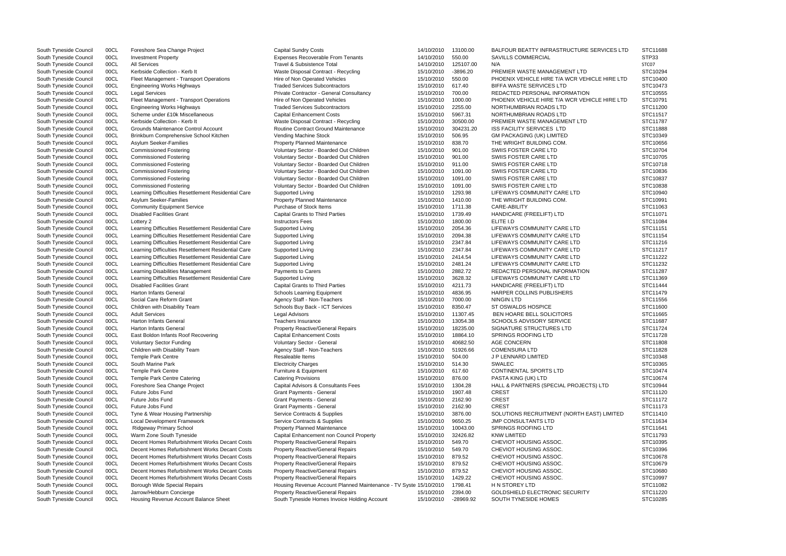| South Tyneside Council | 00CL | Foreshore Sea Change Project                        | <b>Capital Sundry Costs</b>                                       | 14/10/2010 | 13100.00   | <b>BALFOUR BEATTY INFRASTRUCTURE SERVICES LTD</b> | STC11688 |
|------------------------|------|-----------------------------------------------------|-------------------------------------------------------------------|------------|------------|---------------------------------------------------|----------|
| South Tyneside Council | 00CL | <b>Investment Property</b>                          | Expenses Recoverable From Tenants                                 | 14/10/2010 | 550.00     | <b>SAVILLS COMMERCIAL</b>                         | STP33    |
| South Tyneside Council | 00CL | <b>All Services</b>                                 | Travel & Subsistence Total                                        | 14/10/2010 | 125107.00  | N/A                                               | STC07    |
| South Tyneside Council | 00CL | Kerbside Collection - Kerb It                       | Waste Disposal Contract - Recycling                               | 15/10/2010 | $-3896.20$ | PREMIER WASTE MANAGEMENT LTD                      | STC10294 |
| South Tyneside Council | 00CL | Fleet Management - Transport Operations             | Hire of Non Operated Vehicles                                     | 15/10/2010 | 550.00     | PHOENIX VEHICLE HIRE T/A WCR VEHICLE HIRE LTD     | STC10400 |
| South Tyneside Council | 00CL | <b>Engineering Works Highways</b>                   | <b>Traded Services Subcontractors</b>                             | 15/10/2010 | 617.40     | BIFFA WASTE SERVICES LTD                          | STC10473 |
| South Tyneside Council | 00CL | <b>Legal Services</b>                               | Private Contractor - General Consultancy                          | 15/10/2010 | 700.00     | REDACTED PERSONAL INFORMATION                     | STC10555 |
| South Tyneside Council | 00CL | Fleet Management - Transport Operations             | Hire of Non Operated Vehicles                                     | 15/10/2010 | 1000.00    | PHOENIX VEHICLE HIRE T/A WCR VEHICLE HIRE LTD     | STC10791 |
| South Tyneside Council | 00CL | <b>Engineering Works Highways</b>                   | <b>Traded Services Subcontractors</b>                             | 15/10/2010 | 2255.00    | NORTHUMBRIAN ROADS LTD                            | STC11200 |
| South Tyneside Council | 00CL | Scheme under £10k Miscellaneous                     | <b>Capital Enhancement Costs</b>                                  | 15/10/2010 | 5967.31    | NORTHUMBRIAN ROADS LTD                            | STC11517 |
| South Tyneside Council | 00CL | Kerbside Collection - Kerb It                       | Waste Disposal Contract - Recycling                               | 15/10/2010 | 30500.00   | PREMIER WASTE MANAGEMENT LTD                      | STC11787 |
| South Tyneside Council | 00CL | Grounds Maintenance Control Account                 | Routine Contract Ground Maintenance                               | 15/10/2010 | 304231.20  | <b>ISS FACILITY SERVICES LTD</b>                  | STC11888 |
| South Tyneside Council | 00CL | Brinkburn Comprehensive School Kitchen              | Vending Machine Stock                                             | 15/10/2010 | 506.95     | <b>GM PACKAGING (UK) LIMITED</b>                  | STC10349 |
| South Tyneside Council | 00CL | Asylum Seeker-Families                              | Property Planned Maintenance                                      | 15/10/2010 | 838.70     | THE WRIGHT BUILDING COM.                          | STC10656 |
|                        | 00CL | <b>Commissioned Fostering</b>                       |                                                                   | 15/10/2010 | 901.00     | SWIIS FOSTER CARE LTD                             | STC10704 |
| South Tyneside Council |      |                                                     | Voluntary Sector - Boarded Out Children                           |            |            |                                                   |          |
| South Tyneside Council | 00CL | <b>Commissioned Fostering</b>                       | Voluntary Sector - Boarded Out Children                           | 15/10/2010 | 901.00     | SWIIS FOSTER CARE LTD                             | STC10705 |
| South Tyneside Council | 00CL | <b>Commissioned Fostering</b>                       | Voluntary Sector - Boarded Out Children                           | 15/10/2010 | 911.00     | SWIIS FOSTER CARE LTD                             | STC10718 |
| South Tyneside Council | 00CL | <b>Commissioned Fostering</b>                       | Voluntary Sector - Boarded Out Children                           | 15/10/2010 | 1091.00    | SWIIS FOSTER CARE LTD                             | STC10836 |
| South Tyneside Council | 00CL | <b>Commissioned Fostering</b>                       | Voluntary Sector - Boarded Out Children                           | 15/10/2010 | 1091.00    | SWIIS FOSTER CARE LTD                             | STC10837 |
| South Tyneside Council | 00CL | <b>Commissioned Fostering</b>                       | Voluntary Sector - Boarded Out Children                           | 15/10/2010 | 1091.00    | SWIIS FOSTER CARE LTD                             | STC10838 |
| South Tyneside Council | 00CL | Learning Difficulties Resettlement Residential Care | Supported Living                                                  | 15/10/2010 | 1293.98    | LIFEWAYS COMMUNITY CARE LTD                       | STC10940 |
| South Tyneside Council | 00CL | Asylum Seeker-Families                              | <b>Property Planned Maintenance</b>                               | 15/10/2010 | 1410.00    | THE WRIGHT BUILDING COM                           | STC10991 |
| South Tyneside Council | 00CL | <b>Community Equipment Service</b>                  | Purchase of Stock Items                                           | 15/10/2010 | 1711.38    | CARE-ABILITY                                      | STC11063 |
| South Tyneside Council | 00CL | <b>Disabled Facilities Grant</b>                    | <b>Capital Grants to Third Parties</b>                            | 15/10/2010 | 1739.49    | HANDICARE (FREELIFT) LTD                          | STC11071 |
| South Tyneside Council | 00CL | Lottery 2                                           | <b>Instructors Fees</b>                                           | 15/10/2010 | 1800.00    | ELITE I.D                                         | STC11084 |
| South Tyneside Council | 00CL | Learning Difficulties Resettlement Residential Care | Supported Living                                                  | 15/10/2010 | 2054.36    | LIFEWAYS COMMUNITY CARE LTD                       | STC11151 |
| South Tyneside Council | 00CL | Learning Difficulties Resettlement Residential Care | Supported Living                                                  | 15/10/2010 | 2094.38    | LIFEWAYS COMMUNITY CARE LTD                       | STC11154 |
| South Tyneside Council | 00CL | Learning Difficulties Resettlement Residential Care | Supported Living                                                  | 15/10/2010 | 2347.84    | LIFEWAYS COMMUNITY CARE LTD                       | STC11216 |
| South Tyneside Council | 00CL | Learning Difficulties Resettlement Residential Care | Supported Living                                                  | 15/10/2010 | 2347.84    | LIFEWAYS COMMUNITY CARE LTD                       | STC11217 |
| South Tyneside Council | 00CL | Learning Difficulties Resettlement Residential Care | Supported Living                                                  | 15/10/2010 | 2414.54    | LIFEWAYS COMMUNITY CARE LTD                       | STC11222 |
| South Tyneside Council | 00CL | Learning Difficulties Resettlement Residential Care | Supported Living                                                  | 15/10/2010 | 2481.24    | LIFEWAYS COMMUNITY CARE LTD                       | STC11232 |
| South Tyneside Council | 00CL | Learning Disabilities Management                    | Payments to Carers                                                | 15/10/2010 | 2882.72    | REDACTED PERSONAL INFORMATION                     | STC11287 |
| South Tyneside Council | 00CL | Learning Difficulties Resettlement Residential Care | Supported Living                                                  | 15/10/2010 | 3628.32    | LIFEWAYS COMMUNITY CARE LTD                       | STC11369 |
| South Tyneside Council | 00CL | <b>Disabled Facilities Grant</b>                    | <b>Capital Grants to Third Parties</b>                            | 15/10/2010 | 4211.73    | HANDICARE (FREELIFT) LTD                          | STC11444 |
| South Tyneside Council | 00CL | <b>Harton Infants General</b>                       | Schools Learning Equipment                                        | 15/10/2010 | 4836.95    | HARPER COLLINS PUBLISHERS                         | STC11479 |
| South Tyneside Council | 00CL | Social Care Reform Grant                            | Agency Staff - Non-Teachers                                       | 15/10/2010 | 7000.00    | <b>NINGIN LTD</b>                                 | STC11556 |
| South Tyneside Council | 00CL | Children with Disability Team                       | Schools Buy Back - ICT Services                                   | 15/10/2010 | 8350.47    | <b>ST OSWALDS HOSPICE</b>                         | STC11600 |
| South Tyneside Council | 00CL | <b>Adult Services</b>                               | Legal Advisors                                                    | 15/10/2010 | 11307.45   | <b>BEN HOARE BELL SOLICITORS</b>                  | STC11665 |
| South Tyneside Council | 00CL | <b>Harton Infants General</b>                       | Teachers Insurance                                                | 15/10/2010 | 13054.38   | SCHOOLS ADVISORY SERVICE                          | STC11687 |
| South Tyneside Council | 00CL | <b>Harton Infants General</b>                       | <b>Property Reactive/General Repairs</b>                          | 15/10/2010 | 18235.00   | SIGNATURE STRUCTURES LTD                          | STC11724 |
| South Tyneside Council | 00CL | East Boldon Infants Roof Recovering                 | <b>Capital Enhancement Costs</b>                                  | 15/10/2010 | 18864.10   | <b>SPRINGS ROOFING LTD</b>                        | STC11728 |
| South Tyneside Council | 00CL | <b>Voluntary Sector Funding</b>                     | Voluntary Sector - General                                        | 15/10/2010 | 40682.50   | AGE CONCERN                                       | STC11808 |
|                        |      |                                                     |                                                                   |            |            |                                                   | STC11828 |
| South Tyneside Council | 00CL | Children with Disability Team                       | Agency Staff - Non-Teachers                                       | 15/10/2010 | 51926.66   | <b>COMENSURA LTD</b>                              |          |
| South Tyneside Council | 00CL | <b>Temple Park Centre</b>                           | Resaleable Items                                                  | 15/10/2010 | 504.00     | J P LENNARD LIMITED                               | STC10348 |
| South Tyneside Council | 00CL | South Marine Park                                   | <b>Electricity Charges</b>                                        | 15/10/2010 | 514.30     | <b>SWALEC</b>                                     | STC10365 |
| South Tyneside Council | 00CL | <b>Temple Park Centre</b>                           | Furniture & Equipment                                             | 15/10/2010 | 617.60     | CONTINENTAL SPORTS LTD                            | STC10474 |
| South Tyneside Council | 00CL | Temple Park Centre Catering                         | <b>Catering Provisions</b>                                        | 15/10/2010 | 876.00     | PASTA KING (UK) LTD                               | STC10674 |
| South Tyneside Council | 00CL | Foreshore Sea Change Project                        | Capital Advisors & Consultants Fees                               | 15/10/2010 | 1304.28    | HALL & PARTNERS (SPECIAL PROJECTS) LTD            | STC10944 |
| South Tyneside Council | 00CL | Future Jobs Fund                                    | <b>Grant Payments - General</b>                                   | 15/10/2010 | 1907.48    | <b>CREST</b>                                      | STC11120 |
| South Tyneside Council | 00CL | Future Jobs Fund                                    | <b>Grant Payments - General</b>                                   | 15/10/2010 | 2162.90    | <b>CREST</b>                                      | STC11172 |
| South Tyneside Council | 00CL | Future Jobs Fund                                    | <b>Grant Payments - General</b>                                   | 15/10/2010 | 2162.90    | <b>CREST</b>                                      | STC11173 |
| South Tyneside Council | 00CL | Tyne & Wear Housing Partnership                     | Service Contracts & Supplies                                      | 15/10/2010 | 3876.00    | SOLUTIONS RECRUITMENT (NORTH EAST) LIMITED        | STC11410 |
| South Tyneside Council | 00CL | Local Development Framework                         | Service Contracts & Supplies                                      | 15/10/2010 | 9650.25    | <b>JMP CONSULTANTS LTD</b>                        | STC11634 |
| South Tyneside Council | 00CL | Ridgeway Primary School                             | Property Planned Maintenance                                      | 15/10/2010 | 10043.00   | SPRINGS ROOFING LTD                               | STC11641 |
| South Tyneside Council | 00CL | Warm Zone South Tyneside                            | Capital Enhancement non Council Property                          | 15/10/2010 | 32426.82   | <b>KNW LIMITED</b>                                | STC11793 |
| South Tyneside Council | 00CL | Decent Homes Refurbishment Works Decant Costs       | <b>Property Reactive/General Repairs</b>                          | 15/10/2010 | 549.70     | CHEVIOT HOUSING ASSOC.                            | STC10395 |
| South Tyneside Council | 00CL | Decent Homes Refurbishment Works Decant Costs       | <b>Property Reactive/General Repairs</b>                          | 15/10/2010 | 549.70     | CHEVIOT HOUSING ASSOC.                            | STC10396 |
| South Tyneside Council | 00CL | Decent Homes Refurbishment Works Decant Costs       | <b>Property Reactive/General Repairs</b>                          | 15/10/2010 | 879.52     | CHEVIOT HOUSING ASSOC.                            | STC10678 |
| South Tyneside Council | 00CL | Decent Homes Refurbishment Works Decant Costs       | Property Reactive/General Repairs                                 | 15/10/2010 | 879.52     | CHEVIOT HOUSING ASSOC.                            | STC10679 |
| South Tyneside Council | 00CL | Decent Homes Refurbishment Works Decant Costs       | Property Reactive/General Repairs                                 | 15/10/2010 | 879.52     | CHEVIOT HOUSING ASSOC.                            | STC10680 |
| South Tyneside Council | 00CL | Decent Homes Refurbishment Works Decant Costs       | Property Reactive/General Repairs                                 | 15/10/2010 | 1429.22    | CHEVIOT HOUSING ASSOC.                            | STC10997 |
| South Tyneside Council | 00CL | Borough Wide Special Repairs                        | Housing Revenue Account Planned Maintenance - TV Syste 15/10/2010 |            | 1798.41    | H N STOREY LTD                                    | STC11082 |
| South Tyneside Council | 00CL | Jarrow/Hebburn Concierge                            | Property Reactive/General Repairs                                 | 15/10/2010 | 2394.00    | GOLDSHIELD ELECTRONIC SECURITY                    | STC11220 |
| South Tyneside Council | 00CL | Housing Revenue Account Balance Sheet               | South Tyneside Homes Invoice Holding Account                      | 15/10/2010 | -28969.92  | SOUTH TYNESIDE HOMES                              | STC10285 |
|                        |      |                                                     |                                                                   |            |            |                                                   |          |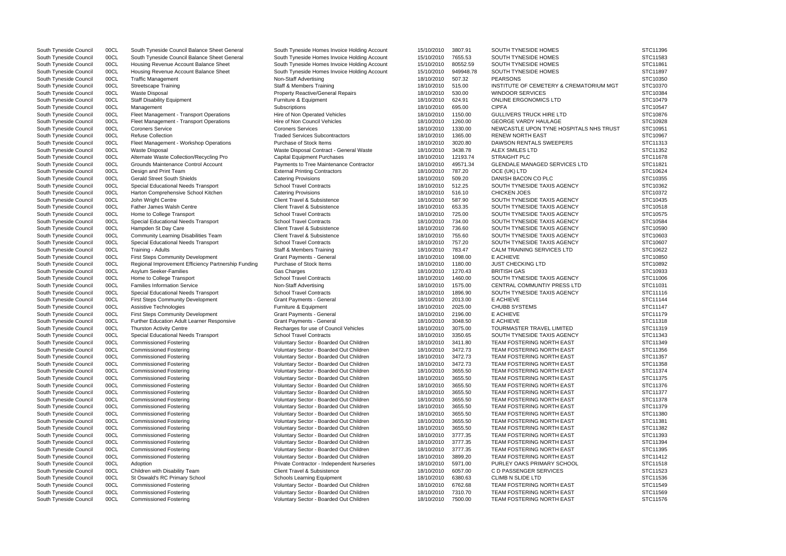South Tyneside Council 00CL South Tyneside Council Balance Sheet General South Tyneside Homes Invoice Holding Account 15/10/2010 3807.91 SOUTH TYNESIDE HOMES South Tyneside Council 00CL South Tyneside Council Balance Sheet General South Tyneside Homes Invoice Holding Account 15/10/2010 7655.53 SOUTH TYNESIDE HOMES South Tyneside Council 00CL Housing Revenue Account Balance Sheet South Tyneside Homes Invoice Holding Account 15/10/2010 80552.59 SOUTH TYNESIDE HOMES South Tyneside Council 00CL Housing Revenue Account Balance Sheet South Tyneside Homes Invoice Holding Account 15/10/2010 949948.78 SOUTH TYNESIDE HOMES South Tyneside Council 00CL Traffic Management 18/10/2010 507.32 PEARSONS STC10350 NSTC10350 South Tyneside Council 00CL Streetscape Training 1870 1872 Staff & Members Training 18/10/2010 515.00 INSTITUTE OF CEMETERY & CREMATORI South Tyneside Council 00CL Waste Disposal **Property Reactive/General Repairs** 18/10/2010 530.00 WINDOOR SERVICES South Tyneside Council 00CL Staff Disability Equipment Furniture & Equipment 18/10/2010 624.91 ONLINE ERGONOMICS LTD STC10479 South Tyneside Council 00CL Management Subscriptions 18/10/2010 695.00 CIPFA STC10547 South Tyneside Council 00CL Fleet Management - Transport Operations Hire of Non Operated Vehicles 18/10/2010 1150.00 GULLIVERS TRUCK HIRE LTD South Tyneside Council 00CL Fleet Management - Transport Operations Hire of Non Council Vehicles 18/10/2010 1260.00 GEORGE VARDY HAULAGE South Tyneside Council 00CL Coroners Service Coroners Services Coroners Services Coroners Services 18/10/2010 1330.00 NEWCASTLE UPON TYNE HOSPITALS NH South Tyneside Council COCL Refuse Collection the state of the STC10967 Traded Services Subcontractors the the Math 18/10/2010 1365.00 RENEW NORTH EAST STC10967 South Tyneside Council 00CL Fleet Management - Workshop Operations Purchase of Stock Items 18/10/2010 3020.80 DAWSON RENTALS SWEEPERS South Tyneside Council 00CL Waste Disposal Contract - General Waste Nisposal Contract - General Waste 18/10/2010 3438.78 ALEX SMILES LTD South Tyneside Council 00CL Alternate Waste Collection/Recycling Pro Capital Equipment Purchases 18/10/2010 12193.74 STRAIGHT PLC South Tyneside Council 00CL Grounds Maintenance Control Account Payments to Tree Maintenance Contractor 18/10/2010 49571.34 GLENDALE MANAGED SERVICES LTD South Tyneside Council 00CL Design and Print Team **External Printing Contractors** 18/10/2010 787.20 OCE (UK) LTD South Tyneside Council 00CL Gerald Street South Shields Catering Provisions 18/10/2010 509.20 DANISH BACON CO PLC STC10355 South Tyneside Council 00CL Special Educational Needs Transport School Travel Contracts 18/10/2010 512.25 SOUTH TYNESIDE TAXIS AGENCY South Tyneside Council 00CL Harton Comprehensive School Kitchen Catering Provisions 18/10/2010 516.10 CHICKEN JOES South Tyneside Council 00CL John Wright Centre 1988 Client Travel & Subsistence 18/10/2010 587.90 SOUTH TYNESIDE TAXIS AGENCY South Tyneside Council 00CL Father James Walsh Centre 1992 10 Client Travel & Subsistence 18/10/2010 653.35 SOUTH TYNESIDE TAXIS AGENCY South Tyneside Council 00CL Home to College Transport School Travel Contracts School Travel Contracts 18/10/2010 725.00 SOUTH TYNESIDE TAXIS AGENCY South Tyneside Council 00CL Special Educational Needs Transport School Travel Contracts 18/10/2010 734.00 SOUTH TYNESIDE TAXIS AGENCY South Tyneside Council 00CL Hampden St Day Care Client Travel & Subsistence 18/10/2010 736.60 SOUTH TYNESIDE TAXIS AGENCY South Tyneside Council 00CL Community Learning Disabilities Team Client Travel & Subsistence 18/10/2010 755.60 SOUTH TYNESIDE TAXIS AGENCY South Tyneside Council 00CL Special Educational Needs Transport School Travel Contracts 18/10/2010 757.20 SOUTH TYNESIDE TAXIS AGENCY South Tyneside Council 00CL Training - Adults Cauncil Council Cauncil Staff & Members Training 18/10/2010 783.47 CALM TRAINING SERVICES LTD South Tyneside Council 00CL First Steps Community Development Grant Payments - General 18/10/2010 1098.00 E ACHIEVE South Tyneside Council 00CL Regional Improvement Efficiency Partnership Funding Purchase of Stock Items 18/10/2010 1180.00 JUST CHECKING LTD<br>South Tyneside Council 00CL Asylum Seeker-Families (States States Cas Charges 18/ South Tyneside Council 00CL Asylum Seeker-Families Gas Charges 18/10/2010 1270.43 BRITISH GAS STC10933 South Tyneside Council 00CL Home to College Transport School Travel Contracts School Travel Contracts 18/10/2010 1460.00 SOUTH TYNESIDE TAXIS AGENCY South Tyneside Council 00CL Families Information Service Non-Staff Advertising 18/10/2010 1575.00 CENTRAL COMMUNTIY PRESS LTD South Tyneside Council 00CL Special Educational Needs Transport School Travel Contracts 18/10/2010 1896.90 SOUTH TYNESIDE TAXIS AGENCY South Tyneside Council 00CL First Steps Community Development Grant Payments - General 18/10/2010 2013.00 E ACHIEVE South Tyneside Council 00CL Assistive Technologies Furniture & Equipment 18/10/2010 2025.00 CHUBB SYSTEMS STC11147 South Tyneside Council 00CL First Steps Community Development Grant Payments - General 18/10/2010 2196.00 E ACHIEVE South Tyneside Council 00CL Further Education Adult Learner Responsive Grant Payments - General 18/10/2010 18/10/2010 3048.50 E ACHIEVE South Tyneside Council 00CL Thurston Activity Centre Ceneral Recharges for use of Coun oocl Thurston Activity Centre Thurston Activity Centre Council Centre Recharges for use of Council Vehicles 18/10/2010 3075.00 South Tyneside Council 00CL Special Educational Needs Transport School Travel Contracts 18/10/2010 3350.65 SOUTH TYNESIDE TAXIS AGENCY South Tyneside Council 00CL Commissioned Fostering The State of Voluntary Sector - Boarded Out Children 18/10/2010 3411.80 TEAM FOSTERING NORTH EAST South Tyneside Council 00CL Commissioned Fostering Voluntary Sector - Boarded Out Children 18/10/2010 3472.73 TEAM FOSTERING NORTH EAST South Tyneside Council 00CL Commissioned Fostering The State of Voluntary Sector - Boarded Out Children 18/10/2010 3472.73 TEAM FOSTERING NORTH EAST South Tyneside Council 00CL Commissioned Fostering Commissioned Fostering Voluntary Sector - Boarded Out Children 18/10/2010 3472.73 TEAM FOSTERING NORTH EAST South Tyneside Council 00CL Commissioned Fostering The State of Voluntary Sector - Boarded Out Children 18/10/2010 3655.50 TEAM FOSTERING NORTH EAST South Tyneside Council 00CL Commissioned Fostering The State of Voluntary Sector - Boarded Out Children 18/10/2010 3655.50 TEAM FOSTERING NORTH EAST South Tyneside Council 00CL Commissioned Fostering The State of Voluntary Sector - Boarded Out Children 18/10/2010 3655.50 TEAM FOSTERING NORTH EAST South Tyneside Council 00CL Commissioned Fostering The State of Voluntary Sector - Boarded Out Children 18/10/2010 3655.50 TEAM FOSTERING NORTH EAST South Tyneside Council 00CL Commissioned Fostering Voluntary Sector - Boarded Out Children 18/10/2010 3655.50 TEAM FOSTERING NORTH EAST South Tyneside Council 00CL Commissioned Fostering The State of Voluntary Sector - Boarded Out Children 18/10/2010 3655.50 TEAM FOSTERING NORTH EAST South Tyneside Council 00CL Commissioned Fostering verally voluntary Sector - Boarded Out Children 18/10/2010 3655.50 TEAM FOSTERING NORTH EAST South Tyneside Council 00CL Commissioned Fostering The State of Voluntary Sector - Boarded Out Children 18/10/2010 3655.50 TEAM FOSTERING NORTH EAST South Tyneside Council 00CL Commissioned Fostering The State of Voluntary Sector - Boarded Out Children 18/10/2010 3655.50 TEAM FOSTERING NORTH EAST South Tyneside Council 00CL Commissioned Fostering The State of Voluntary Sector - Boarded Out Children 18/10/2010 3777.35 TEAM FOSTERING NORTH EAST South Tyneside Council 00CL Commissioned Fostering Commissioned Fostering Voluntary Sector - Boarded Out Children 18/10/2010 3777.35 TEAM FOSTERING NORTH EAST Stated Out Children Scuth Tyneside Council 00CL Commissioned Fo OOCL Commissioned Fostering Tynesian Coluntary Sector - Boarded Out Children 18/10/2010 3777.35 TEAM FOSTERING NORTH EAST South Tyneside Council 00CL Commissioned Fostering The State of Voluntary Sector - Boarded Out Children 18/10/2010 3899.20 TEAM FOSTERING NORTH EAST South Tyneside Council 00CL Adoption **Private Contractor - Independent Nurseries** 18/10/2010 5971.00 PURLEY OAKS PRIMARY SCHOOL South Tyneside Council COCL Children with Disability Team Client Travel & Subsistence 18/10/2010 6057.00 CD PASSENGER SERVICES STC11523 South Tyneside Council 00CL St Oswald's RC Primary School School Schools Learning Equipment 18/10/2010 6380.63 CLIMB N SLIDE LTD South Tyneside Council 00CL Commissioned Fostering The State of Voluntary Sector - Boarded Out Children 18/10/2010 6762.68 TEAM FOSTERING NORTH EAST South Tyneside Council 00CL Commissioned Fostering Voluntary Sector - Boarded Out Children 18/10/2010 7310.70 TEAM FOSTERING NORTH EAST South Tyneside Council 00CL Commissioned Fostering The State of Voluntary Sector - Boarded Out Children 18/10/2010 7500.00 TEAM FOSTERING NORTH EAST

|          | STC11396             |
|----------|----------------------|
|          | STC11583             |
|          | STC11861<br>STC11897 |
|          | STC10350             |
| IUM MGT  | STC10370             |
|          | STC10384             |
|          | STC10479             |
|          | STC10547             |
|          | STC10876             |
|          | STC10928<br>STC10951 |
| IS TRUST | STC10967             |
|          | STC11313             |
|          | STC11352             |
|          | STC11678             |
|          | STC11821             |
|          | STC10624             |
|          | STC10355             |
|          | STC10362             |
|          | STC10372<br>STC10435 |
|          | STC10518             |
|          | STC10575             |
|          | STC10584             |
|          | STC10590             |
|          | STC10603             |
|          | STC10607             |
|          | STC10622             |
|          | STC10850<br>STC10892 |
|          | STC10933             |
|          | STC11006             |
|          | STC11031             |
|          | STC11116             |
|          | STC11144             |
|          | STC11147<br>STC11179 |
|          | STC11318             |
|          | STC11319             |
|          | STC11343             |
|          | STC11349             |
|          | STC11356             |
|          | STC11357             |
|          | STC11358<br>STC11374 |
|          | STC11375             |
|          | STC11376             |
|          | STC11377             |
|          | STC11378             |
|          | STC11379             |
|          | STC11380             |
|          | STC11381<br>STC11382 |
|          | STC11393             |
|          | STC11394             |
|          | STC11395             |
|          | STC11412             |
|          | STC11518             |
|          | STC11523             |
|          | STC11536<br>STC11549 |
|          | STC11569             |
|          | STC11576             |
|          |                      |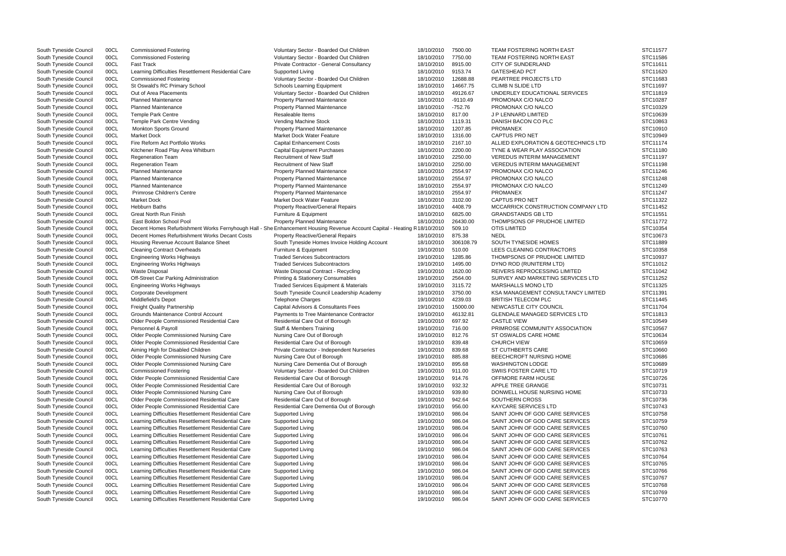| South Tyneside Council | 00CL | <b>Commissioned Fostering</b>                       | Voluntary Sector - Boarded Out Children                                                                                  | 18/10/2010 | 7500.00    | <b>TEAM FOSTERING NORTH EAST</b>     | STC11577 |
|------------------------|------|-----------------------------------------------------|--------------------------------------------------------------------------------------------------------------------------|------------|------------|--------------------------------------|----------|
| South Tyneside Council | 00CL | <b>Commissioned Fostering</b>                       | Voluntary Sector - Boarded Out Children                                                                                  | 18/10/2010 | 7750.00    | <b>TEAM FOSTERING NORTH EAST</b>     | STC11586 |
| South Tyneside Council | 00CL | <b>Fast Track</b>                                   | Private Contractor - General Consultancy                                                                                 | 18/10/2010 | 8915.00    | <b>CITY OF SUNDERLAND</b>            | STC11611 |
| South Tyneside Council | 00CL | Learning Difficulties Resettlement Residential Care | Supported Living                                                                                                         | 18/10/2010 | 9153.74    | <b>GATESHEAD PCT</b>                 | STC11620 |
| South Tyneside Council | 00CL | <b>Commissioned Fostering</b>                       | Voluntary Sector - Boarded Out Children                                                                                  | 18/10/2010 | 12688.88   | PEARTREE PROJECTS LTD                | STC11683 |
| South Tyneside Council | 00CL | St Oswald's RC Primary School                       | <b>Schools Learning Equipment</b>                                                                                        | 18/10/2010 | 14667.75   | <b>CLIMB N SLIDE LTD</b>             | STC11697 |
| South Tyneside Council | 00CL | Out of Area Placements                              | Voluntary Sector - Boarded Out Children                                                                                  | 18/10/2010 | 49126.67   | UNDERLEY EDUCATIONAL SERVICES        | STC11819 |
| South Tyneside Council | 00CL | <b>Planned Maintenance</b>                          | Property Planned Maintenance                                                                                             | 18/10/2010 | $-9110.49$ | PROMONAX C/O NALCO                   | STC10287 |
| South Tyneside Council | 00CL | <b>Planned Maintenance</b>                          | <b>Property Planned Maintenance</b>                                                                                      | 18/10/2010 | $-752.76$  | PROMONAX C/O NALCO                   | STC10329 |
| South Tyneside Council | 00CL | <b>Temple Park Centre</b>                           | Resaleable Items                                                                                                         | 18/10/2010 | 817.00     | J P LENNARD LIMITED                  | STC10639 |
| South Tyneside Council | 00CL | Temple Park Centre Vending                          | Vending Machine Stock                                                                                                    | 18/10/2010 | 1119.31    | DANISH BACON CO PLC                  | STC10863 |
|                        | 00CL | <b>Monkton Sports Ground</b>                        | <b>Property Planned Maintenance</b>                                                                                      | 18/10/2010 | 1207.85    | <b>PROMANEX</b>                      | STC10910 |
| South Tyneside Council |      |                                                     |                                                                                                                          |            |            | <b>CAPTUS PRO NET</b>                |          |
| South Tyneside Council | 00CL | <b>Market Dock</b>                                  | Market Dock Water Feature                                                                                                | 18/10/2010 | 1316.00    |                                      | STC10949 |
| South Tyneside Council | 00CL | Fire Reform Act Portfolio Works                     | <b>Capital Enhancement Costs</b>                                                                                         | 18/10/2010 | 2167.10    | ALLIED EXPLORATION & GEOTECHNICS LTD | STC11174 |
| South Tyneside Council | 00CL | Kitchener Road Play Area Whitburn                   | <b>Capital Equipment Purchases</b>                                                                                       | 18/10/2010 | 2200.00    | TYNE & WEAR PLAY ASSOCIATION         | STC11180 |
| South Tyneside Council | 00CL | <b>Regeneration Team</b>                            | <b>Recruitment of New Staff</b>                                                                                          | 18/10/2010 | 2250.00    | <b>VEREDUS INTERIM MANAGEMENT</b>    | STC11197 |
| South Tyneside Council | 00CL | <b>Regeneration Team</b>                            | <b>Recruitment of New Staff</b>                                                                                          | 18/10/2010 | 2250.00    | <b>VEREDUS INTERIM MANAGEMENT</b>    | STC11198 |
| South Tyneside Council | 00CL | <b>Planned Maintenance</b>                          | <b>Property Planned Maintenance</b>                                                                                      | 18/10/2010 | 2554.97    | PROMONAX C/O NALCO                   | STC11246 |
| South Tyneside Council | 00CL | <b>Planned Maintenance</b>                          | Property Planned Maintenance                                                                                             | 18/10/2010 | 2554.97    | PROMONAX C/O NALCO                   | STC11248 |
| South Tyneside Council | 00CL | <b>Planned Maintenance</b>                          | <b>Property Planned Maintenance</b>                                                                                      | 18/10/2010 | 2554.97    | PROMONAX C/O NALCO                   | STC11249 |
| South Tyneside Council | 00CL | Primrose Children's Centre                          | <b>Property Planned Maintenance</b>                                                                                      | 18/10/2010 | 2554.97    | PROMANEX                             | STC11247 |
| South Tyneside Council | 00CL | <b>Market Dock</b>                                  | Market Dock Water Feature                                                                                                | 18/10/2010 | 3102.00    | <b>CAPTUS PRO NET</b>                | STC11322 |
| South Tyneside Council | 00CL | <b>Hebburn Baths</b>                                | <b>Property Reactive/General Repairs</b>                                                                                 | 18/10/2010 | 4408.79    | MCCARRICK CONSTRUCTION COMPANY LTD   | STC11452 |
| South Tyneside Council | 00CL | <b>Great North Run Finish</b>                       | Furniture & Equipment                                                                                                    | 18/10/2010 | 6825.00    | <b>GRANDSTANDS GB LTD</b>            | STC11551 |
| South Tyneside Council | 00CL | East Boldon School Pool                             | <b>Property Planned Maintenance</b>                                                                                      | 18/10/2010 | 26430.00   | THOMPSONS OF PRUDHOE LIMITED         | STC11772 |
| South Tyneside Council | 00CL |                                                     | Decent Homes Refurbishment Works Fernyhough Hall - She Enhancement Housing Revenue Account Capital - Heating R18/10/2010 |            | 509.10     | <b>OTIS LIMITED</b>                  | STC10354 |
| South Tyneside Council | 00CL | Decent Homes Refurbishment Works Decant Costs       | <b>Property Reactive/General Repairs</b>                                                                                 | 18/10/2010 | 875.38     | <b>NEDL</b>                          | STC10673 |
| South Tyneside Council | 00CL | Housing Revenue Account Balance Sheet               | South Tyneside Homes Invoice Holding Account                                                                             | 18/10/2010 | 306108.79  | SOUTH TYNESIDE HOMES                 | STC11889 |
|                        | 00CL |                                                     |                                                                                                                          | 19/10/2010 | 510.00     | LEES CLEANING CONTRACTORS            | STC10358 |
| South Tyneside Council |      | <b>Cleaning Contract Overheads</b>                  | Furniture & Equipment<br><b>Traded Services Subcontractors</b>                                                           |            | 1285.86    | THOMPSONS OF PRUDHOE LIMITED         | STC10937 |
| South Tyneside Council | 00CL | <b>Engineering Works Highways</b>                   |                                                                                                                          | 19/10/2010 |            |                                      |          |
| South Tyneside Council | 00CL | <b>Engineering Works Highways</b>                   | <b>Traded Services Subcontractors</b>                                                                                    | 19/10/2010 | 1495.00    | DYNO ROD (RUNITERM LTD)              | STC11012 |
| South Tyneside Council | 00CL | <b>Waste Disposal</b>                               | Waste Disposal Contract - Recycling                                                                                      | 19/10/2010 | 1620.00    | REIVERS REPROCESSING LIMITED         | STC11042 |
| South Tyneside Council | 00CL | Off-Street Car Parking Administration               | <b>Printing &amp; Stationery Consumables</b>                                                                             | 19/10/2010 | 2564.00    | SURVEY AND MARKETING SERVICES LTD    | STC11252 |
| South Tyneside Council | 00CL | <b>Engineering Works Highways</b>                   | Traded Services Equipment & Materials                                                                                    | 19/10/2010 | 3115.72    | MARSHALLS MONO LTD                   | STC11325 |
| South Tyneside Council | 00CL | <b>Corporate Development</b>                        | South Tyneside Council Leadership Academy                                                                                | 19/10/2010 | 3750.00    | KSA MANAGEMENT CONSULTANCY LIMITED   | STC11391 |
| South Tyneside Council | 00CL | Middlefield's Depot                                 | <b>Telephone Charges</b>                                                                                                 | 19/10/2010 | 4239.03    | BRITISH TELECOM PLC                  | STC11445 |
| South Tyneside Council | 00CL | <b>Freight Quality Partnership</b>                  | Capital Advisors & Consultants Fees                                                                                      | 19/10/2010 | 15000.00   | NEWCASTLE CITY COUNCIL               | STC11704 |
| South Tyneside Council | 00CL | Grounds Maintenance Control Account                 | Payments to Tree Maintenance Contractor                                                                                  | 19/10/2010 | 46132.81   | GLENDALE MANAGED SERVICES LTD        | STC11813 |
| South Tyneside Council | 00CL | Older People Commissioned Residential Care          | Residential Care Out of Borough                                                                                          | 19/10/2010 | 697.92     | <b>CASTLE VIEW</b>                   | STC10549 |
| South Tyneside Council | 00CL | Personnel & Payroll                                 | Staff & Members Training                                                                                                 | 19/10/2010 | 716.00     | PRIMROSE COMMUNITY ASSOCIATION       | STC10567 |
| South Tyneside Council | 00CL | Older People Commissioned Nursing Care              | Nursing Care Out of Borough                                                                                              | 19/10/2010 | 812.76     | ST OSWALDS CARE HOME                 | STC10634 |
| South Tyneside Council | 00CL | Older People Commissioned Residential Care          | Residential Care Out of Borough                                                                                          | 19/10/2010 | 839.48     | <b>CHURCH VIEW</b>                   | STC10659 |
| South Tyneside Council | 00CL | Aiming High for Disabled Children                   | Private Contractor - Independent Nurseries                                                                               | 19/10/2010 | 839.68     | ST CUTHBERTS CARE                    | STC10660 |
| South Tyneside Council | 00CL | Older People Commissioned Nursing Care              | Nursing Care Out of Borough                                                                                              | 19/10/2010 | 885.88     | BEECHCROFT NURSING HOME              | STC10686 |
| South Tyneside Council | 00CL | Older People Commissioned Nursing Care              | Nursing Care Dementia Out of Borough                                                                                     | 19/10/2010 | 895.68     | <b>WASHINGTON LODGE</b>              | STC10689 |
| South Tyneside Council | 00CL | <b>Commissioned Fostering</b>                       | Voluntary Sector - Boarded Out Children                                                                                  | 19/10/2010 | 911.00     | SWIIS FOSTER CARE LTD                | STC10719 |
| South Tyneside Council | 00CL | Older People Commissioned Residential Care          | Residential Care Out of Borough                                                                                          | 19/10/2010 | 914.76     | OFFMORE FARM HOUSE                   | STC10726 |
| South Tyneside Council | 00CL | Older People Commissioned Residential Care          | Residential Care Out of Borough                                                                                          | 19/10/2010 | 932.32     | APPLE TREE GRANGE                    | STC10731 |
|                        |      |                                                     |                                                                                                                          |            |            |                                      | STC10733 |
| South Tyneside Council | 00CL | Older People Commissioned Nursing Care              | Nursing Care Out of Borough                                                                                              | 19/10/2010 | 939.80     | DONWELL HOUSE NURSING HOME           |          |
| South Tyneside Council | 00CL | Older People Commissioned Residential Care          | Residential Care Out of Borough                                                                                          | 19/10/2010 | 942.64     | SOUTHERN CROSS                       | STC10736 |
| South Tyneside Council | 00CL | Older People Commissioned Residential Care          | Residential Care Dementia Out of Borough                                                                                 | 19/10/2010 | 956.00     | <b>KAYCARE SERVICES LTD</b>          | STC10743 |
| South Tyneside Council | 00CL | Learning Difficulties Resettlement Residential Care | Supported Living                                                                                                         | 19/10/2010 | 986.04     | SAINT JOHN OF GOD CARE SERVICES      | STC10758 |
| South Tyneside Council | 00CL | Learning Difficulties Resettlement Residential Care | Supported Living                                                                                                         | 19/10/2010 | 986.04     | SAINT JOHN OF GOD CARE SERVICES      | STC10759 |
| South Tyneside Council | 00CL | Learning Difficulties Resettlement Residential Care | Supported Living                                                                                                         | 19/10/2010 | 986.04     | SAINT JOHN OF GOD CARE SERVICES      | STC10760 |
| South Tyneside Council | 00CL | Learning Difficulties Resettlement Residential Care | Supported Living                                                                                                         | 19/10/2010 | 986.04     | SAINT JOHN OF GOD CARE SERVICES      | STC10761 |
| South Tyneside Council | 00CL | Learning Difficulties Resettlement Residential Care | Supported Living                                                                                                         | 19/10/2010 | 986.04     | SAINT JOHN OF GOD CARE SERVICES      | STC10762 |
| South Tyneside Council | 00CL | Learning Difficulties Resettlement Residential Care | Supported Living                                                                                                         | 19/10/2010 | 986.04     | SAINT JOHN OF GOD CARE SERVICES      | STC10763 |
| South Tyneside Council | 00CL | Learning Difficulties Resettlement Residential Care | Supported Living                                                                                                         | 19/10/2010 | 986.04     | SAINT JOHN OF GOD CARE SERVICES      | STC10764 |
| South Tyneside Council | 00CL | Learning Difficulties Resettlement Residential Care | Supported Living                                                                                                         | 19/10/2010 | 986.04     | SAINT JOHN OF GOD CARE SERVICES      | STC10765 |
| South Tyneside Council | 00CL | Learning Difficulties Resettlement Residential Care | Supported Living                                                                                                         | 19/10/2010 | 986.04     | SAINT JOHN OF GOD CARE SERVICES      | STC10766 |
| South Tyneside Council | 00CL | Learning Difficulties Resettlement Residential Care | Supported Living                                                                                                         | 19/10/2010 | 986.04     | SAINT JOHN OF GOD CARE SERVICES      | STC10767 |
| South Tyneside Council | 00CL | Learning Difficulties Resettlement Residential Care | Supported Living                                                                                                         | 19/10/2010 | 986.04     | SAINT JOHN OF GOD CARE SERVICES      | STC10768 |
| South Tyneside Council | 00CL | Learning Difficulties Resettlement Residential Care | Supported Living                                                                                                         | 19/10/2010 | 986.04     | SAINT JOHN OF GOD CARE SERVICES      | STC10769 |
| South Tyneside Council | 00CL | Learning Difficulties Resettlement Residential Care | Supported Living                                                                                                         | 19/10/2010 | 986.04     | SAINT JOHN OF GOD CARE SERVICES      | STC10770 |
|                        |      |                                                     |                                                                                                                          |            |            |                                      |          |

|            | STC11577<br>STC11586<br>STC11611<br>STC11620<br>STC11683<br>STC11697<br>STC11819<br>STC10287<br>STC10329<br>STC10639 |
|------------|----------------------------------------------------------------------------------------------------------------------|
| <b>LTD</b> | STC10863<br>STC10910<br>STC10949<br>STC11174<br>STC11180<br>STC11197<br>STC11198<br>STC11246                         |
| Y LTD      | STC11248<br>STC11249<br>STC11247<br>STC11322<br>STC11452<br>STC11551<br>STC11772<br>STC10354<br>STC10673             |
| ГD         | STC11889<br>STC10358<br>STC10937<br>STC11012<br>STC11042<br>STC11252<br>STC11325                                     |
| ITED       | STC11391<br>STC11445<br>STC11704<br>STC11813<br>STC10549<br>STC10567<br>STC10634<br>STC10659                         |
|            | STC10660<br>STC10686<br>STC10689<br>STC10719<br>STC10726<br>STC10731<br>STC10733<br>STC10736                         |
|            | STC10743<br>STC10758<br>STC10759<br>STC10760<br>STC10761<br>STC10762<br>STC10763<br>STC10764<br>STC10765             |
|            | STC10766<br>STC10767<br>STC10768<br>STC10769<br>STC10770                                                             |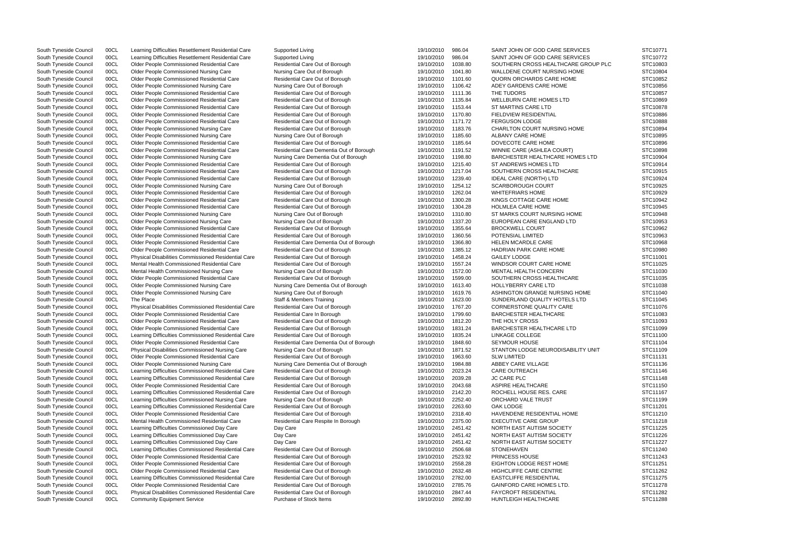South Tyneside Council 00CL Learning Difficulties Resettlement Residential Care Supported Living 19/10/2010 986.04 SAINT JOHN OF GOD CARE SERVICES South Tyneside Council 00CL Learning Difficulties Resettlement Residential Care Supported Living 19/10/2010 986.04 SAINT JOHN OF GOD CARE SERVICES South Tyneside Council 00CL Older People Commissioned Residential Care Residential Care Out of Borough 19/10/2010 1038.80 SOUTHERN CROSS HEALTHCARE GROU South Tyneside Council 00CL Older People Commissioned Nursing Care Nursing Care Out of Borough 19/10/2010 1041.80 WALLDENE COURT NURSING HOME South Tyneside Council 00CL Older People Commissioned Residential Care Residential Care Residential Care Out of Borough 19/10/2010 1101.60 QUORN ORCHARDS CARE HOME South Tyneside Council 00CL Older People Commissioned Nursing Care Nursing Care Out of Borough 19/10/2010 1106.42 ADEY GARDENS CARE HOME South Tyneside Council 00CL Older People Commissioned Residential Care Residential Care Out of Borough 19/10/2010 1111.36 THE TUDORS South Tyneside Council 00CL Older People Commissioned Residential Care 2011 Residential Care Out of Borough 19/10/2010 1135.84 WELLBURN CARE HOMES LTD South Tyneside Council 00CL Older People Commissioned Residential Care Residential Care Out of Borough 19/10/2010 1153.44 ST MARTINS CARE LTD South Tyneside Council 00CL Older People Commissioned Residential Care Residential Care Out of Borough 19/10/2010 1170.80 FIELDVIEW RESIDENTIAL South Tyneside Council 00CL Older People Commissioned Residential Care Residential Care Out of Borough 19/10/2010 1171.72 FERGUSON LODGE South Tyneside Council 00CL Older People Commissioned Nursing Care Residential Care Out of Borough 19/10/2010 1183.76 CHARLTON COURT NURSING HOME South Tyneside Council 00CL Older People Commissioned Nursing Care Nursing Care Out of Borough 19/10/2010 1185.60 ALBANY CARE HOME South Tyneside Council 00CL Older People Commissioned Residential Care Residential Care Residential Care Out of Borough 19/10/2010 1185.64 DOVECOTE CARE HOME South Tyneside Council 00CL Older People Commissioned Residential Care Residential Care Dementia Out of Borough 19/10/2010 1191.52 WINNIE CARE (ASHLEA COURT) South Tyneside Council 00CL Older People Commissioned Nursing Care Nursing Care Dementia Out of Borough 19/10/2010 1198.80 BARCHESTER HEALTHCARE HOMES LTI South Tyneside Council 00CL Older People Commissioned Residential Care Residential Care Out of Borough 19/10/2010 1215.40 ST ANDREWS HOMES LTD South Tyneside Council 00CL Older People Commissioned Residential Care Residential Care Out of Borough 19/10/2010 1217.04 SOUTHERN CROSS HEALTHCARE South Tyneside Council 00CL Older People Commissioned Residential Care Residential Care Out of Borough 19/10/2010 1239.40 IDEAL CARE (NORTH) LTD South Tyneside Council 00CL Older People Commissioned Nursing Care Nursing Care Out of Borough 19/10/2010 1254.12 SCARBOROUGH COURT South Tyneside Council 00CL Older People Commissioned Residential Care Residential Care Out of Borough 19/10/2010 1262.04 WHITEFRIARS HOME South Tyneside Council 00CL Older People Commissioned Residential Care Residential Care Out of Borough 19/10/2010 1300.28 KINGS COTTAGE CARE HOME South Tyneside Council 00CL Older People Commissioned Residential Care Residential Care Out of Borough 19/10/2010 1304.28 HOLMLEA CARE HOME South Tyneside Council 00CL Older People Commissioned Nursing Care Nursing Care Nursing Care Out of Borough 19/10/2010 1310.80 ST MARKS COURT NURSING HOME South Tyneside Council 00CL Older People Commissioned Nursing Care Nursing Care Out of Borough 19/10/2010 1337.20 EUROPEAN CARE ENGLAND LTD South Tyneside Council 00CL Older People Commissioned Residential Care Residential Care Out of Borough 19/10/2010 1355.64 BROCKWELL COURT South Tyneside Council 00CL Older People Commissioned Residential Care Residential Care Out of Borough 19/10/2010 1360.56 POTENSIAL LIMITED South Tyneside Council 00CL Older People Commissioned Residential Care Residential Care Dementia Out of Borough 19/10/2010 1366.80 HELEN MCARDLE CARE South Tyneside Council 00CL Older People Commissioned Residential Care Residential Care Out of Borough 19/10/2010 1385.12 HADRIAN PARK CARE HOME South Tyneside Council 00CL Physical Disabilities Commissioned Residential Care Residential Care Out of Borough 19/10/2010 1458.24 GAILEY LODGE South Tyneside Council 00CL Mental Health Commissioned Residential Care Residential Care Residential Care Out of Borough 19/10/2010 1557.24 WINDSOR COURT CARE HOME South Tyneside Council 00CL Mental Health Commissioned Nursing Care Nursing Care Out of Borough 19/10/2010 1572.00 MENTAL HEALTH CONCERN South Tyneside Council 00CL Older People Commissioned Residential Care Residential Care Out of Borough 19/10/2010 1599.00 SOUTHERN CROSS HEALTHCARE South Tyneside Council 00CL Older People Commissioned Nursing Care Nursing Care Dementia Out of Borough 19/10/2010 1613.40 HOLLYBERRY CARE LTD South Tyneside Council 00CL Older People Commissioned Nursing Care Nursing Care Out of Borough 19/10/2010 1619.76 ASHINGTON GRANGE NURSING HOME South Tyneside Council 00CL The Place Staff & Members Training Staff & Members Training 19/10/2010 1623.00 SUNDERLAND QUALITY HOTELS LTD South Tyneside Council 00CL Physical Disabilities Commissioned Residential Care Residential Care Out of Borough 19/10/2010 1767.20 CORNERSTONE QUALITY CARE South Tyneside Council 00CL Older People Commissioned Residential Care Residential Care In Borough 19/10/2010 1799.60 BARCHESTER HEALTHCARE South Tyneside Council 00CL Older People Commissioned Residential Care Residential Care Out of Borough 19/10/2010 1812.20 THE HOLY CROSS South Tyneside Council 00CL Older People Commissioned Residential Care Residential Care Residential Care Out of Borough 19/10/2010 1831.24 BARCHESTER HEALTHCARE LTD South Tyneside Council 00CL Learning Difficulties Commissioned Residential Care Residential Care Out of Borough 19/10/2010 1835.24 LINKAGE COLLEGE South Tyneside Council 00CL Older People Commissioned Residential Care Residential Care Dementia Out of Borough 19/10/2010 1848.60 SEYMOUR HOUSE South Tyneside Council 00CL Physical Disabilities Commissioned Nursing Care Nursing Care Out of Borough 19/10/2010 1871.52 STANTON LODGE NEURODISABILITY UNIT STANTON LODGE NEURODISABILITY UNIT South Tyneside Council 00CL Older People Commissioned Residential Care Residential Care Out of Borough 19/10/2010 1963.60 SLW LIMITED South Tyneside Council 00CL Older People Commissioned Nursing Care Nursing Care Dementia Out of Borough 19/10/2010 1984.88 ABBEY CARE VILLAGE South Tyneside Council 00CL Learning Difficulties Commissioned Residential Care Residential Care Out of Borough 19/10/2010 2023.24 CARE OUTREACH South Tyneside Council 00CL Learning Difficulties Commissioned Residential Care Residential Care Out of Borough 19/10/2010 2039.28 JC CARE PLC South Tyneside Council 00CL Older People Commissioned Residential Care Residential Care Out of Borough 19/10/2010 2043.68 ASPIRE HEALTHCARE South Tyneside Council 00CL Learning Difficulties Commissioned Residential Care Residential Care Out of Borough 19/10/2010 2142.20 ROCHELL HOUSE RES. CARE South Tyneside Council 00CL Learning Difficulties Commissioned Nursing Care Nursing Care Out of Borough 19/10/2010 2252.40 ORCHARD VALE TRUST South Tyneside Council 00CL Learning Difficulties Commissioned Residential Care Residential Care Out of Borough 19/10/2010 2263.60 OAK LODGE South Tyneside Council 00CL Older People Commissioned Residential Care Residentia South Tyneside Council 00CL Older People Commissioned Residential Care Residential Care Residential Care Out of Borough 19/10/2010 2318.40 HAVENDENE RESIDENTIAL HOME South Tyneside Council 00CL Mental Health Commissioned Residential Care Residential Care Respite In Borough 19/10/2010 2375.00 EXECUTIVE CARE GROUP South Tyneside Council 00CL Learning Difficulties Commissioned Day Care Day Care Day Care 19/10/2010 2451.42 NORTH EAST AUTISM SOCIETY South Tyneside Council 00CL Learning Difficulties Commissioned Day Care Day Care Day Care 19/10/2010 2451.42 NORTH EAST AUTISM SOCIETY South Tyneside Council 00CL Learning Difficulties Commissioned Day Care Day Care Day Care 19/10/2010 2451.42 NORTH EAST AUTISM SOCIETY South Tyneside Council 00CL Learning Difficulties Commissioned Residential Care Residential Care Out of Borough 19/10/2010 2506.68 STONEHAVEN South Tyneside Council 00CL Older People Commissioned Residential Care Residential Care Out of Borough 19/10/2010 2523.92 PRINCESS HOUSE South Tyneside Council 00CL Older People Commissioned Residential Care Residential Care Out of Borough 19/10/2010 2558.28 EIGHTON LODGE REST HOME South Tyneside Council 00CL Older People Commissioned Residential Care Residential Care Residential Care Out of Borough 19/10/2010 2632.48 HIGHCLIFFE CARE CENTRE South Tyneside Council 00CL Learning Difficulties Commissioned Residential Care Residential Care Out of Borough 19/10/2010 2782.00 EASTCLIFFE RESIDENTIAL South Tyneside Council 00CL Older People Commissioned Residential Care Residential Care Out of Borough 19/10/2010 2785.76 GAINFORD CARE HOMES LTD. South Tyneside Council 00CL Physical Disabilities Commissioned Residential Care Residential Care Out of Borough 19/10/2010 2847.44 FAYCROFT RESIDENTIAL South Tyneside Council 00CL Community Equipment Service Purchase of Stock Items 19/10/2010 2892.80 HUNTLEIGH HEALTHCARE

|             | STC10771             |
|-------------|----------------------|
|             | STC10772             |
| JP PLC      | STC10803             |
|             | STC10804             |
|             | STC10852             |
|             | STC10856             |
|             | STC10857             |
|             | STC10869             |
|             | STC10878             |
|             | STC10886             |
|             | STC10888             |
|             | STC10894             |
|             | STC10895             |
|             | STC10896             |
|             | STC10898             |
| D           | STC10904             |
|             | STC10914             |
|             | STC10915             |
|             | STC10924             |
|             | STC10925             |
|             | STC10929             |
|             | STC10942             |
|             | STC10945             |
|             | STC10948             |
|             | STC10953             |
|             | STC10962             |
|             | STC10963             |
|             | STC10968             |
|             | STC10980             |
|             | STC11001             |
|             | STC11025             |
|             | STC11030             |
|             | STC11035<br>STC11038 |
|             | STC11040             |
|             | STC11045             |
|             | STC11076             |
|             | STC11083             |
|             | STC11093             |
|             | STC11099             |
|             | STC11100             |
|             | STC11104             |
| $\sqrt{11}$ | STC11109             |
|             | STC11131             |
|             | STC11136             |
|             | STC11146             |
|             | STC11148             |
|             | STC11150             |
|             | STC11167             |
|             | STC11199             |
|             | STC11201             |
|             | STC11210             |
|             | STC11218             |
|             | STC11225             |
|             | STC11226             |
|             | STC11227             |
|             | STC11240             |
|             | STC11243<br>STC11251 |
|             | STC11262             |
|             | STC11275             |
|             | STC11278             |
|             | STC11282             |
|             | STC11288             |
|             |                      |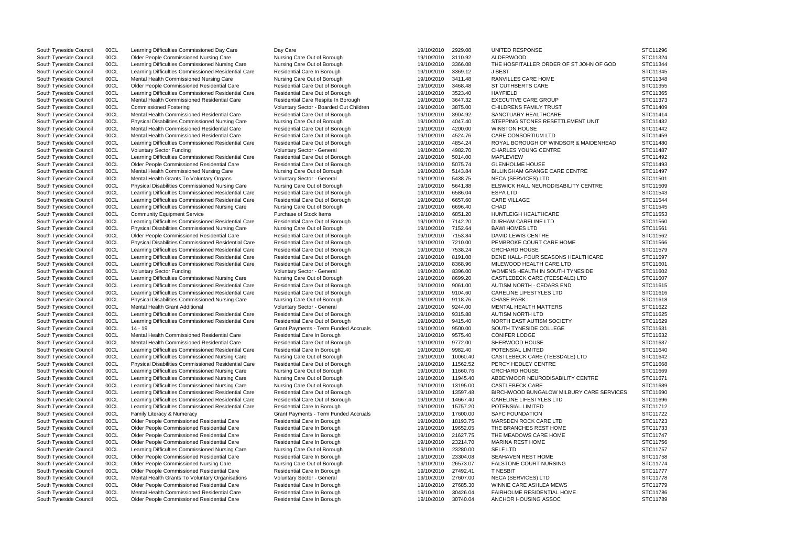South Tyneside Council 00CL Learning Difficulties Commissioned Day Care Day Care Day Care 19/10/2010 2929.08 UNITED RESPONSE South Tyneside Council 00CL Older People Commissioned Nursing Care Nursing Care Out of Borough 19/10/2010 3110.92 ALDERWOOD STUDER ALDER ORDER OF STUDHN South Tyneside Council 00CL Learning Difficulties Commissioned Nursin South Tyneside Council 00CL Learning Difficulties Commissioned Nursing Care Nursing Care Out of Borough 19/10/2010 3366.08 South Tyneside Council 00CL Learning Difficulties Commissioned Residential Care Residential Care In Borough 19/10/2010 3369.12 J BEST J BEST 369.12 J BEST South Tyneside Council 00CL Mental Health Commissioned Nursing Care South Tynesian Mental Health Commissioned Nursing Care Nursing Care Out of Borough 19/10/2010 3411.48 RANVILLES CARE HOME 19/10/2010 3411.48 RANVILLES CARE HOME 19/10/2010 3411.48 RANVILLES CARE HOME 19/10/2010 3468.48 ST South Tyneside Council 00CL Older People Commissioned Residential Care Residential Care Out of Borough 19/10/2010 3468.48 ST CUTHBERTS CARE South Tyneside Council 00CL Learning Difficulties Commissioned Residential Care Residential Care Out of Borough 19/10/2010 3523.40 HAYFIELD South Tyneside Council 00CL Mental Health Commissioned Residential Care Residential Care Respite In Borough 19/10/2010 3647.32 EXECUTIVE CARE GROUP South Tyneside Council 00CL Commissioned Fostering The State of Voluntary Sector - Boarded Out Children 19/10/2010 3875.00 CHILDRENS FAMILY TRUST South Tyneside Council 00CL Mental Health Commissioned Residential Care Residential Care Out of Borough 19/10/2010 3904.92 SANCTUARY HEALTHCARE South Tyneside Council 00CL Physical Disabilities Commissioned Nursing Care Nursing Care Out of Borough 19/10/2010 4047.40 STEPPING STONES RESETTLEMENT UNIT South Tyneside Council 00CL Mental Health Commissioned Residential Care Residential Care Out of Borough 19/10/2010 4200.00 WINSTON HOUSE South Tyneside Council 00CL Mental Health Commissioned Residential Care Residential Care Out of Borough 19/10/2010 4524.76 CARE CONSORTIUM LTD South Tyneside Council 00CL Learning Difficulties Commissioned Residential Care Residential Care Out of Borough 19/10/2010 4854.24 ROYAL BOROUGH OF WINDSOR & MAIDI South Tyneside Council COCL Voluntary Sector Funding Contained Voluntary Sector - General Countary Sector - General Material Countary Sector Formulation and the STC11487 CHARLES YOUNG CENTRE STC11487 South Tyneside Council 00CL Learning Difficulties Commissioned Residential Care Residential Care Out of Borough 19/10/2010 5014.00 MAPLEVIEW South Tyneside Council 00CL Older People Commissioned Residential Care Residential Care Out of Borough 19/10/2010 5075.74 GLENHOLME HOUSE South Tyneside Council 00CL Mental Health Commissioned Nursing Care Nursing Care Out of Borough 19/10/2010 5143.84 BILLINGHAM GRANGE CARE CENTRE South Tyneside Council 00CL Mental Health Grants To Voluntary Organs Voluntary Sector - General 19/10/2010 5438.75 NECA (SERVICES) LTD South Tyneside Council 00CL Physical Disabilities Commissioned Nursing Care Nursing Care Out of Borough 19/10/2010 5641.88 ELSWICK HALL NEURODISABILITY CENT South Tyneside Council 00CL Learning Difficulties Commissioned Residential Care Residential Care Out of Borough 19/10/2010 6586.04 ESPA LTD South Tyneside Council 00CL Learning Difficulties Commissioned Residential Care Residential Care Out of Borough 19/10/2010 6657.60 CARE VILLAGE South Tyneside Council 00CL Learning Difficulties Commissioned Nursing Care Nursing Care Out of Borough 19/10/2010 6696.40 CHAD South Tyneside Council 00CL Community Equipment Service Purchase of Stock Items 19/10/2010 6851.20 HUNTLEIGH HEALTHCARE South Tyneside Council 00CL Learning Difficulties Commissioned Residential Care Residential Care Out of Borough 19/10/2010 7142.20 DURHAM CARELINE LTD South Tyneside Council 00CL Physical Disabilities Commissioned Nursing Care Nursing Care Out of Borough 19/10/2010 7152.64 BAWI HOMES LTD South Tyneside Council 00CL Older People Commissioned Residential Care Residential Care Out of Borough 19/10/2010 7153.84 DAVID LEWIS CENTRE South Tyneside Council 00CL Physical Disabilities Commissioned Residential Care Residential Care Out of Borough 19/10/2010 7210.00 PEMBROKE COURT CARE HOME South Tyneside Council 00CL Learning Difficulties Commissioned Residential Care Residential Care Out of Borough 19/10/2010 7538.24 ORCHARD HOUSE South Tyneside Council 00CL Learning Difficulties Commissioned Residential Care Residential Care Out of Borough 19/10/2010 8191.08 DENE HALL- FOUR SEASONS HEALTHCA South Tyneside Council 00CL Learning Difficulties Commissioned Residential Care Residential Care Out of Borough 19/10/2010 8368.96 MILEWOOD HEALTH CARE LTD SOUTH TY OOCL Voluntary Sector Funding Voluntary Sector - General 19/10/2010 8396.00 WOMENS HEALTH IN SOUTH TYNESIDE South Tyneside Council 00CL Learning Difficulties Commissioned Nursing Care Nursing Care Out of Borough 19/10/2010 8699.20 CASTLEBECK CARE (TEESDALE) LTD South Tyneside Council 00CL Learning Difficulties Commissioned Residential Care Residential Care Out of Borough 19/10/2010 9061.00 AUTISM NORTH - CEDARS END South Tyneside Council 00CL Learning Difficulties Commissioned Residential Care Residential Care Out of Borough 19/10/2010 9104.60 CARELINE LIFESTYLES LTD South Tyneside Council 00CL Physical Disabilities Commissioned Nursing Care Nursing Care Out of Borough 19/10/2010 9118.76 CHASE PARK South Tyneside Council 00CL Mental Health Grant Additional Voluntary Sector - General 19/10/2010 9244.00 MENTAL HEALTH MATTERS South Tyneside Council 00CL Learning Difficulties Commissioned Residential Care Residential Care Out of Borough 19/10/2010 9315.88 AUTISM NORTH LTD South Tyneside Council 00CL Learning Difficulties Commissioned Residential Care Residential Care Out of Borough 19/10/2010 9415.40 NORTH EAST AUTISM SOCIETY<br>South Tyneside Council 00CL 14 - 19 19/10/2010 9500.00 SOUTH TYNE oocl 14 - 19 Council 20Cl 19 Grant Payments - Term Funded Accruals 19/10/2010 9500.00 SOUTH TYNESIDE COLLEGE South Tyneside Council 00CL Mental Health Commissioned Residential Care Residential Care In Borough 19/10/2010 9575.40 CONIFER LODGE South Tyneside Council 00CL Mental Health Commissioned Residential Care Residential Care Out of Borough 19/10/2010 9772.00 SHERWOOD HOUSE South Tyneside Council 00CL Learning Difficulties Commissioned Residential Care Residential Care In Borough 19/10/2010 9982.40 POTENSIAL LIMITED South Tyneside Council 00CL Learning Difficulties Commissioned Nursing Care Nursing Care Out of Borough 19/10/2010 10060.40 CASTLEBECK CARE (TEESDALE) LTD South Tyneside Council 00CL Physical Disabilities Commissioned Residential Care Residential Care Out of Borough 19/10/2010 11562.52 PERCY HEDLEY CENTRE South Tyneside Council 00CL Learning Difficulties Commissioned Nursing Care Nursing Care Out of Borough 19/10/2010 11660.76 ORCHARD HOUSE South Tyneside Council 00CL Learning Difficulties Commissioned Nursing Care Nursing Care Out of Borough 19/10/2010 11945.40 ABBEYMOOR NEURODISABILITY CENTR South Tyneside Council 00CL Learning Difficulties Commissioned Nursing Care Nursing Care Out of Borough 19/10/2010 13195.00 CASTLEBECK CARE South Tyneside Council 00CL Learning Difficulties Commissioned Residential Care Residential Care Out of Borough 19/10/2010 13597.48 BIRCHWOOD BUNGALOW MILBURY CAR South Tyneside Council 00CL Learning Difficulties Commissioned Residential Care Residential Care Out of Borough 19/10/2010 14667.40 CARELINE LIFESTYLES LTD South Tyneside Council 00CL Learning Difficulties Commissioned Residential Care Residential Care In Borough 19/10/2010 15757.20 POTENSIAL LIMITED South Tyneside Council 00CL Family Literacy & Numeracy Grant Payments - Term Funded Accruals 19/10/2010 17600.00 SAFC FOUNDATION South Tyneside Council 00CL Older People Commissioned Residential Care Residential Care In Borough 19/10/2010 18193.75 MARSDEN ROCK CARE LTD South Tyneside Council 00CL Older People Commissioned Residential Care Residential Care In Borough 19/10/2010 19652.05 THE BRANCHES REST HOME South Tyneside Council 00CL Older People Commissioned Residential Care Residential Care In Borough 19/10/2010 21627.75 THE MEADOWS CARE HOME South Tyneside Council 00CL Older People Commissioned Residential Care Residential Care In Borough 19/10/2010 23214.70 MARINA REST HOME South Tyneside Council 00CL Learning Difficulties Commissioned Nursing Care Nursing Ca OOCL Learning Difficulties Commissioned Nursing Care Nursing Care Out of Borough 19/10/2010 23280.00 SELF LTD South Tyneside Council 00CL Older People Commissioned Residential Care Residential Care In Borough 19/10/2010 23304.08 SEAHAVEN REST HOME South Tyneside Council 00CL Older People Commissioned Nursing Care Nursing Care Out of Borough 19/10/2010 26573.07 FALSTONE COURT NURSING South Tyneside Council 00CL Older People Commissioned Residential Care Residential Care In Borough 19/10/2010 27492.41 TNESBIT South Tyneside Council 00CL Mental Health Grants To Voluntary Organisations Voluntary Sector - General 19/10/2010 27607.00 NECA (SERVICES) LTD South Tyneside Council 00CL Older People Commissioned Residential Care Residential Care In Borough 19/10/2010 27685.30 WINNIE CARE ASHLEA MEWS South Tyneside Council 00CL Mental Health Commissioned Residential Care Residential Care In Borough 19/10/2010 30426.04 FAIRHOLME RESIDENTIAL HOME South Tyneside Council 00CL Older People Commissioned Residential Care Residential Care In Borough 19/10/2010 30740.04 ANCHOR HOUSING ASSOC

|                   | STC11296             |
|-------------------|----------------------|
|                   | STC11324             |
| OF GOD            | STC11344             |
|                   | STC11345             |
|                   | STC11348             |
|                   | STC11355             |
|                   | STC11365             |
|                   | STC11373             |
|                   | STC11409             |
|                   | STC11414             |
| ΙT                | STC11432             |
|                   | STC11442             |
|                   | STC11459             |
| ENHEAD            | STC11480             |
|                   | STC11487             |
|                   | STC11492             |
|                   | STC11493             |
|                   | STC11497             |
|                   | STC11501             |
| ΈRΕ               | STC11509             |
|                   | STC11543             |
|                   | STC11544             |
|                   | STC11545             |
|                   | STC11553             |
|                   | STC11560             |
|                   | STC11561             |
|                   | STC11562             |
|                   | STC11566             |
|                   | STC11579             |
| ۱RE               | STC11597             |
|                   | STC11601             |
|                   | STC11602<br>STC11607 |
|                   | STC11615             |
|                   | STC11616             |
|                   |                      |
|                   | STC11618<br>STC11622 |
|                   | STC11625             |
|                   | STC11629             |
|                   | STC11631             |
|                   | STC11632             |
|                   | STC11637             |
|                   | STC11640             |
|                   | STC11642             |
|                   | STC11668             |
|                   | STC11669             |
| E                 | STC11671             |
|                   | STC11689             |
| <b>E SERVICES</b> | STC11690             |
|                   | STC11696             |
|                   | STC11712             |
|                   | STC11722             |
|                   | STC11723             |
|                   | STC11733             |
|                   | STC11747             |
|                   | STC11756             |
|                   | STC11757             |
|                   | STC11758             |
|                   | STC11774             |
|                   | STC11777             |
|                   | STC11778             |
|                   | STC11779             |
|                   | STC11786             |
|                   | STC11789             |
|                   |                      |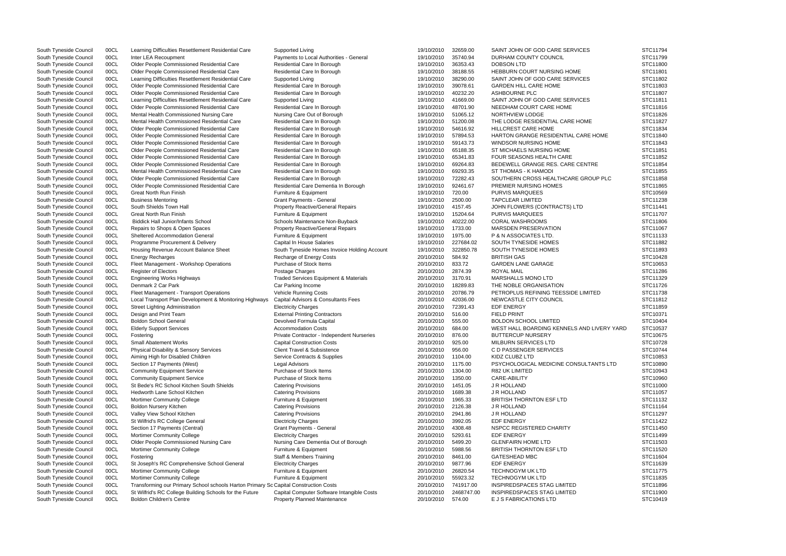| South Tyneside Council                           | 00CL         | Learning Difficulties Resettlement Residential Care                                        | Supported Living                                                                  | 19/10/2010               | 32659.00             | SAINT JOHN OF GOD CARE SERVICES                       | STC11794             |
|--------------------------------------------------|--------------|--------------------------------------------------------------------------------------------|-----------------------------------------------------------------------------------|--------------------------|----------------------|-------------------------------------------------------|----------------------|
| South Tyneside Council                           | 00CL         | Inter LEA Recoupment                                                                       | Payments to Local Authorities - General                                           | 19/10/2010               | 35740.94             | DURHAM COUNTY COUNCIL                                 | STC11799             |
| South Tyneside Council                           | 00CL         | Older People Commissioned Residential Care                                                 | Residential Care In Borough                                                       | 19/10/2010               | 36353.43             | <b>DOBSON LTD</b>                                     | STC11800             |
| South Tyneside Council                           | 00CL         | Older People Commissioned Residential Care                                                 | Residential Care In Borough                                                       | 19/10/2010               | 38188.55             | HEBBURN COURT NURSING HOME                            | STC11801             |
| South Tyneside Council                           | 00CL         | Learning Difficulties Resettlement Residential Care                                        | Supported Living                                                                  | 19/10/2010               | 38290.00             | SAINT JOHN OF GOD CARE SERVICES                       | STC11802             |
| South Tyneside Council                           | 00CL         | Older People Commissioned Residential Care                                                 | Residential Care In Borough                                                       | 19/10/2010               | 39078.61             | <b>GARDEN HILL CARE HOME</b>                          | STC11803             |
| South Tyneside Council                           | 00CL         | Older People Commissioned Residential Care                                                 | Residential Care In Borough                                                       | 19/10/2010               | 40232.20             | ASHBOURNE PLC                                         | STC11807             |
| South Tyneside Council                           | 00CL         | Learning Difficulties Resettlement Residential Care                                        | Supported Living                                                                  | 19/10/2010               | 41669.00             | SAINT JOHN OF GOD CARE SERVICES                       | STC11811             |
| South Tyneside Council                           | 00CL         | Older People Commissioned Residential Care                                                 | Residential Care In Borough                                                       | 19/10/2010               | 48701.90             | NEEDHAM COURT CARE HOME                               | STC11816             |
| South Tyneside Council                           | 00CL         | Mental Health Commissioned Nursing Care                                                    | Nursing Care Out of Borough                                                       | 19/10/2010               | 51065.12             | NORTHVIEW LODGE                                       | STC11826             |
| South Tyneside Council                           | 00CL         | Mental Health Commissioned Residential Care                                                | Residential Care In Borough                                                       | 19/10/2010               | 51200.08             | THE LODGE RESIDENTIAL CARE HOME                       | STC11827             |
| South Tyneside Council                           | 00CL         | Older People Commissioned Residential Care                                                 | Residential Care In Borough                                                       | 19/10/2010               | 54616.92             | HILLCREST CARE HOME                                   | STC11834             |
| South Tyneside Council                           | 00CL         | Older People Commissioned Residential Care                                                 | Residential Care In Borough                                                       | 19/10/2010               | 57894.53             | HARTON GRANGE RESIDENTIAL CARE HOME                   | STC11840             |
| South Tyneside Council                           | 00CL         | Older People Commissioned Residential Care                                                 | Residential Care In Borough                                                       | 19/10/2010               | 59143.73             | WINDSOR NURSING HOME                                  | STC11843             |
| South Tyneside Council                           | 00CL         | Older People Commissioned Residential Care                                                 | Residential Care In Borough                                                       | 19/10/2010               | 65188.35             | ST MICHAELS NURSING HOME                              | STC11851             |
| South Tyneside Council                           | 00CL         | Older People Commissioned Residential Care                                                 | Residential Care In Borough                                                       | 19/10/2010               | 65341.83             | <b>FOUR SEASONS HEALTH CARE</b>                       | STC11852             |
| South Tyneside Council                           | 00CL         | Older People Commissioned Residential Care                                                 | Residential Care In Borough                                                       | 19/10/2010               | 69264.83             | BEDEWELL GRANGE RES. CARE CENTRE                      | STC11854             |
|                                                  |              |                                                                                            |                                                                                   |                          |                      |                                                       |                      |
| South Tyneside Council                           | 00CL         | Mental Health Commissioned Residential Care                                                | Residential Care In Borough                                                       | 19/10/2010               | 69293.35             | ST THOMAS - K HAMODI                                  | STC11855             |
| South Tyneside Council                           | 00CL         | Older People Commissioned Residential Care                                                 | Residential Care In Borough                                                       | 19/10/2010               | 72282.43             | SOUTHERN CROSS HEALTHCARE GROUP PLC                   | STC11858             |
| South Tyneside Council                           | 00CL         | Older People Commissioned Residential Care                                                 | Residential Care Dementia In Borough                                              | 19/10/2010               | 92461.67             | PREMIER NURSING HOMES                                 | STC11865             |
| South Tyneside Council                           | 00CL         | Great North Run Finish                                                                     | Furniture & Equipment                                                             | 19/10/2010               | 720.00               | <b>PURVIS MARQUEES</b>                                | STC10569             |
| South Tyneside Council                           | 00CL         | <b>Business Mentoring</b>                                                                  | <b>Grant Payments - General</b>                                                   | 19/10/2010               | 2500.00              | <b>TAPCLEAR LIMITED</b>                               | STC11238             |
| South Tyneside Council                           | 00CL         | South Shields Town Hall                                                                    | <b>Property Reactive/General Repairs</b>                                          | 19/10/2010               | 4157.45              | JOHN FLOWERS (CONTRACTS) LTD                          | STC11441             |
| South Tyneside Council                           | 00CL         | <b>Great North Run Finish</b>                                                              | Furniture & Equipment                                                             | 19/10/2010               | 15204.64             | <b>PURVIS MARQUEES</b>                                | STC11707             |
| South Tyneside Council                           | 00CL         | <b>Biddick Hall Junior/Infants School</b>                                                  | Schools Maintenance Non-Buyback                                                   | 19/10/2010               | 40222.00             | <b>CORAL WASHROOMS</b>                                | STC11806             |
| South Tyneside Council                           | 00CL         | Repairs to Shops & Open Spaces                                                             | Property Reactive/General Repairs                                                 | 19/10/2010               | 1733.00              | <b>MARSDEN PRESERVATION</b>                           | STC11067             |
| South Tyneside Council                           | 00CL         | <b>Sheltered Accommodation General</b>                                                     | Furniture & Equipment                                                             | 19/10/2010               | 1975.00              | <b>P &amp; N ASSOCIATES LTD.</b>                      | STC11133             |
| South Tyneside Council                           | 00CL         | Programme Procurement & Delivery                                                           | Capital In House Salaries                                                         | 19/10/2010               | 227684.02            | SOUTH TYNESIDE HOMES                                  | STC11882             |
| South Tyneside Council                           | 00CL         | Housing Revenue Account Balance Sheet                                                      | South Tyneside Homes Invoice Holding Account                                      | 19/10/2010               | 322850.78            | SOUTH TYNESIDE HOMES                                  | STC11893             |
| South Tyneside Council                           | 00CL         | <b>Energy Recharges</b>                                                                    | Recharge of Energy Costs                                                          | 20/10/2010               | 584.92               | <b>BRITISH GAS</b>                                    | STC10428             |
| South Tyneside Council                           | 00CL         | Fleet Management - Workshop Operations                                                     | Purchase of Stock Items                                                           | 20/10/2010               | 833.72               | <b>GARDEN LANE GARAGE</b>                             | STC10653             |
| South Tyneside Council                           | 00CL         | Register of Electors                                                                       | Postage Charges                                                                   | 20/10/2010               | 2874.39              | <b>ROYAL MAIL</b>                                     | STC11286             |
| South Tyneside Council                           | 00CL         | <b>Engineering Works Highways</b>                                                          | <b>Traded Services Equipment &amp; Materials</b>                                  | 20/10/2010               | 3170.91              | <b>MARSHALLS MONO LTD</b>                             | STC11329             |
| South Tyneside Council                           | 00CL         | Denmark 2 Car Park                                                                         | Car Parking Income                                                                | 20/10/2010               | 18289.83             | THE NOBLE ORGANISATION                                | STC11726             |
| South Tyneside Council                           | 00CL         | Fleet Management - Transport Operations                                                    | <b>Vehicle Running Costs</b>                                                      | 20/10/2010               | 20786.79             | PETROPLUS REFINING TEESSIDE LIMITED                   | STC11738             |
| South Tyneside Council                           | 00CL         | Local Transport Plan Development & Monitoring Highways                                     | Capital Advisors & Consultants Fees                                               | 20/10/2010               | 42036.00             | NEWCASTLE CITY COUNCIL                                | STC11812             |
|                                                  | 00CL         | <b>Street Lighting Administration</b>                                                      | <b>Electricity Charges</b>                                                        | 20/10/2010               | 72391.43             | <b>EDF ENERGY</b>                                     | STC11859             |
| South Tyneside Council                           |              |                                                                                            |                                                                                   |                          |                      |                                                       | STC10371             |
| South Tyneside Council                           | 00CL         | Design and Print Team                                                                      | <b>External Printing Contractors</b>                                              | 20/10/2010               | 516.00               | <b>FIELD PRINT</b>                                    |                      |
| South Tyneside Council                           | 00CL         | <b>Boldon School General</b>                                                               | Devolved Formula Capital                                                          | 20/10/2010               | 555.00               | <b>BOLDON SCHOOL LIMITED</b>                          | STC10404             |
| South Tyneside Council                           | 00CL         | <b>Elderly Support Services</b>                                                            | <b>Accommodation Costs</b>                                                        | 20/10/2010               | 684.00               | WEST HALL BOARDING KENNELS AND LIVERY YARD            | STC10537             |
| South Tyneside Council                           | 00CL         | Fostering                                                                                  | Private Contractor - Independent Nurseries                                        | 20/10/2010               | 876.00               | <b>BUTTERCUP NURSERY</b>                              | STC10675             |
| South Tyneside Council                           | 00CL         | <b>Small Abatement Works</b>                                                               | <b>Capital Construction Costs</b>                                                 | 20/10/2010               | 925.00               | <b>MILBURN SERVICES LTD</b>                           | STC10728             |
| South Tyneside Council                           | 00CL         | <b>Physical Disability &amp; Sensory Services</b>                                          | <b>Client Travel &amp; Subsistence</b>                                            | 20/10/2010               | 956.00               | C D PASSENGER SERVICES                                | STC10744             |
| South Tyneside Council                           | 00CL         | Aiming High for Disabled Children                                                          | Service Contracts & Supplies                                                      | 20/10/2010               | 1104.00              | KIDZ CLUBZ LTD                                        | STC10853             |
| South Tyneside Council                           | 00CL         | Section 17 Payments (West)                                                                 | Legal Advisors                                                                    | 20/10/2010               | 1175.00              | PSYCHOLOGICAL MEDICINE CONSULTANTS LTD                | STC10890             |
| South Tyneside Council                           | 00CL         | <b>Community Equipment Service</b>                                                         | Purchase of Stock Items                                                           | 20/10/2010               | 1304.00              | <b>R82 UK LIMITED</b>                                 | STC10943             |
| South Tyneside Council                           | 00CL         | <b>Community Equipment Service</b>                                                         | Purchase of Stock Items                                                           | 20/10/2010               | 1350.00              | CARE-ABILITY                                          | STC10960             |
| South Tyneside Council                           | 00CL         | St Bede's RC School Kitchen South Shields                                                  | <b>Catering Provisions</b>                                                        | 20/10/2010               | 1451.05              | J R HOLLAND                                           | STC11000             |
| South Tyneside Council                           | 00CL         | Hedworth Lane School Kitchen                                                               | <b>Catering Provisions</b>                                                        | 20/10/2010               | 1689.38              | J R HOLLAND                                           | STC11057             |
| South Tyneside Council                           | 00CL         | <b>Mortimer Community College</b>                                                          | Furniture & Equipment                                                             | 20/10/2010               | 1965.33              | <b>BRITISH THORNTON ESF LTD</b>                       | STC11132             |
| South Tyneside Council                           | 00CL         | <b>Boldon Nursery Kitchen</b>                                                              | <b>Catering Provisions</b>                                                        | 20/10/2010               | 2126.38              | J R HOLLAND                                           | STC11164             |
| South Tyneside Council                           | 00CL         | Valley View School Kitchen                                                                 | <b>Catering Provisions</b>                                                        | 20/10/2010               | 2941.86              | J R HOLLAND                                           | STC11297             |
| South Tyneside Council                           | 00CL         | St Wilfrid's RC College General                                                            | <b>Electricity Charges</b>                                                        | 20/10/2010               | 3992.05              | <b>EDF ENERGY</b>                                     | STC11422             |
| South Tyneside Council                           | 00CL         | Section 17 Payments (Central)                                                              | <b>Grant Payments - General</b>                                                   | 20/10/2010               | 4308.48              | NSPCC REGISTERED CHARITY                              | STC11450             |
| South Tyneside Council                           | 00CL         | <b>Mortimer Community College</b>                                                          | <b>Electricity Charges</b>                                                        | 20/10/2010               | 5293.61              | <b>EDF ENERGY</b>                                     | STC11499             |
| South Tyneside Council                           | 00CL         | Older People Commissioned Nursing Care                                                     | Nursing Care Dementia Out of Borough                                              | 20/10/2010               | 5499.20              | <b>GLENFAIRN HOME LTD</b>                             | STC11503             |
| South Tyneside Council                           | 00CL         | <b>Mortimer Community College</b>                                                          | Furniture & Equipment                                                             | 20/10/2010               | 5988.56              | <b>BRITISH THORNTON ESF LTD</b>                       | STC11520             |
|                                                  | 00CL         |                                                                                            |                                                                                   | 20/10/2010               | 8461.00              | <b>GATESHEAD MBC</b>                                  | STC11604             |
| South Tyneside Council                           |              | Fostering                                                                                  | Staff & Members Training                                                          | 20/10/2010               | 9877.96              | <b>EDF ENERGY</b>                                     | STC11639             |
|                                                  |              |                                                                                            |                                                                                   |                          |                      |                                                       |                      |
| South Tyneside Council                           | 00CL         | St Joseph's RC Comprehensive School General                                                | <b>Electricity Charges</b>                                                        |                          |                      |                                                       |                      |
| South Tyneside Council                           | 00CL         | Mortimer Community College                                                                 | Furniture & Equipment                                                             | 20/10/2010               | 26820.54             | TECHNOGYM UK LTD                                      | STC11775             |
| South Tyneside Council                           | 00CL         | <b>Mortimer Community College</b>                                                          | Furniture & Equipment                                                             | 20/10/2010               | 55923.32             | TECHNOGYM UK LTD                                      | STC11835             |
| South Tyneside Council                           | 00CL         | Transforming our Primary School schools Harton Primary Sc Capital Construction Costs       |                                                                                   | 20/10/2010               | 741917.00            | INSPIREDSPACES STAG LIMITED                           | STC11896             |
| South Tyneside Council<br>South Tyneside Council | 00CL<br>00CL | St Wilfrid's RC College Building Schools for the Future<br><b>Boldon Children's Centre</b> | Capital Computer Software Intangible Costs<br><b>Property Planned Maintenance</b> | 20/10/2010<br>20/10/2010 | 2468747.00<br>574.00 | INSPIREDSPACES STAG LIMITED<br>E J S FABRICATIONS LTD | STC11900<br>STC10419 |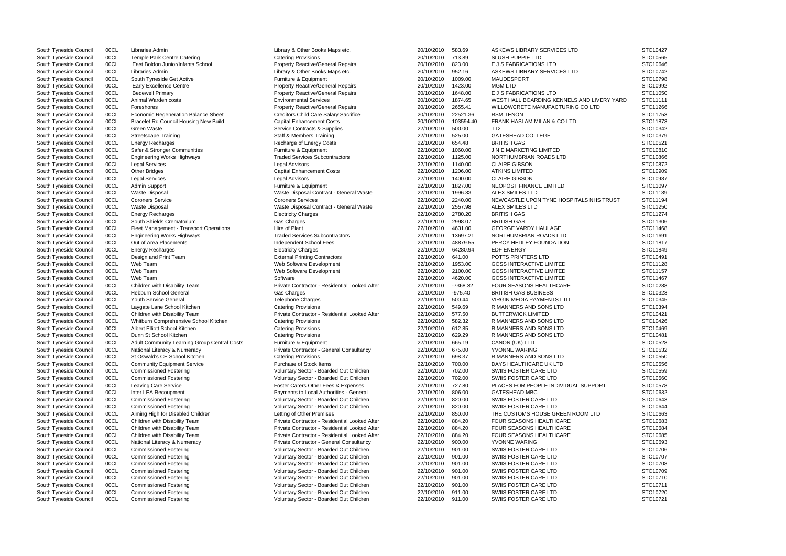South Tyneside Council 00CL Libraries Admin 2001 2010/2010 583.69 ASKEWS LIBRARY SERVICES LTD STC10/2010 583.69 ASKEWS LIBRARY SERVICES LTD South Tyneside Council 00CL Temple Park Centre Catering Catering Provisions 20/10/2010 713.89 SLUSH PUPPIE LTD STC10565 South Tyneside Council 00CL East Boldon Junior/Infants School Property Reactive/General Repairs 20/10/2010 823.00 E J S FABRICATIONS LTD South Tyneside Council 00CL Libraries Admin Library Council Council Council Council 00CL Library Admin Library & Other Books Maps etc. 20/10/2010 952.16 ASKEWS LIBRARY SERVICES LTD South Tyneside Council 00CL South Tynesid South Tyneside Council 00CL South Tyneside Get Active Furniture & Equipment 20/10/2010 1009.00 MAUDESPORT STC10798 South Tyneside Council 00CL Early Excellence Centre **Property Reactive/General Repairs** 20/10/2010 1423.00 MGM LTD South Tyneside Council 00CL Bedewell Primary **Property Reactive/General Repairs** 20/10/2010 1648.00 E J S FABRICATIONS LTD South Tyneside Council 00CL Animal Warden costs examples and the Environmental Services and the material Services 20/10/2010 1874.65 WEST HALL BOARDING KENNELS AND L South Tyneside Council 00CL Foreshores excludions and the Property Reactive/General Repairs 20/10/2010 2655.41 WILLOWCRETE MANUFACTURING CO LT South Tyneside Council 00CL Economic Regeneration Balance Sheet Creditors Child Care Salary Sacrifice 20/10/2010 22521.36 RSM TENON South Tyneside Council 00CL Bracelet Rd Council Housing New Build Capital Enhancement Costs 20/10/2010 103594.40 FRANK HASLAM MILAN & CO LTD South Tyneside Council 00CL Green Waste Service Contracts & Supplies 22/10/2010 500.00 TT2 STC10342 South Tyneside Council COCL Streetscape Training Staff & Members Training Staff & Members Training Staff & Members Training Staff American Staff Bulleting Staff Staff Bulleting Staff Bulleting Staff Bulleting Staff Bulleti South Tyneside Council COOL Energy Recharges (STC10521 Recharge of Energy Costs 22/10/2010 654.48 BRITISH GAS STC10521 STC10521 STC10521 STC10521 STC10521 STC10521 STC10521 STC10521 STC10521 STC10521 STC10521 STC10521 STC1 South Tyneside Council 00CL Safer & Stronger Communities Furniture & Equipment 22/10/2010 1060.00 J N E MARKETING LIMITED STC10810 South Tyneside Council 00CL Engineering Works Highways Traded Services Subcontractors 22/10/2010 1125.00 NORTHUMBRIAN ROADS LTD South Tyneside Council 00CL Legal Services Legal Advisors 22/10/2010 1140.00 CLAIRE GIBSON STC10872 South Tyneside Council 00CL Other Bridges Capital Enhancement Costs 22/10/2010 1206.00 ATKINS LIMITED South Tyneside Council 00CL Legal Services Legal Advisors 22/10/2010 1400.00 CLAIRE GIBSON STC10987 South Tyneside Council 00CL Admin Support Furniture & Equipment 22/10/2010 1827.00 NEOPOST FINANCE LIMITED STC11097 South Tyneside Council 00CL Waste Disposal Contract - General Waste 22/10/2010 1996.33 ALEX SMILES LTD STC1113 South Tyneside Council 00CL Coroners Service Coroners Services Coroners Services Coroners Services 22/10/2010 2240.00 NEWCASTLE UPON TYNE HOSPITALS NH South Tyneside Council 00CL Waste Disposal Contract - General Waste 22/10/2010 2557.98 ALEX SMILES LTD Stutters LTD South Tyneside Council 00CL Energy Recharges Electricity Charges 22/10/2010 2780.20 BRITISH GAS STC11274 South Tyneside Council 00CL South Shields Crematorium Gas Charges 22/10/2010 2998.07 BRITISH GAS STC11306 South Tyneside Council 00CL Fleet Management - Transport Operations Hire of Plant Hire of Plant 22/10/2010 4631.00 GEORGE VARDY HAULAGE South Tyneside Council 00CL Engineering Works Highways Traded Services Subcontractors 22/10/2010 13697.21 NORTHUMBRIAN ROADS LTD South Tyneside Council 00CL Out of Area Placements Subsection of the Council Chool Fees and the metal of the 22/10/2010 48879.55 PERCY HEDLEY FOUNDATION South Tyneside Council 00CL Energy Recharges Electricity Charges 22/10/2010 64280.94 EDF ENERGY STC11849 South Tyneside Council 00CL Design and Print Team External Printing Contractors 22/10/2010 641.00 POTTS PRINTERS LTD South Tyneside Council 00CL Web Team 
South Tyneside Council 00CL Web Team 
South Tyneside Council 00CL Web Team 
South Tyneside Council 00CL Web Team 
South Tyneside Council 00CL Web Team 
South Tyneside Council 00CL Web oocl Web Team Web Software Development 22/10/2010 2100.00 GOSS INTERACTIVE LIMITED South Tyneside Council 00CL Web Team  $\blacksquare$  Software  $\blacksquare$  22/10/2010 4620.00 GOSS INTERACTIVE LIMITED South Tyneside Council 00CL Children with Disability Team Private Contractor - Residential Looked After 22/10/2010 -7368.32 FOUR SEASONS HEALTHCARE South Tyneside Council 00CL Hebburn School General Gas Charges 22/10/2010 -975.40 BRITISH GAS BUSINESS STC10323 South Tyneside Council 00CL Youth Service General **Telephone Charges** Telephone Charges 22/10/2010 500.44 VIRGIN MEDIA PAYMENTS LTD South Tyneside Council 00CL Laygate Lane School Kitchen Catering Provisions Catering Provisions 22/10/2010 549.69 R MANNERS AND SONS LTD South Tyneside Council 00CL Children with Disability Team Private Contractor - Residential Looked After 22/10/2010 577.50 BUTTERWICK LIMITED South Tyneside Council 00CL Whitburn Comprehensive School Kitchen Catering Provisions 22/10/2010 582.32 R MANNERS AND SONS LTD SOUth Tyneside Council 00CL Albert Elliott School Kitchen Catering Provisions Catering Provisio South Tyneside Council COCL Albert Elliott School Kitchen Catering Provisions Catering Provisions Catering Provisions 22/10/2010 612.85 R MANNERS AND SONS LTD STC10469 South Tyneside Council 00CL Dunn St School Kitchen Catering Provisions Catering Provisions Catering Provisions Catering Provisions 22/10/2010 629.29 R MANNERS AND SONS LTD South Tyneside Council 00CL Adult Community Learning Group Central Costs Furniture & Equipment 22/10/2010 665.19 CANON (UK) LTD South Tyneside Council 00CL National Literacy & Numeracy **Private Contractor - General Consultancy** 22/10/2010 675.00 YVONNE WARING South Tyneside Council 00CL St Oswald's CE School Kitchen Catering Provisions Catering Provisions 22/10/2010 698.37 R MANNERS AND SONS LTD South Tyneside Council COCL Community Equipment Service Purchase of Stock Items 22/10/2010 700.00 DAYS HEALTHCARE UK LTD STC10556 South Tyneside Council 00CL Commissioned Fostering COM SWIIS FORTER CARE LTD Voluntary Sector - Boarded Out Children 22/10/2010 702.00 SWIIS FOSTER CARE LTD South Tyneside Council 00CL Commissioned Fostering COUNTRING Voluntary Sector - Boarded Out Children 22/10/2010 702.00 SWIIS FOSTER CARE LTD South Tyneside Council 00CL Leaving Care Service **Foster Carers Other Fees & Expenses** 22/10/2010 727.80 PLACES FOR PEOPLE INDIVIDUAL SUPP South Tyneside Council 00CL Inter LEA Recoupment **Network Community** Payments to Local Authorities - General 22/10/2010 806.00 GATESHEAD MBC South Tyneside Council 00CL Commissioned Fostering Voluntary Sector - Boarded Out Children 22/10/2010 820.00 SWIIS FOSTER CARE LTD South Tyneside Council 00CL Commissioned Fostering COM SWIIS FOSTER CARE LTD Voluntary Sector - Boarded Out Children 22/10/2010 820.00 SWIIS FOSTER CARE LTD South Tyneside Council 00CL Aiming High for Disabled Children Letting of Other Premises 22/10/2010 850.00 THE CUSTOMS HOUSE GREEN ROOM LT South Tyneside Council 00CL Children with Disability Team Private Contractor - Residential Looked After 22/10/2010 884.20 FOUR SEASONS HEALTHCARE South Tyneside Council 00CL Children with Disability Team Private Contractor - Residential Looked After 22/10/2010 884.20 FOUR SEASONS HEALTHCARE South Tyneside Council 00CL Children with Disability Team Private Contractor - Residential Looked After 22/10/2010 884.20 FOUR SEASONS HEALTHCARE South Tyneside Council 00CL National Literacy & Numeracy Private Contractor - General Consultancy 22/10/2010 900.00 YVONNE WARING South Tyneside Council 00CL Commissioned Fostering COUNTRING Voluntary Sector - Boarded Out Children 22/10/2010 901.00 SWIIS FOSTER CARE LTD South Tyneside Council 00CL Commissioned Fostering Voluntary Sector - Boarded Out Children 22/10/2010 901.00 SWIIS FOSTER CARE LTD South Tyneside Council 00CL Commissioned Fostering COUNTRING Voluntary Sector - Boarded Out Children 22/10/2010 901.00 SWIIS FOSTER CARE LTD South Tyneside Council 00CL Commissioned Fostering variable voluntary Sector - Boarded Out Children 22/10/2010 901.00 SWIIS FOSTER CARE LTD South Tyneside Council 00CL Commissioned Fostering Commissioned Fostering Voluntary Sector - Boarded Out Children 22/10/2010 901.00 SWIIS FOSTER CARE LTD South Tyneside Council 00CL Commissioned Fostering COM SWIIS FOSTER CARE LTD Voluntary Sector - Boarded Out Children 22/10/2010 901.00 SWIIS FOSTER CARE LTD South Tyneside Council 00CL Commissioned Fostering COM SWIIS FOSTER CARE LTD Voluntary Sector - Boarded Out Children 22/10/2010 911.00 SWIIS FOSTER CARE LTD South Tyneside Council 00CL Commissioned Fostering Commissioned Fostering Voluntary Sector - Boarded Out Children 22/10/2010 911.00 SWIIS FOSTER CARE LTD

|                   | STC10427 |
|-------------------|----------|
|                   | STC10565 |
|                   | STC10646 |
|                   | STC10742 |
|                   | STC10798 |
|                   | STC10992 |
|                   | STC11050 |
| <b>IVERY YARD</b> | STC11111 |
| ГD                | STC11266 |
|                   | STC11753 |
|                   | STC11873 |
|                   | STC10342 |
|                   | STC10379 |
|                   |          |
|                   | STC10521 |
|                   | STC10810 |
|                   | STC10866 |
|                   | STC10872 |
|                   | STC10909 |
|                   | STC10987 |
|                   | STC11097 |
|                   | STC11139 |
| HS TRUST          | STC11194 |
|                   | STC11250 |
|                   | STC11274 |
|                   | STC11306 |
|                   | STC11468 |
|                   | STC11691 |
|                   | STC11817 |
|                   | STC11849 |
|                   | STC10491 |
|                   | STC11128 |
|                   |          |
|                   | STC11157 |
|                   | STC11467 |
|                   | STC10288 |
|                   | STC10323 |
|                   | STC10345 |
|                   | STC10394 |
|                   | STC10421 |
|                   | STC10426 |
|                   | STC10469 |
|                   | STC10481 |
|                   | STC10528 |
|                   | STC10532 |
|                   | STC10550 |
|                   | STC10556 |
|                   | STC10559 |
|                   | STC10560 |
| 'ORT              | STC10578 |
|                   | STC10632 |
|                   |          |
|                   | STC10643 |
|                   | STC10644 |
| ГD                | STC10663 |
|                   | STC10683 |
|                   | STC10684 |
|                   | STC10685 |
|                   | STC10693 |
|                   | STC10706 |
|                   | STC10707 |
|                   | STC10708 |
|                   | STC10709 |
|                   | STC10710 |
|                   | STC10711 |
|                   | STC10720 |
|                   | STC10721 |
|                   |          |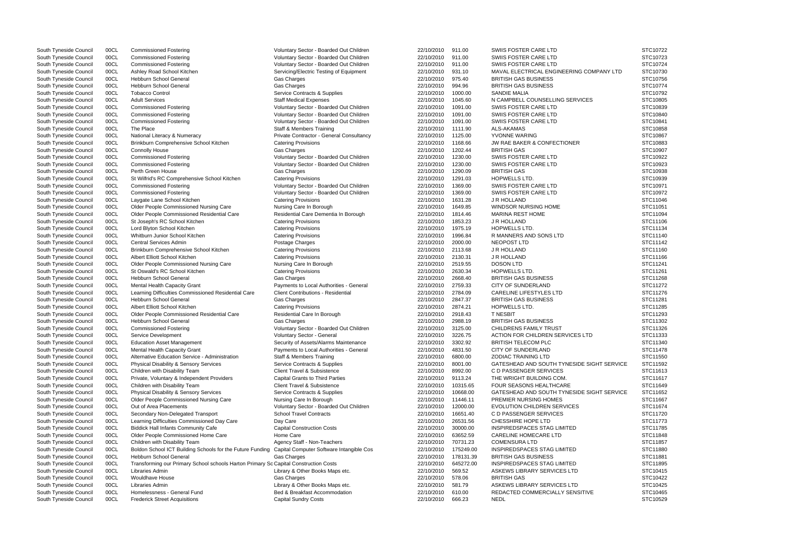South Tyneside Council COCL Transforming our Primary School schools Harton Primary Sc Capital Construction Costs 22/10/2010 645272.00 INSPIREDSPACES STAG LIMITED STC11895 South Tyneside Council 00CL Commissioned Fostering variable voluntary Sector - Boarded Out Children 22/10/2010 911.00 SWIIS FOSTER CARE LTD South Tyneside Council 00CL Commissioned Fostering COM SWIIS FORM COMMED Voluntary Sector - Boarded Out Children 22/10/2010 911.00 SWIIS FOSTER CARE LTD South Tyneside Council 00CL Commissioned Fostering Commissioned Fostering Voluntary Sector - Boarded Out Children 22/10/2010 911.00 SWIIS FOSTER CARE LTD South Tyneside Council 00CL Ashley Road School Kitchen Servicing/Electric Testing of Equipment 22/10/2010 931.10 MAVAL ELECTRICAL ENGINEERING CON<br>South Tyneside Council 00CL Hebburn School General Servicing Cas Charges Cas South Tyneside Council 00CL Hebburn School General Gas Charges 22/10/2010 975.40 BRITISH GAS BUSINESS STC10756 South Tyneside Council 00CL Hebburn School General Gas Charges 22/10/2010 994.96 BRITISH GAS BUSINESS STC10774 South Tyneside Council 00CL Tobacco Control Service Contracts & Supplies 22/10/2010 1000.00 SANDIE MALIA STC10792 South Tyneside Council 00CL Adult Services States Staff Medical Expenses Staff Medical Expenses 22/10/2010 1045.60 N CAMPBELL COUNSELLING SERVICES South Tyneside Council 00CL Commissioned Fostering COUNTRING Voluntary Sector - Boarded Out Children 22/10/2010 1091.00 SWIIS FOSTER CARE LTD South Tyneside Council 00CL Commissioned Fostering COUNTRING Voluntary Sector - Boarded Out Children 22/10/2010 1091.00 SWIIS FOSTER CARE LTD South Tyneside Council 00CL Commissioned Fostering COUNTRING Voluntary Sector - Boarded Out Children 22/10/2010 1091.00 SWIIS FOSTER CARE LTD South Tyneside Council 00CL The Place Staff & Members Training 22/10/2010 1111.90 ALS-AKAMAS STC10858 South Tyneside Council 00CL National Literacy & Numeracy Private Contractor - General Consultancy 22/10/2010 1125.00 YVONNE WARING South Tyneside Council 00CL Brinkburn Comprehensive School Kitchen Catering Provisions 22/10/2010 1168.66 JW RAE BAKER & CONFECTIONER South Tyneside Council 00CL Connolly House Gas Charges 22/10/2010 1202.44 BRITISH GAS STC10907 South Tyneside Council 00CL Commissioned Fostering Voluntary Sector - Boarded Out Children 22/10/2010 1230.00 SWIIS FOSTER CARE LTD South Tyneside Council 00CL Commissioned Fostering Voluntary Sector - Boarded Out Children 22/10/2010 1230.00 SWIIS FOSTER CARE LTD South Tyneside Council 00CL Perth Green House Gas Charges 22/10/2010 1290.09 BRITISH GAS STC10938 South Tyneside Council 00CL St Wilfrid's RC Comprehensive School Kitchen Catering Provisions 22/10 2010 22/10/2010 1291.03 HOPWELLS LTD. South Tyneside Council 00CL Commissioned Fostering variable voluntary Sector - Boarded Out Children 22/10/2010 1369.00 SWIIS FOSTER CARE LTD South Tyneside Council 00CL Commissioned Fostering Voluntary Sector - Boarded Out Children 22/10/2010 1369.00 SWIIS FOSTER CARE LTD South Tyneside Council COCL Laygate Lane School Kitchen Catering Provisions Catering Provisions 22/10/2010 1631.28 JR HOLLAND STC11046 South Tyneside Council 00CL Older People Commissioned Nursing Care Nursing Care Nursing Care Nursing Care Nursing Care Nursing Care Nursing Care Nursing Care Nursing Care Nursing Care Nursing Care Nursing Care Nursing Care South Tyneside Council 00CL Older People Commissioned Residential Care Residential Care Dementia In Borough 22/10/2010 1814.46 MARINA REST HOME <br>South Tyneside Council 00CL St Joseph's RC School Kitchen Staten Residential oocl St Joseph's RC School Kitchen Catering Provisions Catering Provisions 22/10/2010 1853.23 J R HOLLAND South Tyneside Council COCL Lord Blyton School Kitchen Catering Provisions Catering Provisions 22/10/2010 1975.19 HOPWELLS LTD. STC11134 South Tyneside Council 00CL Whitburn Junior School Kitchen Catering Provisions Catering Provisions 22/10/2010 1996.84 R MANNERS AND SONS LTD South Tyneside Council COCL Central Services Admin (And the Postage Charges 22/10/2010 2000.00 NEOPOST LTD STC11142 South Tyneside Council 00CL Brinkburn Comprehensive School Kitchen Catering Provisions 22/10 2010 2010/2010 2113.68 JR HOLLAND South Tyneside Council 00CL Albert Elliott School Kitchen Catering Provisions Catering Provisio OOCL Albert Elliott School Kitchen Catering Provisions Catering Provisions 22/10/2010 2130.31 JR HOLLAND South Tyneside Council 00CL Older People Commissioned Nursing Care Nursing Care In Borough 22/10/2010 2519.55 DOSON LTD Stouth Tyneside Council 00CL St Oswald's RC School Kitchen 2010 Catering Provisions Care Council 22/10 ooch St Oswald's RC School Kitchen Council Council Catering Provisions (Catering Provisions 22/10/2010 2630.34 HOPWELLS LTD.<br>Catering Provisions 22/10/2010 2668.40 BRITISH GAS BU Council Catering Catering Provisions (Cater South Tyneside Council 00CL Hebburn School General Gas Charges 22/10/2010 2668.40 BRITISH GAS BUSINESS STC11268 South Tyneside Council 00CL Mental Health Capacity Grant Payments to Local Authorities - General 22/10/2010 2759.33 CITY OF SUNDERLAND South Tyneside Council 00CL Learning Difficulties Commissioned Residential Care Client Contributions - Residential Care 22/10/2010 2784.09 CARELINE LIFESTYLES LTD South Tyneside Council COOL Hebburn School General (STC11281 Cas Charges Cases 22/10/2010 2847.37 BRITISH GAS BUSINESS STC11281 STC11281 South Tyneside Council 00CL Albert Elliott School Kitchen Catering Provisions 22/10/2010 2874.21 HOPWELLS LTD. STC11285 South Tyneside Council 00CL Older People Commissioned Residential Care Residential Care In Borough 22/10/2010 2918.43 TNESBIT South Tyneside Council 00CL Hebburn School General Gas Charges 22/10/2010 2988.19 BRITISH GAS BUSINESS STC11302 South Tyneside Council 00CL Commissioned Fostering Commissioned Fostering Voluntary Sector - Boarded Out Children 22/10/2010 3125.00 CHILDRENS FAMILY TRUST South Tyneside Council 00CL Service Development **Confinition Council Council Council** Voluntary Sector - General 2010/2010 3226.75 ACTION FOR CHILDREN SERVICES LTD South Tyneside Council 00CL Education Asset Management Sec OOCL Education Asset Management Security of Assets/Alarms Maintenance 22/10/2010 3302.92 BRITISH TELECOM PLC South Tyneside Council 00CL Mental Health Capacity Grant **Payments to Local Authorities - General** 22/10/2010 4831.50 CITY OF SUNDERLAND South Tyneside Council 00CL Alternative Education Service - Administration Staff & Members Training 22/10/2010 6800.00 ZODIAC TRAINING LTD South Tyneside Council 00CL Physical Disability & Sensory Services Service Contracts & Supplies 22/10/2010 8001.00 GATESHEAD AND SOUTH TYNESIDE SIG South Tyneside Council COCL Children with Disability Team Client Travel & Subsistence 22/10/2010 8992.00 CD PASSENGER SERVICES STC11613 South Tyneside Council 00CL Private, Voluntary & Independent Providers Capital Grants to Third Parties 22/10/2010 9113.24 THE WRIGHT BUILDING COM. South Tyneside Council 00CL Children with Disability Team Client Travel & Subsistence 22/10/2010 10315.65 FOUR SEASONS HEALTHCARE South Tyneside Council 00CL Physical Disability & Sensory Services Service Contracts & Supplies 22/10/2010 10668.00 GATESHEAD AND SOUTH TYNESIDE SIG South Tyneside Council 00CL Older People Commissioned Nursing Care Nursing Care In Borough 22/10/2010 11446.11 PREMIER NURSING HOMES South Tyneside Council 00CL Out of Area Placements **Subsett Area Council** Voluntary Sector - Boarded Out Children 22/10/2010 12000.00 EVOLUTION CHILDREN SERVICES South Tyneside Council 00CL Secondary Non-Delegated Transport School Travel Contracts 22/10/2010 16651.40 CD PASSENGER SERVICES South Tyneside Council 00CL Learning Difficulties Commissioned Day Care Day Care Day Care 22/10/2010 26531.56 CHESSHIRE HOPE LTD South Tyneside Council 00CL Biddick Hall Infants Community Cafe Capital Construction Costs 22/10/2010 30000.00 INSPIREDSPACES STAG LIMITED South Tyneside Council 00CL Older People Commissioned Home Care Home Care Home Care 22/10/2010 63652.59 CARELINE HOMECARE LTD South Tyneside Council COCL Children with Disability Team Agency Staff - Non-Teachers 22/10/2010 70731.23 COMENSURA LTD STC11857 South Tyneside Council 00CL Boldon School ICT Building Schools for the Future Funding Capital Computer Software Intangible Cos 22/10/2010 175249.00 INSPIREDSPACES STAG LIMITED South Tyneside Council 00CL Hebburn School General Gas Charges 22/10/2010 178131.39 BRITISH GAS BUSINESS STC11881 South Tyneside Council 00CL Libraries Admin 2000 2010 Library & Other Books Maps etc. 22/10/2010 569.52 ASKEWS LIBRARY SERVICES LTD South Tyneside Council 00CL Wouldhave House Gas Charges 22/10/2010 578.06 BRITISH GAS STC10422 South Tyneside Council 00CL Libraries Admin 2000 10 Library & Other Books Maps etc. 22/10/2010 581.79 ASKEWS LIBRARY SERVICES LTD South Tyneside Council 00CL Homelessness - General Fund Bed & Breakfast Accommodation 22/10/2010 610.00 REDACTED COMMERCIALLY SENSITIVE South Tyneside Council 00CL Frederick Street Acquisitions Capital Sundry Costs 22/10/2010 666.23 NEDL STC10529

|                    | STC10722             |
|--------------------|----------------------|
|                    | STC10723             |
|                    | STC10724             |
| <b>MPANY LTD</b>   | STC10730<br>STC10756 |
|                    | STC10774             |
|                    | STC10792             |
|                    | STC10805             |
|                    | STC10839             |
|                    | STC10840             |
|                    | STC10841             |
|                    | STC10858             |
|                    | STC10867             |
|                    | STC10883             |
|                    | STC10907             |
|                    | STC10922             |
|                    | STC10923             |
|                    | STC10938             |
|                    | STC10939             |
|                    | STC10971             |
|                    | STC10972             |
|                    | STC11046             |
|                    | STC11051<br>STC11094 |
|                    | STC11106             |
|                    | STC11134             |
|                    | STC11140             |
|                    | STC11142             |
|                    | STC11160             |
|                    | STC11166             |
|                    | STC11241             |
|                    | STC11261             |
|                    | STC11268             |
|                    | STC11272             |
|                    | STC11276             |
|                    | STC11281             |
|                    | STC11285<br>STC11293 |
|                    | STC11302             |
|                    | STC11326             |
|                    | STC11333             |
|                    | STC11340             |
|                    | STC11478             |
|                    | STC11550             |
| <b>GHT SERVICE</b> | STC11592             |
|                    | STC11613             |
|                    | STC11617             |
| <b>GHT SERVICE</b> | STC11649             |
|                    | STC11652<br>STC11667 |
|                    | STC11674             |
|                    | STC11720             |
|                    | STC11773             |
|                    | STC11785             |
|                    | STC11848             |
|                    | STC11857             |
|                    | STC11880             |
|                    | STC11881             |
|                    | STC11895             |
|                    | STC10415             |
|                    | STC10422<br>STC10425 |
|                    | STC10465             |
|                    | STC10529             |
|                    |                      |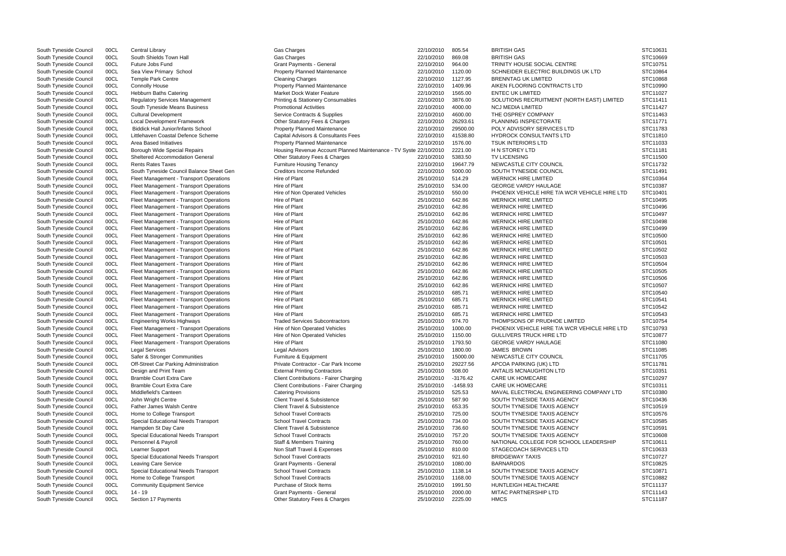| South Tyneside Council | 00CL | Central Library                           | <b>Gas Charges</b>                                                | 22/10/2010         | 805.54     | BRITISH GAS                                   | STC10631 |
|------------------------|------|-------------------------------------------|-------------------------------------------------------------------|--------------------|------------|-----------------------------------------------|----------|
| South Tyneside Council | 00CL | South Shields Town Hall                   | Gas Charges                                                       | 22/10/2010         | 869.08     | <b>BRITISH GAS</b>                            | STC10669 |
| South Tyneside Council | 00CL | Future Jobs Fund                          | <b>Grant Payments - General</b>                                   | 22/10/2010         | 964.00     | TRINITY HOUSE SOCIAL CENTRE                   | STC10751 |
| South Tyneside Council | 00CL | Sea View Primary School                   | <b>Property Planned Maintenance</b>                               | 22/10/2010         | 1120.00    | SCHNEIDER ELECTRIC BUILDINGS UK LTD           | STC10864 |
| South Tyneside Council | 00CL | Temple Park Centre                        | <b>Cleaning Charges</b>                                           | 22/10/2010         | 1127.95    | <b>BRENNTAG UK LIMITED</b>                    | STC10868 |
| South Tyneside Council | 00CL | <b>Connolly House</b>                     | <b>Property Planned Maintenance</b>                               | 22/10/2010         | 1409.96    | AIKEN FLOORING CONTRACTS LTD                  | STC10990 |
| South Tyneside Council | 00CL | <b>Hebburn Baths Catering</b>             | <b>Market Dock Water Feature</b>                                  | 22/10/2010         | 1565.00    | <b>ENTEC UK LIMITED</b>                       | STC11027 |
| South Tyneside Council | 00CL | <b>Regulatory Services Management</b>     | <b>Printing &amp; Stationery Consumables</b>                      | 22/10/2010         | 3876.00    | SOLUTIONS RECRUITMENT (NORTH EAST) LIMITED    | STC11411 |
| South Tyneside Council | 00CL | South Tyneside Means Business             | <b>Promotional Activities</b>                                     | 22/10/2010         | 4000.00    | <b>NCJ MEDIA LIMITED</b>                      | STC11427 |
| South Tyneside Council | 00CL | <b>Cultural Development</b>               | Service Contracts & Supplies                                      | 22/10/2010         | 4600.00    | THE OSPREY COMPANY                            | STC11463 |
| South Tyneside Council | 00CL | Local Development Framework               | Other Statutory Fees & Charges                                    | 22/10/2010         | 26293.61   | PLANNING INSPECTORATE                         | STC11771 |
| South Tyneside Council | 00CL | <b>Biddick Hall Junior/Infants School</b> | <b>Property Planned Maintenance</b>                               | 22/10/2010         | 29500.00   | POLY ADVISORY SERVICES LTD                    | STC11783 |
| South Tyneside Council | 00CL | Littlehaven Coastal Defence Scheme        | Capital Advisors & Consultants Fees                               | 22/10/2010         | 41538.80   | <b>HYDROCK CONSULTANTS LTD</b>                | STC11810 |
| South Tyneside Council | 00CL | Area Based Initiatives                    | <b>Property Planned Maintenance</b>                               | 22/10/2010         | 1576.00    | <b>TSUK INTERIORS LTD</b>                     | STC11033 |
| South Tyneside Council | 00CL | Borough Wide Special Repairs              | Housing Revenue Account Planned Maintenance - TV Syste 22/10/2010 |                    | 2221.00    | H N STOREY LTD                                | STC11181 |
| South Tyneside Council | 00CL | <b>Sheltered Accommodation General</b>    | Other Statutory Fees & Charges                                    | 22/10/2010         | 5383.50    | <b>TV LICENSING</b>                           | STC11500 |
| South Tyneside Council | 00CL | <b>Rents Rates Taxes</b>                  | <b>Furniture Housing Tenancy</b>                                  | 22/10/2010         | 19647.79   | NEWCASTLE CITY COUNCIL                        | STC11732 |
| South Tyneside Council | 00CL | South Tyneside Council Balance Sheet Gen  | <b>Creditors Income Refunded</b>                                  | 22/10/2010         | 5000.00    | SOUTH TYNESIDE COUNCIL                        | STC11491 |
| South Tyneside Council | 00CL | Fleet Management - Transport Operations   | Hire of Plant                                                     | 25/10/2010         | 514.29     | <b>WERNICK HIRE LIMITED</b>                   | STC10364 |
| South Tyneside Council | 00CL | Fleet Management - Transport Operations   | Hire of Plant                                                     | 25/10/2010         | 534.00     | <b>GEORGE VARDY HAULAGE</b>                   | STC10387 |
| South Tyneside Council | 00CL | Fleet Management - Transport Operations   | Hire of Non Operated Vehicles                                     | 25/10/2010         | 550.00     | PHOENIX VEHICLE HIRE T/A WCR VEHICLE HIRE LTD | STC10401 |
| South Tyneside Council | 00CL | Fleet Management - Transport Operations   | Hire of Plant                                                     | 25/10/2010         | 642.86     | <b>WERNICK HIRE LIMITED</b>                   | STC10495 |
| South Tyneside Council | 00CL | Fleet Management - Transport Operations   | Hire of Plant                                                     | 25/10/2010         | 642.86     | <b>WERNICK HIRE LIMITED</b>                   | STC10496 |
| South Tyneside Council | 00CL | Fleet Management - Transport Operations   | Hire of Plant                                                     | 25/10/2010         | 642.86     | <b>WERNICK HIRE LIMITED</b>                   | STC10497 |
| South Tyneside Council | 00CL | Fleet Management - Transport Operations   | Hire of Plant                                                     | 25/10/2010         | 642.86     | <b>WERNICK HIRE LIMITED</b>                   | STC10498 |
| South Tyneside Council | 00CL | Fleet Management - Transport Operations   | Hire of Plant                                                     | 25/10/2010         | 642.86     | <b>WERNICK HIRE LIMITED</b>                   | STC10499 |
| South Tyneside Council | 00CL | Fleet Management - Transport Operations   | Hire of Plant                                                     | 25/10/2010         | 642.86     | <b>WERNICK HIRE LIMITED</b>                   | STC10500 |
| South Tyneside Council | 00CL | Fleet Management - Transport Operations   | Hire of Plant                                                     | 25/10/2010         | 642.86     | <b>WERNICK HIRE LIMITED</b>                   | STC10501 |
| South Tyneside Council | 00CL | Fleet Management - Transport Operations   | Hire of Plant                                                     | 25/10/2010         | 642.86     | <b>WERNICK HIRE LIMITED</b>                   | STC10502 |
| South Tyneside Council | 00CL | Fleet Management - Transport Operations   | Hire of Plant                                                     | 25/10/2010         | 642.86     | <b>WERNICK HIRE LIMITED</b>                   | STC10503 |
| South Tyneside Council | 00CL | Fleet Management - Transport Operations   | Hire of Plant                                                     | 25/10/2010         | 642.86     | <b>WERNICK HIRE LIMITED</b>                   | STC10504 |
| South Tyneside Council | 00CL | Fleet Management - Transport Operations   | Hire of Plant                                                     | 25/10/2010         | 642.86     | <b>WERNICK HIRE LIMITED</b>                   | STC10505 |
| South Tyneside Council | 00CL | Fleet Management - Transport Operations   | Hire of Plant                                                     | 25/10/2010         | 642.86     | <b>WERNICK HIRE LIMITED</b>                   | STC10506 |
| South Tyneside Council | 00CL | Fleet Management - Transport Operations   | Hire of Plant                                                     | 25/10/2010         | 642.86     | <b>WERNICK HIRE LIMITED</b>                   | STC10507 |
| South Tyneside Council | 00CL | Fleet Management - Transport Operations   | Hire of Plant                                                     | 25/10/2010         | 685.71     | <b>WERNICK HIRE LIMITED</b>                   | STC10540 |
| South Tyneside Council | 00CL | Fleet Management - Transport Operations   | Hire of Plant                                                     | 25/10/2010         | 685.71     | <b>WERNICK HIRE LIMITED</b>                   | STC10541 |
| South Tyneside Council | 00CL | Fleet Management - Transport Operations   | Hire of Plant                                                     | 25/10/2010         | 685.71     | <b>WERNICK HIRE LIMITED</b>                   | STC10542 |
| South Tyneside Council | 00CL | Fleet Management - Transport Operations   | Hire of Plant                                                     | 25/10/2010         | 685.71     | <b>WERNICK HIRE LIMITED</b>                   | STC10543 |
| South Tyneside Council | 00CL | <b>Engineering Works Highways</b>         | <b>Traded Services Subcontractors</b>                             | 25/10/2010         | 974.70     | THOMPSONS OF PRUDHOE LIMITED                  | STC10754 |
| South Tyneside Council | 00CL | Fleet Management - Transport Operations   | Hire of Non Operated Vehicles                                     | 25/10/2010         | 1000.00    | PHOENIX VEHICLE HIRE T/A WCR VEHICLE HIRE LTD | STC10793 |
| South Tyneside Council | 00CL | Fleet Management - Transport Operations   | Hire of Non Operated Vehicles                                     | 25/10/2010         | 1150.00    | <b>GULLIVERS TRUCK HIRE LTD</b>               | STC10877 |
| South Tyneside Council | 00CL | Fleet Management - Transport Operations   | Hire of Plant                                                     | 25/10/2010 1793.50 |            | <b>GEORGE VARDY HAULAGE</b>                   | STC11080 |
| South Tyneside Council | 00CL | Legal Services                            | <b>Legal Advisors</b>                                             | 25/10/2010         | 1800.00    | <b>JAMES BROWN</b>                            | STC11085 |
| South Tyneside Council | 00CL | Safer & Stronger Communities              | Furniture & Equipment                                             | 25/10/2010         | 15000.00   | NEWCASTLE CITY COUNCIL                        | STC11705 |
| South Tyneside Council | 00CL | Off-Street Car Parking Administration     | Private Contractor - Car Park Income                              | 25/10/2010         | 29227.56   | APCOA PARKING (UK) LTD                        | STC11781 |
| South Tyneside Council | 00CL | Design and Print Team                     | <b>External Printing Contractors</b>                              | 25/10/2010         | 508.00     | ANTALIS MCNAUGHTON LTD                        | STC10351 |
| South Tyneside Council | 00CL | <b>Bramble Court Extra Care</b>           | Client Contributions - Fairer Charging                            | 25/10/2010         | $-3176.42$ | <b>CARE UK HOMECARE</b>                       | STC10297 |
| South Tyneside Council | 00CL | <b>Bramble Court Extra Care</b>           | Client Contributions - Fairer Charging                            | 25/10/2010         | $-1458.93$ | <b>CARE UK HOMECARE</b>                       | STC10311 |
| South Tyneside Council | 00CL | Middlefield's Canteen                     | <b>Catering Provisions</b>                                        | 25/10/2010         | 525.53     | MAVAL ELECTRICAL ENGINEERING COMPANY LTD      | STC10380 |
| South Tyneside Council | 00CL | John Wright Centre                        | <b>Client Travel &amp; Subsistence</b>                            | 25/10/2010         | 587.90     | SOUTH TYNESIDE TAXIS AGENCY                   | STC10436 |
| South Tyneside Council | 00CL | <b>Father James Walsh Centre</b>          | Client Travel & Subsistence                                       | 25/10/2010         | 653.35     | SOUTH TYNESIDE TAXIS AGENCY                   | STC10519 |
| South Tyneside Council | 00CL | Home to College Transport                 | <b>School Travel Contracts</b>                                    | 25/10/2010         | 725.00     | SOUTH TYNESIDE TAXIS AGENCY                   | STC10576 |
| South Tyneside Council | 00CL | Special Educational Needs Transport       | <b>School Travel Contracts</b>                                    | 25/10/2010         | 734.00     | SOUTH TYNESIDE TAXIS AGENCY                   | STC10585 |
| South Tyneside Council | 00CL | Hampden St Day Care                       | <b>Client Travel &amp; Subsistence</b>                            | 25/10/2010         | 736.60     | SOUTH TYNESIDE TAXIS AGENCY                   | STC10591 |
| South Tyneside Council | 00CL | Special Educational Needs Transport       | <b>School Travel Contracts</b>                                    | 25/10/2010         | 757.20     | SOUTH TYNESIDE TAXIS AGENCY                   | STC10608 |
| South Tyneside Council | 00CL | Personnel & Payroll                       | <b>Staff &amp; Members Training</b>                               | 25/10/2010         | 760.00     | NATIONAL COLLEGE FOR SCHOOL LEADERSHIP        | STC10611 |
| South Tyneside Council | 00CL | Learner Support                           | Non Staff Travel & Expenses                                       | 25/10/2010         | 810.00     | STAGECOACH SERVICES LTD                       | STC10633 |
| South Tyneside Council | 00CL | Special Educational Needs Transport       | <b>School Travel Contracts</b>                                    | 25/10/2010         | 921.60     | <b>BRIDGEWAY TAXIS</b>                        | STC10727 |
| South Tyneside Council | 00CL | <b>Leaving Care Service</b>               | <b>Grant Payments - General</b>                                   | 25/10/2010         | 1080.00    | <b>BARNARDOS</b>                              | STC10825 |
| South Tyneside Council | 00CL | Special Educational Needs Transport       | <b>School Travel Contracts</b>                                    | 25/10/2010         | 1138.14    | SOUTH TYNESIDE TAXIS AGENCY                   | STC10871 |
| South Tyneside Council | 00CL | Home to College Transport                 | <b>School Travel Contracts</b>                                    | 25/10/2010         | 1168.00    | SOUTH TYNESIDE TAXIS AGENCY                   | STC10882 |
| South Tyneside Council | 00CL | <b>Community Equipment Service</b>        | Purchase of Stock Items                                           | 25/10/2010         | 1991.50    | HUNTLEIGH HEALTHCARE                          | STC11137 |
| South Tyneside Council | 00CL | $14 - 19$                                 | <b>Grant Payments - General</b>                                   | 25/10/2010         | 2000.00    | MITAC PARTNERSHIP LTD                         | STC11143 |
| South Tyneside Council | 00CL | Section 17 Payments                       | Other Statutory Fees & Charges                                    | 25/10/2010         | 2225.00    | <b>HMCS</b>                                   | STC11187 |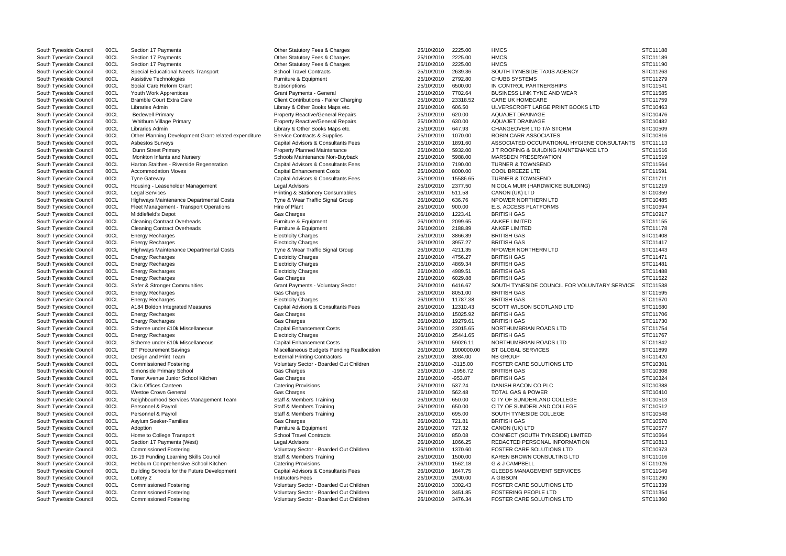| South Tyneside Council | 00CL | Section 17 Payments                                  | Other Statutory Fees & Charges                | 25/10/2010 | 2225.00    | <b>HMCS</b>                                  | STC11188 |
|------------------------|------|------------------------------------------------------|-----------------------------------------------|------------|------------|----------------------------------------------|----------|
| South Tyneside Council | 00CL | Section 17 Payments                                  | Other Statutory Fees & Charges                | 25/10/2010 | 2225.00    | <b>HMCS</b>                                  | STC11189 |
| South Tyneside Council | 00CL | Section 17 Payments                                  | Other Statutory Fees & Charges                | 25/10/2010 | 2225.00    | <b>HMCS</b>                                  | STC11190 |
| South Tyneside Council | 00CL | Special Educational Needs Transport                  | <b>School Travel Contracts</b>                | 25/10/2010 | 2639.36    | SOUTH TYNESIDE TAXIS AGENCY                  | STC11263 |
| South Tyneside Council | 00CL | Assistive Technologies                               | Furniture & Equipment                         | 25/10/2010 | 2792.80    | <b>CHUBB SYSTEMS</b>                         | STC11279 |
| South Tyneside Council | 00CL | Social Care Reform Grant                             | Subscriptions                                 | 25/10/2010 | 6500.00    | IN CONTROL PARTNERSHIPS                      | STC11541 |
| South Tyneside Council | 00CL | Youth Work Apprentices                               | <b>Grant Payments - General</b>               | 25/10/2010 | 7702.64    | <b>BUSINESS LINK TYNE AND WEAR</b>           | STC11585 |
| South Tyneside Council | 00CL | <b>Bramble Court Extra Care</b>                      | <b>Client Contributions - Fairer Charging</b> | 25/10/2010 | 23318.52   | <b>CARE UK HOMECARE</b>                      | STC11759 |
|                        |      |                                                      |                                               |            |            |                                              |          |
| South Tyneside Council | 00CL | Libraries Admin                                      | Library & Other Books Maps etc.               | 25/10/2010 | 606.50     | ULVERSCROFT LARGE PRINT BOOKS LTD            | STC10463 |
| South Tyneside Council | 00CL | <b>Bedewell Primary</b>                              | Property Reactive/General Repairs             | 25/10/2010 | 620.00     | <b>AQUAJET DRAINAGE</b>                      | STC10476 |
| South Tyneside Council | 00CL | Whitburn Village Primary                             | Property Reactive/General Repairs             | 25/10/2010 | 630.00     | <b>AQUAJET DRAINAGE</b>                      | STC10482 |
| South Tyneside Council | 00CL | Libraries Admin                                      | Library & Other Books Maps etc.               | 25/10/2010 | 647.93     | CHANGEOVER LTD T/A STORM                     | STC10509 |
| South Tyneside Council | 00CL | Other Planning Development Grant-related expenditure | Service Contracts & Supplies                  | 25/10/2010 | 1070.00    | ROBIN CARR ASSOCIATES                        | STC10816 |
| South Tyneside Council | 00CL | <b>Asbestos Surveys</b>                              | Capital Advisors & Consultants Fees           | 25/10/2010 | 1891.60    | ASSOCIATED OCCUPATIONAL HYGIENE CONSULTANTS  | STC11113 |
| South Tyneside Council | 00CL | Dunn Street Primary                                  | <b>Property Planned Maintenance</b>           | 25/10/2010 | 5932.00    | J T ROOFING & BUILDING MAINTENANCE LTD       | STC11516 |
| South Tyneside Council | 00CL | Monkton Infants and Nursery                          | Schools Maintenance Non-Buyback               | 25/10/2010 | 5988.00    | <b>MARSDEN PRESERVATION</b>                  | STC11519 |
| South Tyneside Council | 00CL | Harton Staithes - Riverside Regeneration             | Capital Advisors & Consultants Fees           | 25/10/2010 | 7190.00    | <b>TURNER &amp; TOWNSEND</b>                 | STC11564 |
| South Tyneside Council | 00CL | <b>Accommodation Moves</b>                           | <b>Capital Enhancement Costs</b>              | 25/10/2010 | 8000.00    | <b>COOL BREEZE LTD</b>                       | STC11591 |
| South Tyneside Council | 00CL | <b>Tyne Gateway</b>                                  | Capital Advisors & Consultants Fees           | 25/10/2010 | 15586.65   | <b>TURNER &amp; TOWNSEND</b>                 | STC11711 |
|                        |      |                                                      |                                               |            |            |                                              |          |
| South Tyneside Council | 00CL | Housing - Leaseholder Management                     | Legal Advisors                                | 25/10/2010 | 2377.50    | NICOLA MUIR (HARDWICKE BUILDING)             | STC11219 |
| South Tyneside Council | 00CL | <b>Legal Services</b>                                | <b>Printing &amp; Stationery Consumables</b>  | 26/10/2010 | 511.58     | CANON (UK) LTD                               | STC10359 |
| South Tyneside Council | 00CL | Highways Maintenance Departmental Costs              | Tyne & Wear Traffic Signal Group              | 26/10/2010 | 636.76     | NPOWER NORTHERN LTD                          | STC10485 |
| South Tyneside Council | 00CL | Fleet Management - Transport Operations              | Hire of Plant                                 | 26/10/2010 | 900.00     | <b>E.S. ACCESS PLATFORMS</b>                 | STC10694 |
| South Tyneside Council | 00CL | Middlefield's Depot                                  | Gas Charges                                   | 26/10/2010 | 1223.41    | <b>BRITISH GAS</b>                           | STC10917 |
| South Tyneside Council | 00CL | <b>Cleaning Contract Overheads</b>                   | Furniture & Equipment                         | 26/10/2010 | 2099.65    | <b>ANKEF LIMITED</b>                         | STC11155 |
| South Tyneside Council | 00CL | <b>Cleaning Contract Overheads</b>                   | Furniture & Equipment                         | 26/10/2010 | 2188.89    | <b>ANKEF LIMITED</b>                         | STC11178 |
| South Tyneside Council | 00CL | Energy Recharges                                     | <b>Electricity Charges</b>                    | 26/10/2010 | 3866.89    | <b>BRITISH GAS</b>                           | STC11408 |
| South Tyneside Council | 00CL | <b>Energy Recharges</b>                              | <b>Electricity Charges</b>                    | 26/10/2010 | 3957.27    | <b>BRITISH GAS</b>                           | STC11417 |
| South Tyneside Council | 00CL | Highways Maintenance Departmental Costs              | Tyne & Wear Traffic Signal Group              | 26/10/2010 | 4211.35    | NPOWER NORTHERN LTD                          | STC11443 |
| South Tyneside Council | 00CL | Energy Recharges                                     | <b>Electricity Charges</b>                    | 26/10/2010 | 4756.27    | <b>BRITISH GAS</b>                           | STC11471 |
|                        |      |                                                      |                                               |            |            |                                              | STC11481 |
| South Tyneside Council | 00CL | <b>Energy Recharges</b>                              | <b>Electricity Charges</b>                    | 26/10/2010 | 4869.34    | <b>BRITISH GAS</b>                           |          |
| South Tyneside Council | 00CL | <b>Energy Recharges</b>                              | <b>Electricity Charges</b>                    | 26/10/2010 | 4989.51    | <b>BRITISH GAS</b>                           | STC11488 |
| South Tyneside Council | 00CL | <b>Energy Recharges</b>                              | Gas Charges                                   | 26/10/2010 | 6029.88    | <b>BRITISH GAS</b>                           | STC11522 |
| South Tyneside Council | 00CL | Safer & Stronger Communities                         | <b>Grant Payments - Voluntary Sector</b>      | 26/10/2010 | 6416.67    | SOUTH TYNESIDE COUNCIL FOR VOLUNTARY SERVICE | STC11538 |
| South Tyneside Council | 00CL | Energy Recharges                                     | Gas Charges                                   | 26/10/2010 | 8051.00    | <b>BRITISH GAS</b>                           | STC11595 |
| South Tyneside Council | 00CL | <b>Energy Recharges</b>                              | <b>Electricity Charges</b>                    | 26/10/2010 | 11787.38   | <b>BRITISH GAS</b>                           | STC11670 |
| South Tyneside Council | 00CL | A184 Boldon Integrated Measures                      | Capital Advisors & Consultants Fees           | 26/10/2010 | 12310.43   | SCOTT WILSON SCOTLAND LTD                    | STC11680 |
| South Tyneside Council | 00CL | Energy Recharges                                     | Gas Charges                                   | 26/10/2010 | 15025.92   | <b>BRITISH GAS</b>                           | STC11706 |
| South Tyneside Council | 00CL | <b>Energy Recharges</b>                              | Gas Charges                                   | 26/10/2010 | 19279.61   | <b>BRITISH GAS</b>                           | STC11730 |
| South Tyneside Council | 00CL | Scheme under £10k Miscellaneous                      | <b>Capital Enhancement Costs</b>              | 26/10/2010 | 23015.65   | NORTHUMBRIAN ROADS LTD                       | STC11754 |
| South Tyneside Council | 00CL | <b>Energy Recharges</b>                              | <b>Electricity Charges</b>                    | 26/10/2010 | 25441.65   | <b>BRITISH GAS</b>                           | STC11767 |
| South Tyneside Council | 00CL | Scheme under £10k Miscellaneous                      | <b>Capital Enhancement Costs</b>              | 26/10/2010 | 59026.11   | NORTHUMBRIAN ROADS LTD                       | STC11842 |
| South Tyneside Council |      | <b>BT Procurement Savings</b>                        |                                               |            |            |                                              | STC11899 |
|                        | 00CL |                                                      | Miscellaneous Budgets Pending Reallocation    | 26/10/2010 | 1900000.00 | <b>BT GLOBAL SERVICES</b>                    |          |
| South Tyneside Council | 00CL | Design and Print Team                                | <b>External Printing Contractors</b>          | 26/10/2010 | 3984.00    | <b>NB GROUP</b>                              | STC11420 |
| South Tyneside Council | 00CL | <b>Commissioned Fostering</b>                        | Voluntary Sector - Boarded Out Children       | 26/10/2010 | $-3115.00$ | <b>FOSTER CARE SOLUTIONS LTD</b>             | STC10301 |
| South Tyneside Council | 00CL | Simonside Primary School                             | <b>Gas Charges</b>                            | 26/10/2010 | -1956.72   | <b>BRITISH GAS</b>                           | STC10308 |
| South Tyneside Council | 00CL | Toner Avenue Junior School Kitchen                   | Gas Charges                                   | 26/10/2010 | $-953.87$  | <b>BRITISH GAS</b>                           | STC10324 |
| South Tyneside Council | 00CL | Civic Offices Canteen                                | <b>Catering Provisions</b>                    | 26/10/2010 | 537.24     | DANISH BACON CO PLC                          | STC10388 |
| South Tyneside Council | 00CL | <b>Westoe Crown General</b>                          | Gas Charges                                   | 26/10/2010 | 562.48     | <b>TOTAL GAS &amp; POWER</b>                 | STC10410 |
| South Tyneside Council | 00CL | Neighbourhood Services Management Team               | <b>Staff &amp; Members Training</b>           | 26/10/2010 | 650.00     | CITY OF SUNDERLAND COLLEGE                   | STC10513 |
| South Tyneside Council | 00CL | Personnel & Payroll                                  | <b>Staff &amp; Members Training</b>           | 26/10/2010 | 650.00     | CITY OF SUNDERLAND COLLEGE                   | STC10512 |
| South Tyneside Council | 00CL | Personnel & Payroll                                  | <b>Staff &amp; Members Training</b>           | 26/10/2010 | 695.00     | SOUTH TYNESIDE COLLEGE                       | STC10548 |
| South Tyneside Council | 00CL | Asylum Seeker-Families                               | Gas Charges                                   | 26/10/2010 | 721.81     | <b>BRITISH GAS</b>                           | STC10570 |
|                        | 00CL |                                                      |                                               | 26/10/2010 | 727.32     |                                              | STC10577 |
| South Tyneside Council |      | Adoption                                             | Furniture & Equipment                         |            |            | CANON (UK) LTD                               |          |
| South Tyneside Council | 00CL | Home to College Transport                            | <b>School Travel Contracts</b>                | 26/10/2010 | 850.08     | CONNECT (SOUTH TYNESIDE) LIMITED             | STC10664 |
| South Tyneside Council | 00CL | Section 17 Payments (West)                           | <b>Legal Advisors</b>                         | 26/10/2010 | 1066.25    | REDACTED PERSONAL INFORMATION                | STC10813 |
| South Tyneside Council | 00CL | <b>Commissioned Fostering</b>                        | Voluntary Sector - Boarded Out Children       | 26/10/2010 | 1370.60    | FOSTER CARE SOLUTIONS LTD                    | STC10973 |
| South Tyneside Council | 00CL | 16-19 Funding Learning Skills Council                | <b>Staff &amp; Members Training</b>           | 26/10/2010 | 1500.00    | KAREN BROWN CONSULTING LTD                   | STC11016 |
| South Tyneside Council | 00CL | Hebburn Comprehensive School Kitchen                 | <b>Catering Provisions</b>                    | 26/10/2010 | 1562.18    | <b>G &amp; J CAMPBELL</b>                    | STC11026 |
| South Tyneside Council | 00CL | Building Schools for the Future Development          | Capital Advisors & Consultants Fees           | 26/10/2010 | 1647.75    | <b>GLEEDS MANAGEMENT SERVICES</b>            | STC11049 |
| South Tyneside Council | 00CL | Lottery 2                                            | <b>Instructors Fees</b>                       | 26/10/2010 | 2900.00    | A GIBSON                                     | STC11290 |
| South Tyneside Council | 00CL | <b>Commissioned Fostering</b>                        | Voluntary Sector - Boarded Out Children       | 26/10/2010 | 3302.43    | FOSTER CARE SOLUTIONS LTD                    | STC11339 |
| South Tyneside Council | 00CL | <b>Commissioned Fostering</b>                        | Voluntary Sector - Boarded Out Children       | 26/10/2010 | 3451.85    | <b>FOSTERING PEOPLE LTD</b>                  | STC11354 |
| South Tyneside Council | 00CL | <b>Commissioned Fostering</b>                        | Voluntary Sector - Boarded Out Children       | 26/10/2010 | 3476.34    | FOSTER CARE SOLUTIONS LTD                    | STC11360 |
|                        |      |                                                      |                                               |            |            |                                              |          |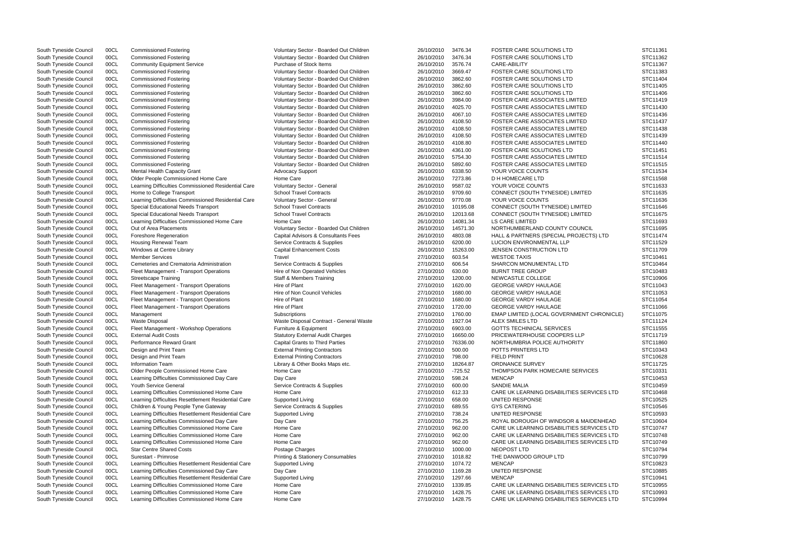South Tyneside Council 00CL Commissioned Fostering values of the Voluntary Sector - Boarded Out Children 26/10/2010 3476.34 FOSTER CARE SOLUTIONS LTD South Tyneside Council 00CL Commissioned Fostering CDM Voluntary Sector - Boarded Out Children 26/10/2010 3476.34 FOSTER CARE SOLUTIONS LTD South Tyneside Council COCL Community Equipment Service Purchase of Stock Items 26/10/2010 3576.74 CARE-ABILITY STC11367 STC11367 South Tyneside Council 00CL Commissioned Fostering COM South Are Voluntary Sector - Boarded Out Children 26/10/2010 3669.47 FOSTER CARE SOLUTIONS LTD State Are Solutions LTD South Tyneside Council 00CL Commissioned Fosteri OOCL Commissioned Fostering Commissioned Fostering Council 26/10/2010 3862.60 FOSTER CARE SOLUTIONS LTD South Tyneside Council 00CL Commissioned Fostering The Voluntary Sector - Boarded Out Children 26/10/2010 3862.60 FOSTER CARE SOLUTIONS LTD South Tyneside Council 00CL Commissioned Fostering Commissioned Fostering Voluntary Sector - Boarded Out Children 26/10/2010 3862.60 FOSTER CARE SOLUTIONS LTD South Tyneside Council 00CL Commissioned Fostering vertex and Voluntary Sector - Boarded Out Children 26/10/2010 3984.00 FOSTER CARE ASSOCIATES LIMITED South Tyneside Council 00CL Commissioned Fostering The Voluntary Sector - Boarded Out Children 26/10/2010 4025.70 FOSTER CARE ASSOCIATES LIMITED South Tyneside Council 00CL Commissioned Fostering The Voluntary Sector - Boarded Out Children 26/10/2010 4067.10 FOSTER CARE ASSOCIATES LIMITED South Tyneside Council 00CL Commissioned Fostering The Voluntary Sector - Boarded Out Children 26/10/2010 4108.50 FOSTER CARE ASSOCIATES LIMITED South Tyneside Council 00CL Commissioned Fostering Voluntary Sector - Boarded Out Children 26/10/2010 4108.50 FOSTER CARE ASSOCIATES LIMITED South Tyneside Council 00CL Commissioned Fostering vertex and Voluntary Sector - Boarded Out Children 26/10/2010 4108.50 FOSTER CARE ASSOCIATES LIMITED South Tyneside Council 00CL Commissioned Fostering versus voluntary Sector - Boarded Out Children 26/10/2010 4108.80 FOSTER CARE ASSOCIATES LIMITED South Tyneside Council 00CL Commissioned Fostering CDM Voluntary Sector - Boarded Out Children 26/10/2010 4361.00 FOSTER CARE SOLUTIONS LTD South Tyneside Council 00CL Commissioned Fostering The Voluntary Sector - Boarded Out Children 26/10/2010 5754.30 FOSTER CARE ASSOCIATES LIMITED South Tyneside Council 00CL Commissioned Fostering The Voluntary Sector - Boarded Out Children 26/10/2010 5892.60 FOSTER CARE ASSOCIATES LIMITED South Tyneside Council 00CL Mental Health Capacity Grant Advocacy Support 26/10/2010 6338.50 YOUR VOICE COUNTS South Tyneside Council 00CL Older People Commissioned Home Care Home Care 26/10/2010 7273.86 D H HOMECARE LTD South Tyneside Council 00CL Learning Difficulties Commissioned Residential Care Voluntary Sector - General 26/10/2010 9587.02 YOUR VOICE COUNTS South Tyneside Council 00CL Home to College Transport School Travel Contracts School Travel Contracts 26/10/2010 9709.60 CONNECT (SOUTH TYNESIDE) LIMITED South Tyneside Council 00CL Learning Difficulties Commissioned Residential Care Voluntary Sector - General 26/10/2010 9770.08 YOUR VOICE COUNTS South Tyneside Council 00CL Special Educational Needs Transport School Travel Contracts 26/10/2010 10195.08 CONNECT (SOUTH TYNESIDE) LIMITED South Tyneside Council 00CL Special Educational Needs Transport School Travel Contracts 26/10/2010 12013.68 CONNECT (SOUTH TYNESIDE) LIMITED<br>South Tyneside Council 00CL Learning Difficulties Commissioned Home Care Home Car South Tyneside Council 00CL Learning Difficulties Commissioned Home Care Home Care Home Care 26/10/2010 14081.34 South Tyneside Council 00CL Out of Area Placements The State of Moluntary Sector - Boarded Out Children 26/10/2010 14571.30 NORTHUMBERLAND COUNTY COUNCIL South Tyneside Council 00CL Foreshore Regeneration Capital Advisors & Consultants Fees 26/10/2010 4803.08 HALL & PARTNERS (SPECIAL PROJECTS South Tyneside Council 00CL Housing Renewal Team Service Contracts & Supplies 26/10/2010 6200.00 LUCION ENVIRONMENTAL LLP South Tyneside Council 00CL Windows at Centre Library Capital Enhancement Costs 26/10/2010 15263.00 JENSEN CONSTRUCTION LTD South Tyneside Council 00CL Member Services 30 100000 Travel Travel 27/100001 15263.00 Travel 27/1 South Tyneside Council 00CL Member Services Travel 27/10/2010 603.54 WESTOE TAXIS STC10461 South Tyneside Council 00CL Cemeteries and Crematoria Administration Service Contracts & Supplies 27/10/2010 606.54 SHARCON MONUMENTAL LTD South Tyneside Council 00CL Fleet Management - Transport Operations Hire of Non Ope South Tyneside Council 00CL Fleet Management - Transport Operations Hire of Non Operated Vehicles 27/10/2010 630.00 BURNT TREE GROUP STC10483 South Tyneside Council COCL Streetscape Training Staff & Members Training 27/10/2010 1200.00 NEWCASTLE COLLEGE STC10906 South Tyneside Council 00CL Fleet Management - Transport Operations Hire of Plant 27/10 2010 27/10/2010 1620.00 GEORGE VARDY HAULAGE South Tyneside Council 00CL Fleet Management - Transport Operations Hire of Non Council Vehicles 27/10/2010 1680.00 GEORGE VARDY HAULAGE South Tyneside Council 00CL Fleet Management - Transport Operations Hire of Plant 27/10/2010 27/10/2010 1680.00 GEORGE VARDY HAULAGE South Tyneside Council 00CL Fleet Management - Transport Operations Hire of Plant 27/10/2010 27/10/2010 1720.00 GEORGE VARDY HAULAGE South Tyneside Council 00CL Management Clubscriptions 30 Subscriptions 27/10/2010 1760.00 EMAP LIMITED (LOCAL GOVERNMENT CI South Tyneside Council 00CL Waste Disposal Contract - General Waste 27/10/2010 1927.04 ALEX SMILES LTD South Tyneside Council 00CL Fleet Management - Workshop Operations Furniture & Equipment - General Waste 27/10/2010 690 oocl Fleet Management - Workshop Operations Furniture & Equipment 27/10/2010 6903.00 GOTTS TECHINICAL SERVICES South Tyneside Council 00CL External Audit Costs Statutory External Audit Charges 27/10/2010 16650.00 PRICEWATERHOUSE COOPERS LLP South Tyneside Council 00CL Performance Reward Grant Capital Grants to Third Parties 27/10/2010 76336.00 NORTHUMBRIA POLICE AUTHORITY South Tyneside Council 00CL Design and Print Team **External Printing Contractors** 27/10/2010 500.00 POTTS PRINTERS LTD South Tyneside Council 00CL Design and Print Team **External Printing Contractors** 27/10/2010 798.00 FIELD PRINT South Tyneside Council 00CL Information Team **External Printing Contractors** 27/10/2010 18264.87 ORDNANCE South Tyneside Council 00CL Information Team Commence Council Council Council Council Council ORDNANCE SURVEY South Tyneside Council 00CL Older People Commissioned Home Care Home Care Home Care 27/10/2010 -725.52 THOMPSON PARK HOMECARE SERVICE South Tyneside Council 00CL Learning Difficulties Commissioned Day Care Day Care Day Care 27/10/2010 598.24 MENCAP South Tyneside Council 00CL Youth Service General Service Contracts & Supplies 27/10/2010 600.00 SANDIE MALIA South Tyneside Council 00CL Learning Difficulties Commissioned Home Care Home Care Home Care 27/10/2010 612.33 CARE UK LEARNING DISABILITIES SERV South Tyneside Council 00CL Learning Difficulties Resettlement Residential Care Supported Living 27/10/2010 658.00 UNITED RESPONSE South Tyneside Council 00CL Children & Young People Tyne Gateway Service Contracts & Supplies 27/10/2010 689.55 GYS CATERING South Tyneside Council 00CL Learning Difficulties Resettlement Residential Care Supported Living 27/10/2010 738.24 UNITED RESPONSE South Tyneside Council 00CL Learning Difficulties Commissioned Day Care Day Care Day Care 27/10/2010 756.25 ROYAL BOROUGH OF WINDSOR & MAID South Tyneside Council 00CL Learning Difficulties Commissioned Home Care Home Care Home Care 27/10/2010 962.00 CARE UK LEARNING DISABILITIES SERV South Tyneside Council 00CL Learning Difficulties Commissioned Home Care Home Care Home Care 27/10/2010 962.00 CARE UK LEARNING DISABILITIES SERV South Tyneside Council 00CL Learning Difficulties Commissioned Home Care Home Care Home Care 27/10/2010 962.00 CARE UK LEARNING DISABILITIES SERV South Tyneside Council COCL Star Centre Shared Costs 27/10/2010 Postage Charges 27/10/2010 1000.00 NEOPOST LTD STC10794 South Tyneside Council 00CL Surestart - Primrose **Principal Actionery Consumables** 27/10/2010 1018.82 THE DANWOOD GROUP LTD South Tyneside Council 00CL Learning Difficulties Resettlement Residential Care Supported Living 27/10/2010 27/10/2010 1074.72 MENCAP South Tyneside Council 00CL Learning Difficulties Commissioned Day Care Day Care Day Care 27/10/2010 1169.28 UNITED RESPONSE South Tyneside Council 00CL Learning Difficulties Resettlement Residential Care Supported Living 27/10/2010 1297.66 MENCAP South Tyneside Council 00CL Learning Difficulties Commissioned Home Care Home Care Home Care 27/10/2010 1339.85 CARE UK LEARNING DISABILITIES SERV South Tyneside Council 00CL Learning Difficulties Commissioned Home Care Home Care Home Care 27/10/2010 1428.75 CARE UK LEARNING DISABILITIES SERV South Tyneside Council 00CL Learning Difficulties Commissioned Home Care Home Care Home Care 27/10/2010 1428.75 CARE UK LEARNING DISABILITIES SERV

|                                                                 | STC11361<br>STC11362<br>STC11367<br>STC11383<br>STC11404<br>STC11405<br>STC11406<br>STC11419<br>STC11430<br>STC11436<br>STC11437<br>STC11438<br>STC11439<br>STC11440<br>STC11451<br>STC11514<br>STC11515<br>STC11534<br>STC11568<br>STC11633<br>STC11635 |
|-----------------------------------------------------------------|----------------------------------------------------------------------------------------------------------------------------------------------------------------------------------------------------------------------------------------------------------|
| 3) LTD                                                          | STC11636<br>STC11646<br>STC11675<br>STC11693<br>STC11695<br>STC11474<br>STC11529<br>STC11709<br>STC10461<br>STC10464<br>STC10483                                                                                                                         |
| <b>HRONICLE)</b>                                                | STC10906<br>STC11043<br>STC11053<br>STC11054<br>STC11066<br>STC11075<br>STC11124<br>STC11555<br>STC11719<br>STC11860                                                                                                                                     |
| :S                                                              | STC10343<br>STC10628<br>STC11725<br>STC10331<br>STC10453                                                                                                                                                                                                 |
| <b>ICES LTD</b>                                                 | STC10459<br>STC10468<br>STC10525<br>STC10546                                                                                                                                                                                                             |
| ENHEAD<br><b>ICES LTD</b><br><b>ICES LTD</b><br><b>ICES LTD</b> | STC10593<br>STC10604<br>STC10747<br>STC10748<br>STC10749<br>STC10794<br>STC10799                                                                                                                                                                         |
| <b>ICES LTD</b><br><b>ICES LTD</b><br><b>ICES LTD</b>           | STC10823<br>STC10885<br>STC10941<br>STC10955<br>STC10993<br>STC10994                                                                                                                                                                                     |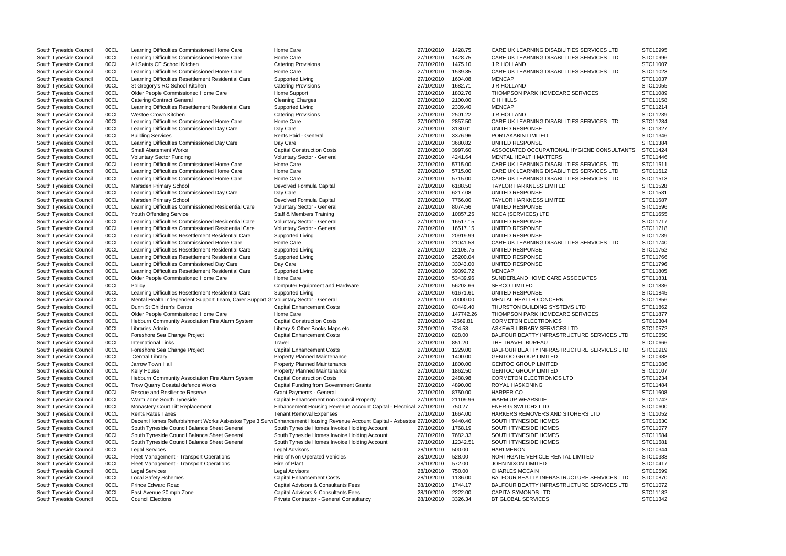| South Tyneside Council | 00CL | Learning Difficulties Commissioned Home Care                                        | Home Care                                                                                                                | 27/10/2010 | 1428.75    | CARE UK LEARNING DISABILITIES SERVICES LTD  | STC10995 |
|------------------------|------|-------------------------------------------------------------------------------------|--------------------------------------------------------------------------------------------------------------------------|------------|------------|---------------------------------------------|----------|
| South Tyneside Council | 00CL | Learning Difficulties Commissioned Home Care                                        | Home Care                                                                                                                | 27/10/2010 | 1428.75    | CARE UK LEARNING DISABILITIES SERVICES LTD  | STC10996 |
| South Tyneside Council | 00CL | All Saints CE School Kitchen                                                        | <b>Catering Provisions</b>                                                                                               | 27/10/2010 | 1475.10    | J R HOLLAND                                 | STC11007 |
| South Tyneside Council | 00CL | Learning Difficulties Commissioned Home Care                                        | Home Care                                                                                                                | 27/10/2010 | 1539.35    | CARE UK LEARNING DISABILITIES SERVICES LTD  | STC11023 |
| South Tyneside Council | 00CL | Learning Difficulties Resettlement Residential Care                                 | Supported Living                                                                                                         | 27/10/2010 | 1604.08    | <b>MENCAP</b>                               | STC11037 |
| South Tyneside Council | 00CL | St Gregory's RC School Kitchen                                                      | <b>Catering Provisions</b>                                                                                               | 27/10/2010 | 1682.71    | J R HOLLAND                                 | STC11055 |
| South Tyneside Council | 00CL | Older People Commissioned Home Care                                                 | Home Support                                                                                                             | 27/10/2010 | 1802.76    | THOMPSON PARK HOMECARE SERVICES             | STC11089 |
| South Tyneside Council | 00CL | <b>Catering Contract General</b>                                                    | <b>Cleaning Charges</b>                                                                                                  | 27/10/2010 | 2100.00    | C H HILLS                                   | STC11158 |
| South Tyneside Council | 00CL | Learning Difficulties Resettlement Residential Care                                 | Supported Living                                                                                                         | 27/10/2010 | 2339.40    | <b>MENCAP</b>                               | STC11214 |
| South Tyneside Council | 00CL | Westoe Crown Kitchen                                                                | <b>Catering Provisions</b>                                                                                               | 27/10/2010 | 2501.22    | J R HOLLAND                                 | STC11239 |
| South Tyneside Council | 00CL | Learning Difficulties Commissioned Home Care                                        | Home Care                                                                                                                | 27/10/2010 | 2857.50    | CARE UK LEARNING DISABILITIES SERVICES LTD  | STC11284 |
|                        |      |                                                                                     |                                                                                                                          | 27/10/2010 | 3130.01    | <b>UNITED RESPONSE</b>                      | STC11327 |
| South Tyneside Council | 00CL | Learning Difficulties Commissioned Day Care                                         | Day Care                                                                                                                 |            |            |                                             |          |
| South Tyneside Council | 00CL | <b>Building Services</b>                                                            | Rents Paid - General                                                                                                     | 27/10/2010 | 3376.96    | PORTAKABIN LIMITED                          | STC11346 |
| South Tyneside Council | 00CL | Learning Difficulties Commissioned Day Care                                         | Day Care                                                                                                                 | 27/10/2010 | 3680.82    | UNITED RESPONSE                             | STC11384 |
| South Tyneside Council | 00CL | <b>Small Abatement Works</b>                                                        | <b>Capital Construction Costs</b>                                                                                        | 27/10/2010 | 3997.60    | ASSOCIATED OCCUPATIONAL HYGIENE CONSULTANTS | STC11424 |
| South Tyneside Council | 00CL | <b>Voluntary Sector Funding</b>                                                     | Voluntary Sector - General                                                                                               | 27/10/2010 | 4241.64    | <b>MENTAL HEALTH MATTERS</b>                | STC11446 |
| South Tyneside Council | 00CL | Learning Difficulties Commissioned Home Care                                        | Home Care                                                                                                                | 27/10/2010 | 5715.00    | CARE UK LEARNING DISABILITIES SERVICES LTD  | STC11511 |
| South Tyneside Council | 00CL | Learning Difficulties Commissioned Home Care                                        | Home Care                                                                                                                | 27/10/2010 | 5715.00    | CARE UK LEARNING DISABILITIES SERVICES LTD  | STC11512 |
| South Tyneside Council | 00CL | Learning Difficulties Commissioned Home Care                                        | Home Care                                                                                                                | 27/10/2010 | 5715.00    | CARE UK LEARNING DISABILITIES SERVICES LTD  | STC11513 |
| South Tyneside Council | 00CL | Marsden Primary School                                                              | Devolved Formula Capital                                                                                                 | 27/10/2010 | 6188.50    | <b>TAYLOR HARKNESS LIMITED</b>              | STC11528 |
| South Tyneside Council | 00CL | Learning Difficulties Commissioned Day Care                                         | Day Care                                                                                                                 | 27/10/2010 | 6217.08    | UNITED RESPONSE                             | STC11531 |
| South Tyneside Council | 00CL | Marsden Primary School                                                              | Devolved Formula Capital                                                                                                 | 27/10/2010 | 7766.00    | <b>TAYLOR HARKNESS LIMITED</b>              | STC11587 |
| South Tyneside Council | 00CL | Learning Difficulties Commissioned Residential Care                                 | Voluntary Sector - General                                                                                               | 27/10/2010 | 8074.56    | UNITED RESPONSE                             | STC11596 |
| South Tyneside Council | 00CL | Youth Offending Service                                                             | Staff & Members Training                                                                                                 | 27/10/2010 | 10857.25   | NECA (SERVICES) LTD                         | STC11655 |
| South Tyneside Council | 00CL | Learning Difficulties Commissioned Residential Care                                 | Voluntary Sector - General                                                                                               | 27/10/2010 | 16517.15   | <b>UNITED RESPONSE</b>                      | STC11717 |
| South Tyneside Council | 00CL | Learning Difficulties Commissioned Residential Care                                 | Voluntary Sector - General                                                                                               | 27/10/2010 | 16517.15   | UNITED RESPONSE                             | STC11718 |
| South Tyneside Council |      |                                                                                     | Supported Living                                                                                                         | 27/10/2010 | 20919.99   | <b>UNITED RESPONSE</b>                      | STC11739 |
|                        | 00CL | Learning Difficulties Resettlement Residential Care                                 |                                                                                                                          |            |            |                                             |          |
| South Tyneside Council | 00CL | Learning Difficulties Commissioned Home Care                                        | Home Care                                                                                                                | 27/10/2010 | 21041.58   | CARE UK LEARNING DISABILITIES SERVICES LTD  | STC11740 |
| South Tyneside Council | 00CL | Learning Difficulties Resettlement Residential Care                                 | Supported Living                                                                                                         | 27/10/2010 | 22108.75   | UNITED RESPONSE                             | STC11752 |
| South Tyneside Council | 00CL | Learning Difficulties Resettlement Residential Care                                 | Supported Living                                                                                                         | 27/10/2010 | 25200.04   | <b>UNITED RESPONSE</b>                      | STC11766 |
| South Tyneside Council | 00CL | Learning Difficulties Commissioned Day Care                                         | Day Care                                                                                                                 | 27/10/2010 | 33043.00   | <b>UNITED RESPONSE</b>                      | STC11796 |
| South Tyneside Council | 00CL | Learning Difficulties Resettlement Residential Care                                 | Supported Living                                                                                                         | 27/10/2010 | 39392.72   | <b>MENCAP</b>                               | STC11805 |
| South Tyneside Council | 00CL | Older People Commissioned Home Care                                                 | Home Care                                                                                                                | 27/10/2010 | 53439.96   | SUNDERLAND HOME CARE ASSOCIATES             | STC11831 |
| South Tyneside Council | 00CL | Policy                                                                              | <b>Computer Equipment and Hardware</b>                                                                                   | 27/10/2010 | 56202.66   | <b>SERCO LIMITED</b>                        | STC11836 |
| South Tyneside Council | 00CL | Learning Difficulties Resettlement Residential Care                                 | Supported Living                                                                                                         | 27/10/2010 | 61671.61   | <b>UNITED RESPONSE</b>                      | STC11845 |
| South Tyneside Council | 00CL | Mental Health Independent Support Team, Carer Support Gr Voluntary Sector - General |                                                                                                                          | 27/10/2010 | 70000.00   | MENTAL HEALTH CONCERN                       | STC11856 |
| South Tyneside Council | 00CL | Dunn St Children's Centre                                                           | <b>Capital Enhancement Costs</b>                                                                                         | 27/10/2010 | 83449.40   | THURSTON BUILDING SYSTEMS LTD               | STC11862 |
| South Tyneside Council | 00CL | Older People Commissioned Home Care                                                 | Home Care                                                                                                                | 27/10/2010 | 147742.26  | THOMPSON PARK HOMECARE SERVICES             | STC11877 |
| South Tyneside Council | 00CL | Hebburn Community Association Fire Alarm System                                     | <b>Capital Construction Costs</b>                                                                                        | 27/10/2010 | $-2569.81$ | <b>CORMETON ELECTRONICS</b>                 | STC10304 |
| South Tyneside Council | 00CL | Libraries Admin                                                                     | Library & Other Books Maps etc.                                                                                          |            | 724.58     | ASKEWS LIBRARY SERVICES LTD                 | STC10572 |
|                        |      |                                                                                     |                                                                                                                          | 27/10/2010 |            |                                             |          |
| South Tyneside Council | 00CL | Foreshore Sea Change Project                                                        | <b>Capital Enhancement Costs</b>                                                                                         | 27/10/2010 | 828.00     | BALFOUR BEATTY INFRASTRUCTURE SERVICES LTD  | STC10650 |
| South Tyneside Council | 00CL | <b>International Links</b>                                                          | Travel                                                                                                                   | 27/10/2010 | 851.20     | THE TRAVEL BUREAU                           | STC10666 |
| South Tyneside Council | 00CL | Foreshore Sea Change Project                                                        | <b>Capital Enhancement Costs</b>                                                                                         | 27/10/2010 | 1229.00    | BALFOUR BEATTY INFRASTRUCTURE SERVICES LTD  | STC10919 |
| South Tyneside Council | 00CL | Central Library                                                                     | <b>Property Planned Maintenance</b>                                                                                      | 27/10/2010 | 1400.00    | <b>GENTOO GROUP LIMITED</b>                 | STC10988 |
| South Tyneside Council | 00CL | Jarrow Town Hall                                                                    | Property Planned Maintenance                                                                                             | 27/10/2010 | 1800.00    | <b>GENTOO GROUP LIMITED</b>                 | STC11086 |
| South Tyneside Council | 00CL | Kelly House                                                                         | Property Planned Maintenance                                                                                             | 27/10/2010 | 1862.50    | <b>GENTOO GROUP LIMITED</b>                 | STC11107 |
| South Tyneside Council | 00CL | Hebburn Community Association Fire Alarm System                                     | <b>Capital Construction Costs</b>                                                                                        | 27/10/2010 | 2488.98    | CORMETON ELECTRONICS LTD                    | STC11234 |
| South Tyneside Council | 00CL | Trow Quarry Coastal defence Works                                                   | Capital Funding from Government Grants                                                                                   | 27/10/2010 | 4890.00    | ROYAL HASKONING                             | STC11484 |
| South Tyneside Council | 00CL | Rescue and Resilience Reserve                                                       | Grant Payments - General                                                                                                 | 27/10/2010 | 8750.00    | <b>HARPER CO</b>                            | STC11608 |
| South Tyneside Council | 00CL | Warm Zone South Tyneside                                                            | Capital Enhancement non Council Property                                                                                 | 27/10/2010 | 21109.96   | WARM UP WEARSIDE                            | STC11742 |
| South Tyneside Council | 00CL | Monastery Court Lift Replacement                                                    | Enhancement Housing Revenue Account Capital - Electrical 27/10/2010                                                      |            | 750.27     | <b>ENER-G SWITCH2 LTD</b>                   | STC10600 |
| South Tyneside Council | 00CL | <b>Rents Rates Taxes</b>                                                            | <b>Tenant Removal Expenses</b>                                                                                           | 27/10/2010 | 1664.00    | HARKERS REMOVERS AND STORERS LTD            | STC11052 |
|                        | 00CL |                                                                                     |                                                                                                                          |            | 9440.46    | SOUTH TYNESIDE HOMES                        | STC11630 |
| South Tyneside Council |      |                                                                                     | Decent Homes Refurbishment Works Asbestos Type 3 Survi Enhancement Housing Revenue Account Capital - Asbestos 27/10/2010 |            |            |                                             |          |
| South Tyneside Council | 00CL | South Tyneside Council Balance Sheet General                                        | South Tyneside Homes Invoice Holding Account                                                                             | 27/10/2010 | 1768.19    | SOUTH TYNESIDE HOMES                        | STC11077 |
| South Tyneside Council | 00CL | South Tyneside Council Balance Sheet General                                        | South Tyneside Homes Invoice Holding Account                                                                             | 27/10/2010 | 7682.33    | SOUTH TYNESIDE HOMES                        | STC11584 |
| South Tyneside Council | 00CL | South Tyneside Council Balance Sheet General                                        | South Tyneside Homes Invoice Holding Account                                                                             | 27/10/2010 | 12342.51   | SOUTH TYNESIDE HOMES                        | STC11681 |
| South Tyneside Council | 00CL | <b>Legal Services</b>                                                               | <b>Legal Advisors</b>                                                                                                    | 28/10/2010 | 500.00     | <b>HARI MENON</b>                           | STC10344 |
| South Tyneside Council | 00CL | Fleet Management - Transport Operations                                             | Hire of Non Operated Vehicles                                                                                            | 28/10/2010 | 528.00     | NORTHGATE VEHICLE RENTAL LIMITED            | STC10383 |
| South Tyneside Council | 00CL | Fleet Management - Transport Operations                                             | Hire of Plant                                                                                                            | 28/10/2010 | 572.00     | <b>JOHN NIXON LIMITED</b>                   | STC10417 |
| South Tyneside Council | 00CL | <b>Legal Services</b>                                                               | <b>Legal Advisors</b>                                                                                                    | 28/10/2010 | 750.00     | <b>CHARLES MCCAIN</b>                       | STC10599 |
| South Tyneside Council | 00CL | <b>Local Safety Schemes</b>                                                         | <b>Capital Enhancement Costs</b>                                                                                         | 28/10/2010 | 1136.00    | BALFOUR BEATTY INFRASTRUCTURE SERVICES LTD  | STC10870 |
| South Tyneside Council | 00CL | <b>Prince Edward Road</b>                                                           | Capital Advisors & Consultants Fees                                                                                      | 28/10/2010 | 1744.17    | BALFOUR BEATTY INFRASTRUCTURE SERVICES LTD  | STC11072 |
| South Tyneside Council | 00CL | East Avenue 20 mph Zone                                                             | Capital Advisors & Consultants Fees                                                                                      | 28/10/2010 | 2222.00    | <b>CAPITA SYMONDS LTD</b>                   | STC11182 |
| South Tyneside Council | 00CL | <b>Council Elections</b>                                                            | Private Contractor - General Consultancy                                                                                 | 28/10/2010 | 3326.34    | BT GLOBAL SERVICES                          | STC11342 |
|                        |      |                                                                                     |                                                                                                                          |            |            |                                             |          |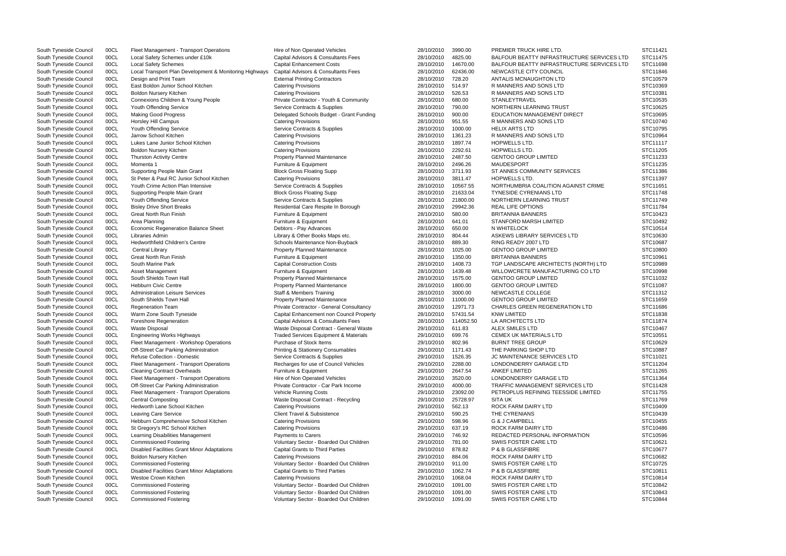| South Tyneside Council | 00CL | Fleet Management - Transport Operations                | Hire of Non Operated Vehicles                    | 28/10/2010         | 3990.00              | PREMIER TRUCK HIRE LTD.                    | STC11421 |
|------------------------|------|--------------------------------------------------------|--------------------------------------------------|--------------------|----------------------|--------------------------------------------|----------|
| South Tyneside Council | 00CL | Local Safety Schemes under £10k                        | Capital Advisors & Consultants Fees              | 28/10/2010         | 4825.00              | BALFOUR BEATTY INFRASTRUCTURE SERVICES LTD | STC11475 |
| South Tyneside Council | 00CL | <b>Local Safety Schemes</b>                            | <b>Capital Enhancement Costs</b>                 | 28/10/2010         | 14670.00             | BALFOUR BEATTY INFRASTRUCTURE SERVICES LTD | STC11698 |
| South Tyneside Council | 00CL | Local Transport Plan Development & Monitoring Highways | Capital Advisors & Consultants Fees              | 28/10/2010         | 62436.00             | NEWCASTLE CITY COUNCIL                     | STC11846 |
| South Tyneside Council | 00CL | Design and Print Team                                  | <b>External Printing Contractors</b>             | 28/10/2010         | 728.20               | ANTALIS MCNAUGHTON LTD                     | STC10579 |
| South Tyneside Council | 00CL | East Boldon Junior School Kitchen                      | <b>Catering Provisions</b>                       | 28/10/2010         | 514.97               | R MANNERS AND SONS LTD                     | STC10369 |
| South Tyneside Council | 00CL | <b>Boldon Nursery Kitchen</b>                          | <b>Catering Provisions</b>                       | 28/10/2010         | 526.53               | R MANNERS AND SONS LTD                     | STC10381 |
| South Tyneside Council | 00CL | Connexions Children & Young People                     | Private Contractor - Youth & Community           | 28/10/2010         | 680.00               | <b>STANLEYTRAVEL</b>                       | STC10535 |
| South Tyneside Council | 00CL | Youth Offending Service                                | Service Contracts & Supplies                     | 28/10/2010         | 790.00               | NORTHERN LEARNING TRUST                    | STC10625 |
| South Tyneside Council | 00CL | <b>Making Good Progress</b>                            | Delegated Schools Budget - Grant Funding         | 28/10/2010         | 900.00               | <b>EDUCATION MANAGEMENT DIRECT</b>         | STC10695 |
| South Tyneside Council | 00CL | Horsley Hill Campus                                    | <b>Catering Provisions</b>                       | 28/10/2010         | 951.55               | R MANNERS AND SONS LTD                     | STC10740 |
| South Tyneside Council | 00CL | Youth Offending Service                                | Service Contracts & Supplies                     | 28/10/2010         | 1000.00              | HELIX ARTS LTD                             | STC10795 |
| South Tyneside Council | 00CL | Jarrow School Kitchen                                  | <b>Catering Provisions</b>                       | 28/10/2010         | 1361.23              | R MANNERS AND SONS LTD                     | STC10964 |
| South Tyneside Council | 00CL | Lukes Lane Junior School Kitchen                       | <b>Catering Provisions</b>                       | 28/10/2010         | 1897.74              | HOPWELLS LTD.                              | STC11117 |
| South Tyneside Council | 00CL | <b>Boldon Nursery Kitchen</b>                          | <b>Catering Provisions</b>                       | 28/10/2010         | 2292.61              | HOPWELLS LTD.                              | STC11205 |
| South Tyneside Council | 00CL | <b>Thurston Activity Centre</b>                        | <b>Property Planned Maintenance</b>              | 28/10/2010         | 2487.50              | <b>GENTOO GROUP LIMITED</b>                | STC11233 |
| South Tyneside Council | 00CL | Momenta 1                                              | Furniture & Equipment                            | 28/10/2010         | 2496.26              | MAUDESPORT                                 | STC11235 |
| South Tyneside Council | 00CL | <b>Supporting People Main Grant</b>                    | <b>Block Gross Floating Supp</b>                 | 28/10/2010         | 3711.93              | ST ANNES COMMUNITY SERVICES                | STC11386 |
| South Tyneside Council | 00CL | St Peter & Paul RC Junior School Kitchen               | <b>Catering Provisions</b>                       | 28/10/2010         | 3811.47              | HOPWELLS LTD.                              | STC11397 |
|                        |      | Youth Crime Action Plan Intensive                      |                                                  |                    |                      | NORTHUMBRIA COALITION AGAINST CRIME        | STC11651 |
| South Tyneside Council | 00CL |                                                        | Service Contracts & Supplies                     | 28/10/2010         | 10567.55<br>21633.04 | <b>TYNESIDE CYRENIANS LTD</b>              | STC11748 |
| South Tyneside Council | 00CL | Supporting People Main Grant                           | <b>Block Gross Floating Supp</b>                 | 28/10/2010         |                      |                                            |          |
| South Tyneside Council | 00CL | Youth Offending Service                                | Service Contracts & Supplies                     | 28/10/2010         | 21800.00             | NORTHERN LEARNING TRUST                    | STC11749 |
| South Tyneside Council | 00CL | <b>Bisley Drive Short Breaks</b>                       | Residential Care Respite In Borough              | 28/10/2010         | 29942.36             | <b>REAL LIFE OPTIONS</b>                   | STC11784 |
| South Tyneside Council | 00CL | <b>Great North Run Finish</b>                          | Furniture & Equipment                            | 28/10/2010         | 580.00               | <b>BRITANNIA BANNERS</b>                   | STC10423 |
| South Tyneside Council | 00CL | Area Planning                                          | Furniture & Equipment                            | 28/10/2010         | 641.01               | <b>STANFORD MARSH LIMITED</b>              | STC10492 |
| South Tyneside Council | 00CL | <b>Economic Regeneration Balance Sheet</b>             | Debtors - Pay Advances                           | 28/10/2010         | 650.00               | N WHITELOCK                                | STC10514 |
| South Tyneside Council | 00CL | Libraries Admin                                        | Library & Other Books Maps etc.                  | 28/10/2010         | 804.44               | ASKEWS LIBRARY SERVICES LTD                | STC10630 |
| South Tyneside Council | 00CL | <b>Hedworthfield Children's Centre</b>                 | Schools Maintenance Non-Buyback                  | 28/10/2010         | 889.30               | RING READY 2007 LTD                        | STC10687 |
| South Tyneside Council | 00CL | Central Library                                        | <b>Property Planned Maintenance</b>              | 28/10/2010         | 1025.00              | <b>GENTOO GROUP LIMITED</b>                | STC10800 |
| South Tyneside Council | 00CL | <b>Great North Run Finish</b>                          | Furniture & Equipment                            | 28/10/2010         | 1350.00              | <b>BRITANNIA BANNERS</b>                   | STC10961 |
| South Tyneside Council | 00CL | South Marine Park                                      | <b>Capital Construction Costs</b>                | 28/10/2010         | 1408.73              | TGP LANDSCAPE ARCHITECTS (NORTH) LTD       | STC10989 |
| South Tyneside Council | 00CL | Asset Management                                       | Furniture & Equipment                            | 28/10/2010         | 1439.48              | WILLOWCRETE MANUFACTURING CO LTD           | STC10998 |
| South Tyneside Council | 00CL | South Shields Town Hall                                | <b>Property Planned Maintenance</b>              | 28/10/2010         | 1575.00              | <b>GENTOO GROUP LIMITED</b>                | STC11032 |
| South Tyneside Council | 00CL | <b>Hebburn Civic Centre</b>                            | Property Planned Maintenance                     | 28/10/2010         | 1800.00              | <b>GENTOO GROUP LIMITED</b>                | STC11087 |
| South Tyneside Council | 00CL | <b>Administration Leisure Services</b>                 | Staff & Members Training                         | 28/10/2010         | 3000.00              | NEWCASTLE COLLEGE                          | STC11312 |
| South Tyneside Council | 00CL | South Shields Town Hall                                | <b>Property Planned Maintenance</b>              | 28/10/2010         | 11000.00             | <b>GENTOO GROUP LIMITED</b>                | STC11659 |
| South Tyneside Council | 00CL | <b>Regeneration Team</b>                               | Private Contractor - General Consultancy         | 28/10/2010         | 12971.73             | <b>CHARLES GREEN REGENERATION LTD</b>      | STC11686 |
| South Tyneside Council | 00CL | Warm Zone South Tyneside                               | Capital Enhancement non Council Property         | 28/10/2010         | 57431.54             | <b>KNW LIMITED</b>                         | STC11838 |
| South Tyneside Council | 00CL | Foreshore Regeneration                                 | Capital Advisors & Consultants Fees              | 28/10/2010         | 114052.50            | LA ARCHITECTS LTD                          | STC11874 |
| South Tyneside Council | 00CL | <b>Waste Disposal</b>                                  | Waste Disposal Contract - General Waste          | 29/10/2010         | 611.83               | <b>ALEX SMILES LTD</b>                     | STC10467 |
| South Tyneside Council | 00CL | <b>Engineering Works Highways</b>                      | <b>Traded Services Equipment &amp; Materials</b> | 29/10/2010         | 699.76               | <b>CEMEX UK MATERIALS LTD</b>              | STC10551 |
| South Tyneside Council | 00CL | Fleet Management - Workshop Operations                 | Purchase of Stock Items                          | 29/10/2010         | 802.96               | BURNT TREE GROUP                           | STC10629 |
| South Tyneside Council | 00CL | Off-Street Car Parking Administration                  | <b>Printing &amp; Stationery Consumables</b>     | 29/10/2010 1171.43 |                      | THE PARKING SHOP LTD                       | STC10887 |
| South Tyneside Council | 00CL | Refuse Collection - Domestic                           | Service Contracts & Supplies                     | 29/10/2010         | 1526.35              | <b>JC MAINTENANCE SERVICES LTD</b>         | STC11021 |
| South Tyneside Council | 00CL | Fleet Management - Transport Operations                | Recharges for use of Council Vehicles            | 29/10/2010         | 2288.00              | LONDONDERRY GARAGE LTD                     | STC11204 |
| South Tyneside Council | 00CL | <b>Cleaning Contract Overheads</b>                     | Furniture & Equipment                            | 29/10/2010         | 2647.54              | <b>ANKEF LIMITED</b>                       | STC11265 |
| South Tyneside Council | 00CL | Fleet Management - Transport Operations                | Hire of Non Operated Vehicles                    | 29/10/2010         | 3520.00              | LONDONDERRY GARAGE LTD                     | STC11364 |
| South Tyneside Council | 00CL | Off-Street Car Parking Administration                  | Private Contractor - Car Park Income             | 29/10/2010         | 4000.00              | <b>TRAFFIC MANAGEMENT SERVICES LTD</b>     | STC11428 |
| South Tyneside Council | 00CL | Fleet Management - Transport Operations                | Vehicle Running Costs                            | 29/10/2010         | 23092.00             | PETROPLUS REFINING TEESSIDE LIMITED        | STC11755 |
|                        | 00CL | <b>Central Composting</b>                              | Waste Disposal Contract - Recycling              | 29/10/2010         | 25728.97             | <b>SITA UK</b>                             | STC11769 |
| South Tyneside Council |      |                                                        |                                                  |                    |                      | ROCK FARM DAIRY LTD                        | STC10409 |
| South Tyneside Council | 00CL | Hedworth Lane School Kitchen                           | <b>Catering Provisions</b>                       | 29/10/2010         | 562.13               |                                            |          |
| South Tyneside Council | 00CL | <b>Leaving Care Service</b>                            | <b>Client Travel &amp; Subsistence</b>           | 29/10/2010         | 590.25               | THE CYRENIANS                              | STC10439 |
| South Tyneside Council | 00CL | Hebburn Comprehensive School Kitchen                   | <b>Catering Provisions</b>                       | 29/10/2010         | 598.96               | G & J CAMPBELL                             | STC10455 |
| South Tyneside Council | 00CL | St Gregory's RC School Kitchen                         | <b>Catering Provisions</b>                       | 29/10/2010         | 637.19               | ROCK FARM DAIRY LTD                        | STC10486 |
| South Tyneside Council | 00CL | Learning Disabilities Management                       | Payments to Carers                               | 29/10/2010         | 746.92               | REDACTED PERSONAL INFORMATION              | STC10596 |
| South Tyneside Council | 00CL | <b>Commissioned Fostering</b>                          | Voluntary Sector - Boarded Out Children          | 29/10/2010         | 781.00               | SWIIS FOSTER CARE LTD                      | STC10621 |
| South Tyneside Council | 00CL | Disabled Facilities Grant Minor Adaptations            | <b>Capital Grants to Third Parties</b>           | 29/10/2010         | 878.82               | P & B GLASSFIBRE                           | STC10677 |
| South Tyneside Council | 00CL | Boldon Nursery Kitchen                                 | <b>Catering Provisions</b>                       | 29/10/2010         | 884.06               | ROCK FARM DAIRY LTD                        | STC10682 |
| South Tyneside Council | 00CL | <b>Commissioned Fostering</b>                          | Voluntary Sector - Boarded Out Children          | 29/10/2010         | 911.00               | SWIIS FOSTER CARE LTD                      | STC10725 |
| South Tyneside Council | 00CL | <b>Disabled Facilities Grant Minor Adaptations</b>     | <b>Capital Grants to Third Parties</b>           | 29/10/2010         | 1062.74              | P & B GLASSFIBRE                           | STC10811 |
| South Tyneside Council | 00CL | Westoe Crown Kitchen                                   | <b>Catering Provisions</b>                       | 29/10/2010         | 1068.04              | ROCK FARM DAIRY LTD                        | STC10814 |
| South Tyneside Council | 00CL | <b>Commissioned Fostering</b>                          | Voluntary Sector - Boarded Out Children          | 29/10/2010         | 1091.00              | SWIIS FOSTER CARE LTD                      | STC10842 |
| South Tyneside Council | 00CL | <b>Commissioned Fostering</b>                          | Voluntary Sector - Boarded Out Children          | 29/10/2010         | 1091.00              | SWIIS FOSTER CARE LTD                      | STC10843 |
| South Tyneside Council | 00CL | <b>Commissioned Fostering</b>                          | Voluntary Sector - Boarded Out Children          | 29/10/2010         | 1091.00              | SWIIS FOSTER CARE LTD                      | STC10844 |

|                    | STC11421             |
|--------------------|----------------------|
| <b>ERVICES LTD</b> | STC11475             |
| <b>ERVICES LTD</b> | STC11698             |
|                    | STC11846             |
|                    | STC10579             |
|                    | STC10369             |
|                    | STC10381             |
|                    | STC10535             |
|                    | STC10625             |
|                    | STC10695             |
|                    | STC10740             |
|                    | STC10795             |
|                    | STC10964             |
|                    | STC11117             |
|                    | STC11205             |
|                    | STC11233             |
|                    | STC11235             |
|                    | STC11386             |
|                    | STC11397             |
| <b>IME</b>         | STC11651             |
|                    | STC11748             |
|                    | STC11749             |
|                    | STC11784             |
|                    | STC10423             |
|                    | STC10492             |
|                    | STC10514             |
|                    | STC10630             |
|                    | STC10687             |
|                    | STC10800             |
|                    | STC10961             |
| ) LTD              | STC10989             |
| TD                 | STC10998             |
|                    | STC11032             |
|                    | STC11087             |
|                    | STC11312             |
|                    | STC11659             |
|                    | STC11686             |
|                    | STC11838             |
|                    | STC11874<br>STC10467 |
|                    |                      |
|                    | STC10551             |
|                    | STC10629             |
|                    | STC10887<br>STC11021 |
|                    | STC11204             |
|                    |                      |
|                    | STC11265             |
|                    | STC11364             |
|                    | STC11428             |
| ED                 | STC11755<br>STC11769 |
|                    |                      |
|                    | STC10409             |
|                    | STC10439<br>STC10455 |
|                    | STC10486             |
|                    | STC10596             |
|                    | STC10621             |
|                    | STC10677             |
|                    | STC10682             |
|                    | STC10725             |
|                    | STC10811             |
|                    | STC10814             |
|                    | STC10842             |
|                    | STC10843             |
|                    | STC10844             |
|                    |                      |